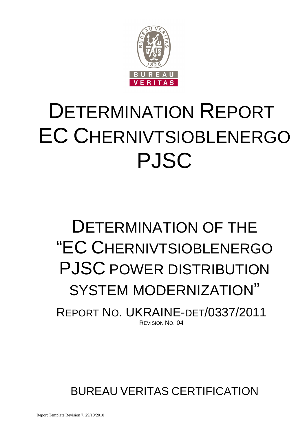

# DETERMINATION REPORT EC CHERNIVTSIOBLENERGO PJSC

## DETERMINATION OF THE "EC CHERNIVTSIOBLENERGO PJSC POWER DISTRIBUTION SYSTEM MODERNIZATION"

REPORT NO. UKRAINE-DET/0337/2011 REVISION NO. 04

BUREAU VERITAS CERTIFICATION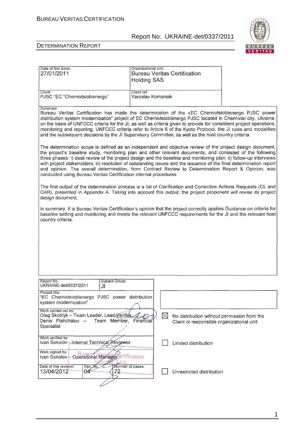T

Organizational unit:



#### DETERMINATION REPORT

Date of first issue:

| 27/01/2011                                                                                                                                                                                                                                                                                                                                                                                                                                                                                                                                                                       | <b>Bureau Veritas Certification</b><br><b>Holding SAS</b>                                                                                                                                                                                                                                                                                                                                                                                                                                                                                                                                                                                       |                                                                                          |  |
|----------------------------------------------------------------------------------------------------------------------------------------------------------------------------------------------------------------------------------------------------------------------------------------------------------------------------------------------------------------------------------------------------------------------------------------------------------------------------------------------------------------------------------------------------------------------------------|-------------------------------------------------------------------------------------------------------------------------------------------------------------------------------------------------------------------------------------------------------------------------------------------------------------------------------------------------------------------------------------------------------------------------------------------------------------------------------------------------------------------------------------------------------------------------------------------------------------------------------------------------|------------------------------------------------------------------------------------------|--|
| Client:<br>PJSC "EC "Chernivtsioblenergo"                                                                                                                                                                                                                                                                                                                                                                                                                                                                                                                                        | Client ref.:<br>Yaroslav Komaniak                                                                                                                                                                                                                                                                                                                                                                                                                                                                                                                                                                                                               |                                                                                          |  |
| Summary:<br>Bureau Veritas Certification has made the determination of the «EC Chernivtsioblenergo PJSC power<br>distribution system modernization" project of EC Chernivtsioblenergo PJSC located in Chernivtsi city, Ukraine,<br>on the basis of UNFCCC criteria for the JI, as well as criteria given to provide for consistent project operations,<br>monitoring and reporting. UNFCCC criteria refer to Article 6 of the Kyoto Protocol, the JI rules and modalities<br>and the subsequent decisions by the JI Supervisory Committee, as well as the host country criteria. |                                                                                                                                                                                                                                                                                                                                                                                                                                                                                                                                                                                                                                                 |                                                                                          |  |
|                                                                                                                                                                                                                                                                                                                                                                                                                                                                                                                                                                                  | The determination scope is defined as an independent and objective review of the project design document,<br>the project's baseline study, monitoring plan and other relevant documents, and consisted of the following<br>three phases: i) desk review of the project design and the baseline and monitoring plan; ii) follow-up interviews<br>with project stakeholders; iii) resolution of outstanding issues and the issuance of the final determination report<br>and opinion. The overall determination, from Contract Review to Determination Report & Opinion, was<br>conducted using Bureau Veritas Certification internal procedures. |                                                                                          |  |
| The first output of the determination process is a list of Clarification and Corrective Actions Requests (CL and<br>CAR), presented in Appendix A. Taking into account this output, the project proponent will revise its project<br>design document.                                                                                                                                                                                                                                                                                                                            |                                                                                                                                                                                                                                                                                                                                                                                                                                                                                                                                                                                                                                                 |                                                                                          |  |
| In summary, it is Bureau Veritas Certification's opinion that the project correctly applies Guidance on criteria for<br>baseline setting and monitoring and meets the relevant UNFCCC requirements for the JI and the relevant host<br>country criteria.                                                                                                                                                                                                                                                                                                                         |                                                                                                                                                                                                                                                                                                                                                                                                                                                                                                                                                                                                                                                 |                                                                                          |  |
|                                                                                                                                                                                                                                                                                                                                                                                                                                                                                                                                                                                  |                                                                                                                                                                                                                                                                                                                                                                                                                                                                                                                                                                                                                                                 |                                                                                          |  |
|                                                                                                                                                                                                                                                                                                                                                                                                                                                                                                                                                                                  |                                                                                                                                                                                                                                                                                                                                                                                                                                                                                                                                                                                                                                                 |                                                                                          |  |
|                                                                                                                                                                                                                                                                                                                                                                                                                                                                                                                                                                                  |                                                                                                                                                                                                                                                                                                                                                                                                                                                                                                                                                                                                                                                 |                                                                                          |  |
| Report No.:<br>Subject Group:<br>UKRAINE-det/0337/2011<br>JI                                                                                                                                                                                                                                                                                                                                                                                                                                                                                                                     |                                                                                                                                                                                                                                                                                                                                                                                                                                                                                                                                                                                                                                                 |                                                                                          |  |
| Project title:<br>"EC Chernivtsioblenergo PJSC power distribution<br>system modernization"                                                                                                                                                                                                                                                                                                                                                                                                                                                                                       |                                                                                                                                                                                                                                                                                                                                                                                                                                                                                                                                                                                                                                                 |                                                                                          |  |
| Work carried out by:<br>Oleg Skoblyk - Team Leader, Lead Verifier<br>Team Member, Financial<br>Denis Pishchalov -<br>Specialist                                                                                                                                                                                                                                                                                                                                                                                                                                                  | $\bowtie$                                                                                                                                                                                                                                                                                                                                                                                                                                                                                                                                                                                                                                       | No distribution without permission from the<br>Client or responsible organizational unit |  |
| Work verified by:<br>Ivan Sokolov - Internal Technical Reviewer                                                                                                                                                                                                                                                                                                                                                                                                                                                                                                                  |                                                                                                                                                                                                                                                                                                                                                                                                                                                                                                                                                                                                                                                 | Limited distribution                                                                     |  |
| Work signed by:<br>Ivan Sokolov - Operational Manager ertification<br>Mumber of pages:<br>Date of this revision:<br>Rev. No.:                                                                                                                                                                                                                                                                                                                                                                                                                                                    |                                                                                                                                                                                                                                                                                                                                                                                                                                                                                                                                                                                                                                                 |                                                                                          |  |
| 13/04/2012<br>72<br>04                                                                                                                                                                                                                                                                                                                                                                                                                                                                                                                                                           |                                                                                                                                                                                                                                                                                                                                                                                                                                                                                                                                                                                                                                                 | Unrestricted distribution                                                                |  |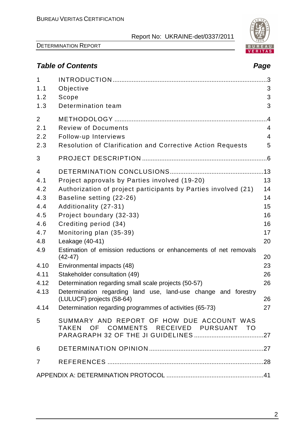

DETERMINATION REPORT

## **Table of Contents Page 2018**

| 1              |                                                                                       | .3             |
|----------------|---------------------------------------------------------------------------------------|----------------|
| 1.1<br>1.2     | Objective<br>Scope                                                                    | 3<br>3         |
| 1.3            | Determination team                                                                    | 3              |
|                |                                                                                       |                |
| $\overline{2}$ |                                                                                       | .4             |
| 2.1            | <b>Review of Documents</b>                                                            | $\overline{4}$ |
| 2.2            | Follow-up Interviews                                                                  | 4              |
| 2.3            | Resolution of Clarification and Corrective Action Requests                            | 5              |
| 3              |                                                                                       |                |
| 4              |                                                                                       |                |
| 4.1            | Project approvals by Parties involved (19-20)                                         | 13             |
| 4.2            | Authorization of project participants by Parties involved (21)                        | 14             |
| 4.3            | Baseline setting (22-26)                                                              | 14             |
| 4.4            | Additionality (27-31)                                                                 | 15             |
| 4.5            | Project boundary (32-33)                                                              | 16             |
| 4.6            | Crediting period (34)                                                                 | 16             |
| 4.7            | Monitoring plan (35-39)                                                               | 17             |
| 4.8            | Leakage (40-41)                                                                       | 20             |
| 4.9            | Estimation of emission reductions or enhancements of net removals<br>$(42 - 47)$      | 20             |
| 4.10           | Environmental impacts (48)                                                            | 23             |
| 4.11           | Stakeholder consultation (49)                                                         | 26             |
| 4.12           | Determination regarding small scale projects (50-57)                                  | 26             |
| 4.13           | Determination regarding land use, land-use change and forestry                        |                |
| 4.14           | (LULUCF) projects (58-64)<br>Determination regarding programmes of activities (65-73) | 26<br>27       |
|                |                                                                                       |                |
| 5              | SUMMARY AND REPORT OF HOW DUE ACCOUNT WAS<br>TAKEN OF COMMENTS RECEIVED PURSUANT TO   |                |
|                |                                                                                       |                |
| 6              |                                                                                       |                |
| $\overline{7}$ |                                                                                       |                |
|                |                                                                                       |                |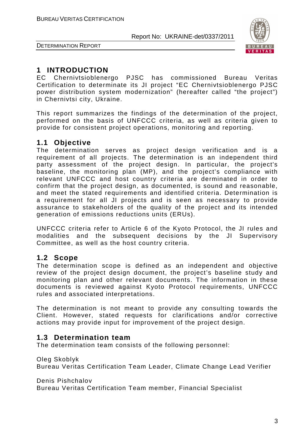

DETERMINATION REPORT

## **1 INTRODUCTION**

EC Chernivtsioblenergo PJSC has commissioned Bureau Veritas Certification to determinate its JI project "EC Chernivtsioblenergo PJSC power distribution system modernization" (hereafter called "the project") in Chernivtsi city, Ukraine.

This report summarizes the findings of the determination of the project, performed on the basis of UNFCCC criteria, as well as criteria given to provide for consistent project operations, monitoring and reporting.

## **1.1 Objective**

The determination serves as project design verification and is a requirement of all projects. The determination is an independent third party assessment of the project design. In particular, the project's baseline, the monitoring plan (MP), and the project's compliance with relevant UNFCCC and host country criteria are derminated in order to confirm that the project design, as documented, is sound and reasonable, and meet the stated requirements and identified criteria. Determination is a requirement for all JI projects and is seen as necessary to provide assurance to stakeholders of the quality of the project and its intended generation of emissions reductions units (ERUs).

UNFCCC criteria refer to Article 6 of the Kyoto Protocol, the JI rules and modalities and the subsequent decisions by the JI Supervisory Committee, as well as the host country criteria.

## **1.2 Scope**

The determination scope is defined as an independent and objective review of the project design document, the project's baseline study and monitoring plan and other relevant documents. The information in these documents is reviewed against Kyoto Protocol requirements, UNFCCC rules and associated interpretations.

The determination is not meant to provide any consulting towards the Client. However, stated requests for clarifications and/or corrective actions may provide input for improvement of the project design.

## **1.3 Determination team**

The determination team consists of the following personnel:

Oleg Skoblyk

Bureau Veritas Certification Team Leader, Climate Change Lead Verifier

Denis Pishchalov

Bureau Veritas Certification Team member, Financial Specialist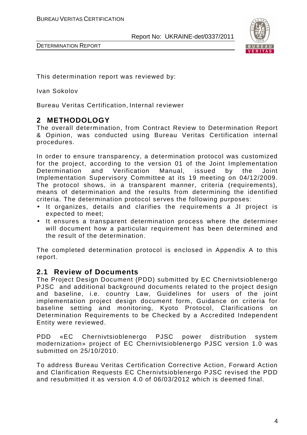

DETERMINATION REPORT

This determination report was reviewed by:

Ivan Sokolov

Bureau Veritas Certification, Internal reviewer

## **2 METHODOLOGY**

The overall determination, from Contract Review to Determination Report & Opinion, was conducted using Bureau Veritas Certification internal procedures.

In order to ensure transparency, a determination protocol was customized for the project, according to the version 01 of the Joint Implementation Determination and Verification Manual, issued by the Joint Implementation Supervisory Committee at its 19 meeting on 04/12/2009. The protocol shows, in a transparent manner, criteria (requirements), means of determination and the results from determining the identified criteria. The determination protocol serves the following purposes:

- It organizes, details and clarifies the requirements a JI project is expected to meet;
- It ensures a transparent determination process where the determiner will document how a particular requirement has been determined and the result of the determination.

The completed determination protocol is enclosed in Appendix A to this report.

#### **2.1 Review of Documents**

The Project Design Document (PDD) submitted by EC Chernivtsioblenergo PJSC and additional background documents related to the project design and baseline, i.e. country Law, Guidelines for users of the joint implementation project design document form, Guidance on criteria for baseline setting and monitoring, Kyoto Protocol, Clarifications on Determination Requirements to be Checked by a Accredited Independent Entity were reviewed.

PDD «EC Chernivtsioblenergo PJSC power distribution system modernization» project of EC Chernivtsioblenergo PJSC version 1.0 was submitted on 25/10/2010.

To address Bureau Veritas Certification Сorrective Action, Forward Action and Clarification Requests EC Chernivtsioblenergo PJSC revised the PDD and resubmitted it as version 4.0 of 06/03/2012 which is deemed final.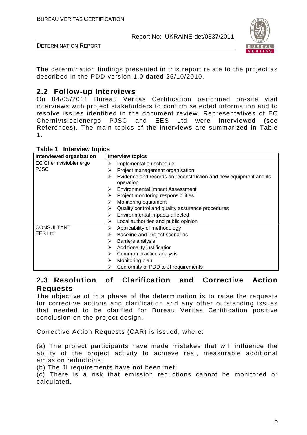

DETERMINATION REPORT

The determination findings presented in this report relate to the project as described in the PDD version 1.0 dated 25/10/2010.

## **2.2 Follow-up Interviews**

On 04/05/2011 Bureau Veritas Certification performed on-site visit interviews with project stakeholders to confirm selected information and to resolve issues identified in the document review. Representatives of EC Chernivtsioblenergo PJSC and ЕЕS Ltd were interviewed (see References). The main topics of the interviews are summarized in Table 1.

| Interviewed organization      | <b>Interview topics</b>                                                            |
|-------------------------------|------------------------------------------------------------------------------------|
| <b>EC Chernivtsioblenergo</b> | Implementation schedule<br>≻                                                       |
| <b>PJSC</b>                   | Project management organisation<br>⋗                                               |
|                               | Evidence and records on reconstruction and new equipment and its<br>➤<br>operation |
|                               | <b>Environmental Impact Assessment</b><br>≻                                        |
|                               | Project monitoring responsibilities                                                |
|                               | Monitoring equipment                                                               |
|                               | Quality control and quality assurance procedures                                   |
|                               | Environmental impacts affected<br>➤                                                |
|                               | Local authorities and public opinion<br>⋗                                          |
| <b>CONSULTANT</b>             | Applicability of methodology<br>≻                                                  |
| <b>EES Ltd</b>                | <b>Baseline and Project scenarios</b><br>≻                                         |
|                               | Barriers analysis<br>≻                                                             |
|                               | Additionality justification<br>➤                                                   |
|                               | Common practice analysis                                                           |
|                               | Monitoring plan<br>≻                                                               |
|                               | Conformity of PDD to JI requirements                                               |

**Table 1 Interview topics** 

## **2.3 Resolution of Clarification and Corrective Action Requests**

The objective of this phase of the determination is to raise the requests for corrective actions and clarification and any other outstanding issues that needed to be clarified for Bureau Veritas Certification positive conclusion on the project design.

Corrective Action Requests (CAR) is issued, where:

(a) The project participants have made mistakes that will influence the ability of the project activity to achieve real, measurable additional emission reductions;

(b) The JI requirements have not been met;

(c) There is a risk that emission reductions cannot be monitored or calculated.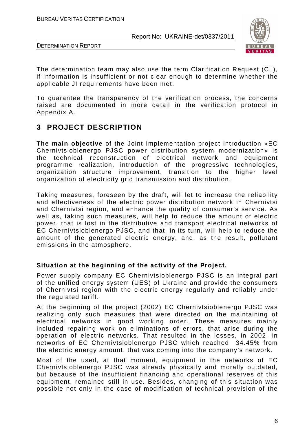



The determination team may also use the term Clarification Request (CL), if information is insufficient or not clear enough to determine whether the applicable JI requirements have been met.

To guarantee the transparency of the verification process, the concerns raised are documented in more detail in the verification protocol in Appendix A.

## **3 PROJECT DESCRIPTION**

**The main objective** of the Joint Implementation project introduction «EC Chernivtsioblenergo PJSC power distribution system modernization» is the technical reconstruction of electrical network and equipment programme realization, introduction of the progressive technologies, organization structure improvement, transition to the higher level organization of electricity grid transmission and distribution.

Taking measures, foreseen by the draft, will let to increase the reliability and effectiveness of the electric power distribution network in Chernivtsi and Chernivtsi region, and enhance the quality of consumer's service. As well as, taking such measures, will help to reduce the amount of electric power, that is lost in the distributive and transport electrical networks of EC Chernivtsioblenergo PJSC, and that, in its turn, will help to reduce the amount of the generated electric energy, and, as the result, pollutant emissions in the atmosphere.

#### **Situation at the beginning of the activity of the Project.**

Power supply company EC Chernivtsioblenergo PJSC is an integral part of the unified energy system (UES) of Ukraine and provide the consumers of Chernivtsi region with the electric energy regularly and reliably under the regulated tariff.

At the beginning of the project (2002) EC Chernivtsioblenergo PJSC was realizing only such measures that were directed on the maintaining of electrical networks in good working order. These measures mainly included repairing work on eliminations of errors, that arise during the operation of electric networks. That resulted in the losses, in 2002, in networks of EC Chernivtsioblenergo PJSC which reached 34.45% from the electric energy amount, that was coming into the company's network.

Most of the used, at that moment, equipment in the networks of EC Chernivtsioblenergo PJSC was already physically and morally outdated, but because of the insufficient financing and operational reserves of this equipment, remained still in use. Besides, changing of this situation was possible not only in the case of modification of technical provision of the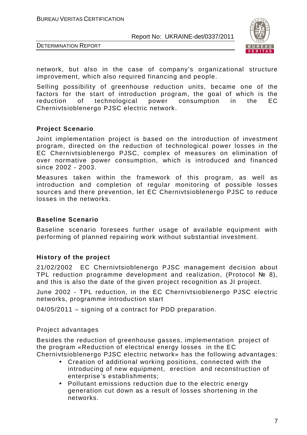DETERMINATION REPORT



network, but also in the case of company's organizational structure improvement, which also required financing and people.

Selling possibility of greenhouse reduction units, became one of the factors for the start of introduction program, the goal of which is the reduction of technological power consumption in the EC Chernivtsioblenergo PJSC electric network.

#### **Project Scenario**

Joint implementation project is based on the introduction of investment program, directed on the reduction of technological power losses in the EC Chernivtsioblenergo PJSC, complex of measures on elimination of over normative power consumption, which is introduced and financed since 2002 - 2003.

Measures taken within the framework of this program, as well as introduction and completion of regular monitoring of possible losses sources and there prevention, let EC Chernivtsioblenergo PJSC to reduce losses in the networks.

#### **Baseline Scenario**

Baseline scenario foresees further usage of available equipment with performing of planned repairing work without substantial investment.

#### **History of the project**

21/02/2002 EC Chernivtsioblenergo PJSC management decision about TPL reduction programme development and realization, (Protocol № 8), and this is also the date of the given project recognition as JI project.

June 2002 - TPL reduction, in the EC Chernivtsioblenergo PJSC electric networks, programme introduction start

04/05/2011 – signing of a contract for PDD preparation.

#### Project advantages

Besides the reduction of greenhouse gasses, implementation project of the program «Reduction of electrical energy losses in the EC Chernivtsioblenergo PJSC electric network» has the following advantages:

- Creation of additional working positions, connected with the introducing of new equipment, erection and reconstruction of enterprise's establishments;
- Pollutant emissions reduction due to the electric energy generation cut down as a result of losses shortening in the networks.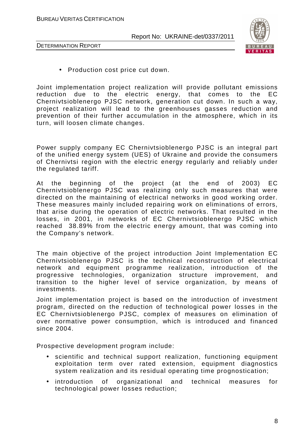



DETERMINATION REPORT

• Production cost price cut down.

Joint implementation project realization will provide pollutant emissions reduction due to the electric energy, that comes to the EC Chernivtsioblenergo PJSC network, generation cut down. In such a way, project realization will lead to the greenhouses gasses reduction and prevention of their further accumulation in the atmosphere, which in its turn, will loosen climate changes.

Power supply company EC Chernivtsioblenergo PJSC is an integral part of the unified energy system (UES) of Ukraine and provide the consumers of Chernivtsi region with the electric energy regularly and reliably under the regulated tariff.

At the beginning of the project (at the end of 2003) EC Chernivtsioblenergo PJSC was realizing only such measures that were directed on the maintaining of electrical networks in good working order. These measures mainly included repairing work on eliminations of errors, that arise during the operation of electric networks. That resulted in the losses, in 2001, in networks of EC Chernivtsioblenergo PJSC which reached 38.89% from the electric energy amount, that was coming into the Company's network.

The main objective of the project introduction Joint Implementation EC Chernivtsioblenergo PJSC is the technical reconstruction of electrical network and equipment programme realization, introduction of the progressive technologies, organization structure improvement, and transition to the higher level of service organization, by means of investments.

Joint implementation project is based on the introduction of investment program, directed on the reduction of technological power losses in the EC Chernivtsioblenergo PJSC, complex of measures on elimination of over normative power consumption, which is introduced and financed since 2004.

Prospective development program include:

- scientific and technical support realization, functioning equipment exploitation term over rated extension, equipment diagnostics system realization and its residual operating time prognostication;
- introduction of organizational and technical measures for technological power losses reduction;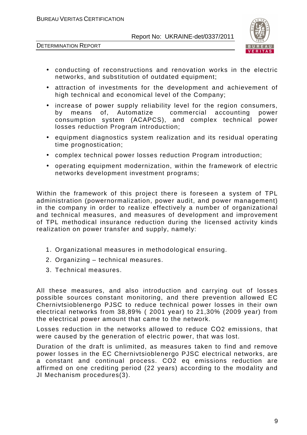



- conducting of reconstructions and renovation works in the electric networks, and substitution of outdated equipment;
- attraction of investments for the development and achievement of high technical and economical level of the Company;
- increase of power supply reliability level for the region consumers, by means of, Automatize commercial accounting power consumption system (ACAPCS), and complex technical power losses reduction Program introduction;
- equipment diagnostics system realization and its residual operating time prognostication;
- complex technical power losses reduction Program introduction;
- operating equipment modernization, within the framework of electric networks development investment programs;

Within the framework of this project there is foreseen a system of TPL administration (powernormalization, power audit, and power management) in the company in order to realize effectively a number of organizational and technical measures, and measures of development and improvement of TPL methodical insurance reduction during the licensed activity kinds realization on power transfer and supply, namely:

- 1. Organizational measures in methodological ensuring.
- 2. Organizing technical measures.
- 3. Technical measures.

All these measures, and also introduction and carrying out of losses possible sources constant monitoring, and there prevention allowed EC Chernivtsioblenergo PJSC to reduce technical power losses in their own electrical networks from 38,89% ( 2001 year) to 21,30% (2009 year) from the electrical power amount that came to the network.

Losses reduction in the networks allowed to reduce СО2 emissions, that were caused by the generation of electric power, that was lost.

Duration of the draft is unlimited, as measures taken to find and remove power losses in the EC Chernivtsioblenergo PJSC electrical networks, are a constant and continual process. CO2 eq emissions reduction are affirmed on one crediting period (22 years) according to the modality and JI Mechanism procedures(3).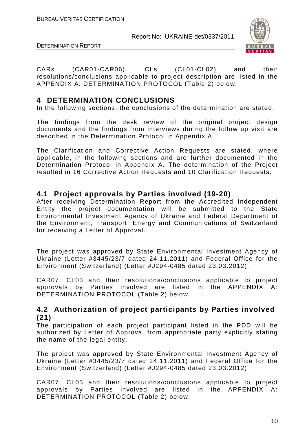



CARs (CAR01-CAR06), CLs (CL01-CL02) and their resolutions/conclusions applicable to project description are listed in the APPENDIX A: DETERMINATION PROTOCOL (Table 2) below.

## **4 DETERMINATION CONCLUSIONS**

In the following sections, the conclusions of the determination are stated.

The findings from the desk review of the original project design documents and the findings from interviews during the follow up visit are described in the Determination Protocol in Appendix A.

The Clarification and Corrective Action Requests are stated, where applicable, in the following sections and are further documented in the Determination Protocol in Appendix A. The determination of the Project resulted in 16 Corrective Action Requests and 10 Clarification Requests.

## **4.1 Project approvals by Parties involved (19-20)**

After receiving Determination Report from the Accredited Independent Entity the project documentation will be submitted to the State Environmental Investment Agency of Ukraine and Federal Department of the Environment, Transport, Energy and Communications of Switzerland for receiving a Letter of Approval.

The project was approved by State Environmental Investment Agency of Ukraine (Letter #3445/23/7 dated 24.11.2011) and Federal Office for the Environment (Switzerland) (Letter #J294-0485 dated 23.03.2012).

CAR07, CL03 and their resolutions/conclusions applicable to project approvals by Parties involved are listed in the APPENDIX A: DETERMINATION PROTOCOL (Table 2) below.

## **4.2 Authorization of project participants by Parties involved (21)**

The participation of each project participant listed in the PDD will be authorized by Letter of Approval from appropriate party explicitly stating the name of the legal entity.

The project was approved by State Environmental Investment Agency of Ukraine (Letter #3445/23/7 dated 24.11.2011) and Federal Office for the Environment (Switzerland) (Letter #J294-0485 dated 23.03.2012).

CAR07, CL03 and their resolutions/conclusions applicable to project approvals by Parties involved are listed in the APPENDIX A: DETERMINATION PROTOCOL (Table 2) below.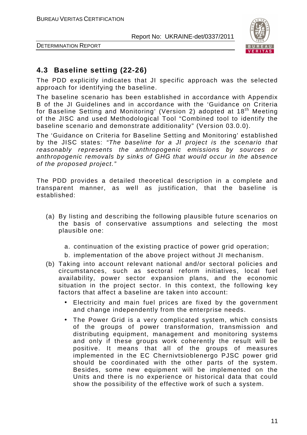

DETERMINATION REPORT

## **4.3 Baseline setting (22-26)**

The PDD explicitly indicates that JI specific approach was the selected approach for identifying the baseline.

The baseline scenario has been established in accordance with Appendix B of the JI Guidelines and in accordance with the 'Guidance on Criteria for Baseline Setting and Monitoring' (Version 2) adopted at 18<sup>th</sup> Meeting of the JISC and used Methodological Tool "Combined tool to identify the baseline scenario and demonstrate additionality" (Version 03.0.0).

The 'Guidance on Criteria for Baseline Setting and Monitoring' established by the JISC states: "The baseline for a JI project is the scenario that reasonably represents the anthropogenic emissions by sources or anthropogenic removals by sinks of GHG that would occur in the absence of the proposed project."

The PDD provides a detailed theoretical description in a complete and transparent manner, as well as justification, that the baseline is established:

- (a) By listing and describing the following plausible future scenarios on the basis of conservative assumptions and selecting the most plausible one:
	- a. continuation of the existing practice of power grid operation;
	- b. implementation of the above project without JI mechanism.
- (b) Taking into account relevant national and/or sectoral policies and circumstances, such as sectoral reform initiatives, local fuel availability, power sector expansion plans, and the economic situation in the project sector. In this context, the following key factors that affect a baseline are taken into account:
	- Electricity and main fuel prices are fixed by the government and change independently from the enterprise needs.
	- The Power Grid is a very complicated system, which consists of the groups of power transformation, transmission and distributing equipment, management and monitoring systems and only if these groups work coherently the result will be positive. It means that all of the groups of measures implemented in the EC Chernivtsioblenergo PJSC power grid should be coordinated with the other parts of the system. Besides, some new equipment will be implemented on the Units and there is no experience or historical data that could show the possibility of the effective work of such a system.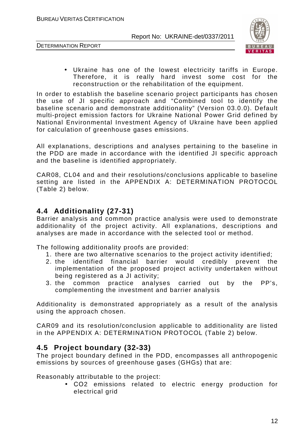DETERMINATION REPORT



• Ukraine has one of the lowest electricity tariffs in Europe. Therefore, it is really hard invest some cost for the reconstruction or the rehabilitation of the equipment.

In order to establish the baseline scenario project participants has chosen the use of JI specific approach and "Combined tool to identify the baseline scenario and demonstrate additionality" (Version 03.0.0). Default multi-project emission factors for Ukraine National Power Grid defined by National Environmental Investment Agency of Ukraine have been applied for calculation of greenhouse gases emissions.

All explanations, descriptions and analyses pertaining to the baseline in the PDD are made in accordance with the identified JI specific approach and the baseline is identified appropriately.

CAR08, CL04 and and their resolutions/conclusions applicable to baseline setting are listed in the APPENDIX A: DETERMINATION PROTOCOL (Table 2) below.

## **4.4 Additionality (27-31)**

Barrier analysis and common practice analysis were used to demonstrate additionality of the project activity. All explanations, descriptions and analyses are made in accordance with the selected tool or method.

The following additionality proofs are provided:

- 1. there are two alternative scenarios to the project activity identified;
- 2. the identified financial barrier would credibly prevent the implementation of the proposed project activity undertaken without being registered as a JI activity;
- 3. the common practice analyses carried out by the PP's, complementing the investment and barrier analysis

Additionality is demonstrated appropriately as a result of the analysis using the approach chosen.

CAR09 and its resolution/conclusion applicable to additionality are listed in the APPENDIX A: DETERMINATION PROTOCOL (Table 2) below.

#### **4.5 Project boundary (32-33)**

The project boundary defined in the PDD, encompasses all anthropogenic emissions by sources of greenhouse gases (GHGs) that are:

Reasonably attributable to the project:

• СО2 emissions related to electric energy production for electrical grid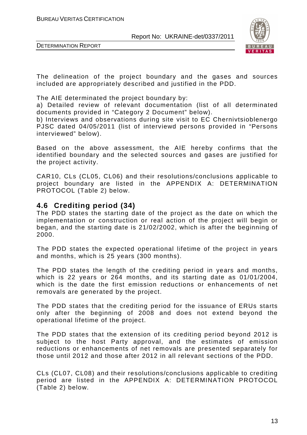

DETERMINATION REPORT

The delineation of the project boundary and the gases and sources included are appropriately described and justified in the PDD.

The AIE determinated the project boundary by:

a) Detailed review of relevant documentation (list of all determinated documents provided in "Category 2 Document" below).

b) Interviews and observations during site visit to EC Chernivtsioblenergo PJSC dated 04/05/2011 (list of interviewd persons provided in "Persons interviewed" below).

Based on the above assessment, the AIE hereby confirms that the identified boundary and the selected sources and gases are justified for the project activity.

CAR10, CLs (CL05, CL06) and their resolutions/conclusions applicable to project boundary are listed in the APPENDIX A: DETERMINATION PROTOCOL (Table 2) below.

#### **4.6 Crediting period (34)**

The PDD states the starting date of the project as the date on which the implementation or construction or real action of the project will begin or began, and the starting date is 21/02/2002, which is after the beginning of 2000.

The PDD states the expected operational lifetime of the project in years and months, which is 25 years (300 months).

The PDD states the length of the crediting period in years and months, which is 22 years or 264 months, and its starting date as 01/01/2004, which is the date the first emission reductions or enhancements of net removals are generated by the project.

The PDD states that the crediting period for the issuance of ERUs starts only after the beginning of 2008 and does not extend beyond the operational lifetime of the project.

The PDD states that the extension of its crediting period beyond 2012 is subject to the host Party approval, and the estimates of emission reductions or enhancements of net removals are presented separately for those until 2012 and those after 2012 in all relevant sections of the PDD.

CLs (CL07, CL08) and their resolutions/conclusions applicable to crediting period are listed in the APPENDIX A: DETERMINATION PROTOCOL (Table 2) below.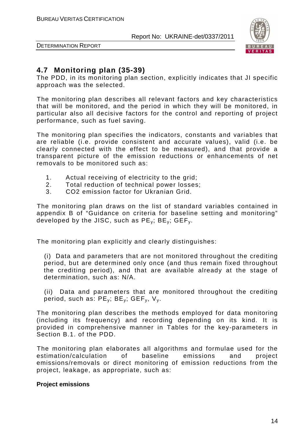

DETERMINATION REPORT

## **4.7 Monitoring plan (35-39)**

The PDD, in its monitoring plan section, explicitly indicates that JI specific approach was the selected.

The monitoring plan describes all relevant factors and key characteristics that will be monitored, and the period in which they will be monitored, in particular also all decisive factors for the control and reporting of project performance, such as fuel saving.

The monitoring plan specifies the indicators, constants and variables that are reliable (i.e. provide consistent and accurate values), valid (i.e. be clearly connected with the effect to be measured), and that provide a transparent picture of the emission reductions or enhancements of net removals to be monitored such as:

- 1. Actual receiving of electricity to the grid;
- 2. Total reduction of technical power losses;
- 3. CO2 emission factor for Ukranian Grid.

The monitoring plan draws on the list of standard variables contained in appendix B of "Guidance on criteria for baseline setting and monitoring" developed by the JISC, such as  $PE_v$ ;  $BE_v$ ;  $GEF_v$ .

The monitoring plan explicitly and clearly distinguishes:

(i) Data and parameters that are not monitored throughout the crediting period, but are determined only once (and thus remain fixed throughout the crediting period), and that are available already at the stage of determination, such as: N/A.

(ii) Data and parameters that are monitored throughout the crediting period, such as:  $PE_v$ ;  $BE_v$ ;  $GEF_v$ ,  $V_v$ .

The monitoring plan describes the methods employed for data monitoring (including its frequency) and recording depending on its kind. It is provided in comprehensive manner in Tables for the key-parameters in Section B.1. of the PDD.

The monitoring plan elaborates all algorithms and formulae used for the estimation/calculation of baseline emissions and project emissions/removals or direct monitoring of emission reductions from the project, leakage, as appropriate, such as:

#### **Project emissions**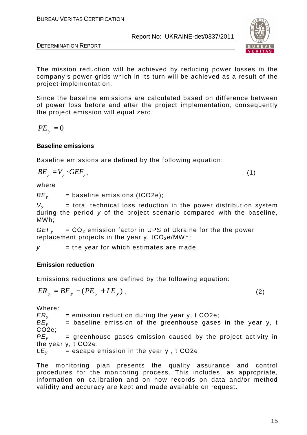



The mission reduction will be achieved by reducing power losses in the company's power grids which in its turn will be achieved as a result of the project implementation.

Since the baseline emissions are calculated based on difference between of power loss before and after the project implementation, consequently the project emission will equal zero.

$$
PE_{y}=0
$$

#### **Baseline emissions**

Baseline emissions are defined by the following equation:

$$
BE_y = V_y \cdot GEF_y, \tag{1}
$$

where

 $BE<sub>v</sub>$  = baseline emissions (tCO2e);

 $V_v$  = total technical loss reduction in the power distribution system during the period  $y$  of the project scenario compared with the baseline, MWh;

 $GEF<sub>v</sub> = CO<sub>2</sub>$  emission factor in UPS of Ukraine for the the power replacement projects in the year  $v$ ,  $tCO<sub>2</sub>e/MWh$ ;

 $y =$  the year for which estimates are made.

#### **Emission reduction**

Emissions reductions are defined by the following equation:

$$
ER_y = BE_y - (PE_y + LE_y), \qquad (2)
$$

Where:

 $ER<sub>v</sub>$  = emission reduction during the year y, t CO2e;  $BE<sub>v</sub>$  = baseline emission of the greenhouse gases in the year y, t CO2e;  $PE<sub>v</sub>$  = greenhouse gases emission caused by the project activity in the year y, t CO2e;  $LE<sub>v</sub>$  = escape emission in the year y, t CO2e.

The monitoring plan presents the quality assurance and control procedures for the monitoring process. This includes, as appropriate, information on calibration and on how records on data and/or method validity and accuracy are kept and made available on request.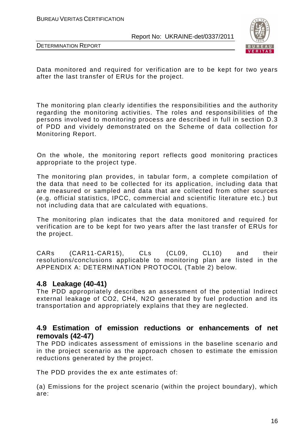



Data monitored and required for verification are to be kept for two years after the last transfer of ERUs for the project.

The monitoring plan clearly identifies the responsibilities and the authority regarding the monitoring activities. The roles and responsibilities of the persons involved to monitoring process are described in full in section D.3 of PDD and vividely demonstrated on the Scheme of data collection for Monitoring Report.

On the whole, the monitoring report reflects good monitoring practices appropriate to the project type.

The monitoring plan provides, in tabular form, a complete compilation of the data that need to be collected for its application, including data that are measured or sampled and data that are collected from other sources (e.g. official statistics, IPCC, commercial and scientific literature etc.) but not including data that are calculated with equations.

The monitoring plan indicates that the data monitored and required for verification are to be kept for two years after the last transfer of ERUs for the project.

CARs (CAR11-CAR15), CLs (CL09, CL10) and their resolutions/conclusions applicable to monitoring plan are listed in the APPENDIX A: DETERMINATION PROTOCOL (Table 2) below.

#### **4.8 Leakage (40-41)**

The PDD appropriately describes an assessment of the potential Indirect external leakage of CO2, СН4, N2O generated by fuel production and its transportation and appropriately explains that they are neglected.

## **4.9 Estimation of emission reductions or enhancements of net removals (42-47)**

The PDD indicates assessment of emissions in the baseline scenario and in the project scenario as the approach chosen to estimate the emission reductions generated by the project.

The PDD provides the ex ante estimates of:

(a) Emissions for the project scenario (within the project boundary), which are: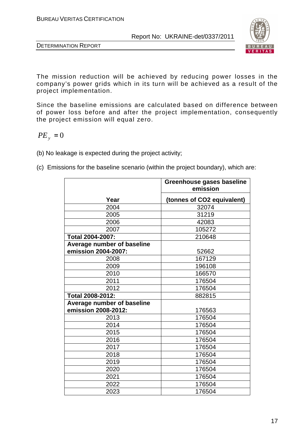



The mission reduction will be achieved by reducing power losses in the company's power grids which in its turn will be achieved as a result of the project implementation.

Since the baseline emissions are calculated based on difference between of power loss before and after the project implementation, consequently the project emission will equal zero.

## $PE_y = 0$

- (b) No leakage is expected during the project activity;
- (c) Emissions for the baseline scenario (within the project boundary), which are:

|                            | Greenhouse gases baseline<br>emission |
|----------------------------|---------------------------------------|
| Year                       | (tonnes of CO2 equivalent)            |
| 2004                       | 32074                                 |
| 2005                       | 31219                                 |
| 2006                       | 42083                                 |
| 2007                       | 105272                                |
| <b>Total 2004-2007:</b>    | 210648                                |
| Average number of baseline |                                       |
| emission 2004-2007:        | 52662                                 |
| 2008                       | 167129                                |
| 2009                       | 196108                                |
| 2010                       | 166570                                |
| 2011                       | 176504                                |
| 2012                       | 176504                                |
| Total 2008-2012:           | 882815                                |
| Average number of baseline |                                       |
| emission 2008-2012:        | 176563                                |
| 2013                       | 176504                                |
| 2014                       | 176504                                |
| 2015                       | 176504                                |
| 2016                       | 176504                                |
| 2017                       | 176504                                |
| 2018                       | 176504                                |
| 2019                       | 176504                                |
| 2020                       | 176504                                |
| 2021                       | 176504                                |
| 2022                       | 176504                                |
| 2023                       | 176504                                |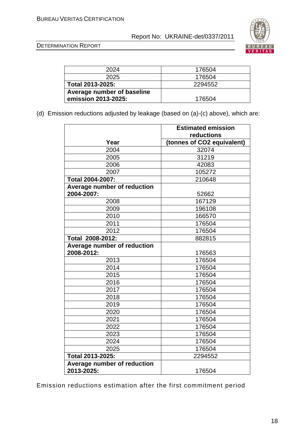

DETERMINATION REPORT

| 2024                       | 176504  |
|----------------------------|---------|
| 2025                       | 176504  |
| Total 2013-2025:           | 2294552 |
| Average number of baseline |         |
| emission 2013-2025:        | 176504  |

(d) Emission reductions adjusted by leakage (based on (a)-(c) above), which are:

|                             | <b>Estimated emission</b>  |
|-----------------------------|----------------------------|
|                             | reductions                 |
| Year                        | (tonnes of CO2 equivalent) |
| 2004                        | 32074                      |
| 2005                        | 31219                      |
| 2006                        | 42083                      |
| 2007                        | 105272                     |
| Total 2004-2007:            | 210648                     |
| Average number of reduction |                            |
| 2004-2007:                  | 52662                      |
| 2008                        | 167129                     |
| 2009                        | 196108                     |
| 2010                        | 166570                     |
| 2011                        | 176504                     |
| 2012                        | 176504                     |
| Total 2008-2012:            | 882815                     |
| Average number of reduction |                            |
| 2008-2012:                  | 176563                     |
| 2013                        | 176504                     |
| 2014                        | 176504                     |
| 2015                        | 176504                     |
| 2016                        | 176504                     |
| 2017                        | 176504                     |
| 2018                        | 176504                     |
| 2019                        | 176504                     |
| 2020                        | 176504                     |
| 2021                        | 176504                     |
| 2022                        | 176504                     |
| 2023                        | 176504                     |
| 2024                        | 176504                     |
| 2025                        | 176504                     |
| Total 2013-2025:            | 2294552                    |
| Average number of reduction |                            |
| 2013-2025:                  | 176504                     |

Emission reductions estimation after the first commitment period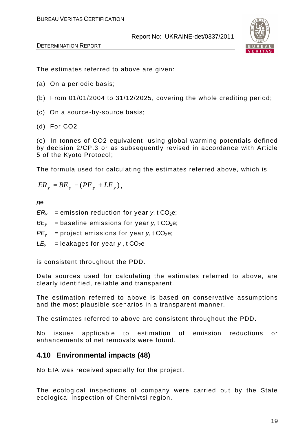

DETERMINATION REPORT

The estimates referred to above are given:

- (a) On a periodic basis;
- (b) From 01/01/2004 to 31/12/2025, covering the whole crediting period;
- (c) On a source-by-source basis;
- (d) For CO2

(e) In tonnes of CO2 equivalent, using global warming potentials defined by decision 2/CP.3 or as subsequently revised in accordance with Article 5 of the Kyoto Protocol;

The formula used for calculating the estimates referred above, which is

$$
ER_{y} = BE_{y} - (PE_{y} + LE_{y}),
$$

де

 $ER<sub>v</sub>$  = emission reduction for year y, t CO<sub>2</sub>e;

- $BE<sub>v</sub>$  = baseline emissions for year y, t CO<sub>2</sub>e;
- $PE<sub>y</sub>$  = project emissions for year y, t CO<sub>2</sub>e;
- $LE<sub>v</sub>$  = leakages for year  $v$ , t CO<sub>2</sub>e

is consistent throughout the PDD.

Data sources used for calculating the estimates referred to above, are clearly identified, reliable and transparent.

The estimation referred to above is based on conservative assumptions and the most plausible scenarios in a transparent manner.

The estimates referred to above are consistent throughout the PDD.

No issues applicable to estimation of emission reductions or enhancements of net removals were found.

## **4.10 Environmental impacts (48)**

No EIA was received specially for the project.

The ecological inspections of company were carried out by the State ecological inspection of Chernivtsi region.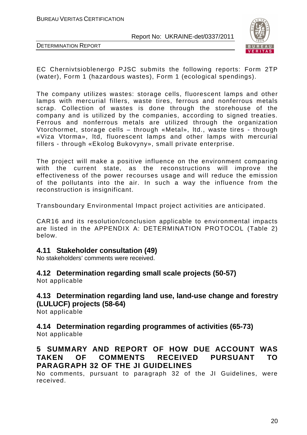

DETERMINATION REPORT

EC Chernivtsioblenergo PJSC submits the following reports: Form 2ТP (water), Form 1 (hazardous wastes), Form 1 (ecological spendings).

The company utilizes wastes: storage cells, fluorescent lamps and other lamps with mercurial fillers, waste tires, ferrous and nonferrous metals scrap. Collection of wastes is done through the storehouse of the company and is utilized by the companies, according to signed treaties. Ferrous and nonferrous metals are utilized through the organization Vtorchormet, storage cells – through «Metal», ltd., waste tires - through «Viza Vtorma», ltd, fluorescent lamps and other lamps with mercurial fillers - through «Ekolog Bukovyny», small private enterprise.

The project will make a positive influence on the environment comparing with the current state, as the reconstructions will improve the effectiveness of the power recourses usage and will reduce the emission of the pollutants into the air. In such a way the influence from the reconstruction is insignificant.

Transboundary Environmental Impact project activities are anticipated.

CAR16 and its resolution/conclusion applicable to environmental impacts are listed in the APPENDIX A: DETERMINATION PROTOCOL (Table 2) below.

#### **4.11 Stakeholder consultation (49)**

No stakeholders' comments were received.

#### **4.12 Determination regarding small scale projects (50-57)**

Not applicable

## **4.13 Determination regarding land use, land-use change and forestry (LULUCF) projects (58-64)**

Not applicable

## **4.14 Determination regarding programmes of activities (65-73)**

Not applicable

## **5 SUMMARY AND REPORT OF HOW DUE ACCOUNT WAS TAKEN OF COMMENTS RECEIVED PURSUANT TO PARAGRAPH 32 OF THE JI GUIDELINES**

No comments, pursuant to paragraph 32 of the JI Guidelines, were received.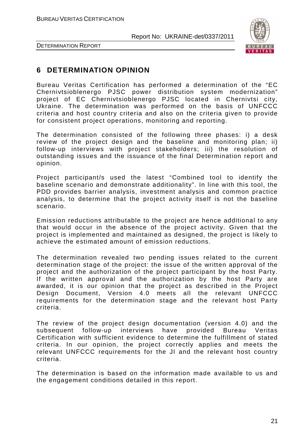

DETERMINATION REPORT

## **6 DETERMINATION OPINION**

Bureau Veritas Certification has performed a determination of the "EC Chernivtsioblenergo PJSC power distribution system modernization" project of EC Chernivtsioblenergo PJSC located in Chernivtsi city, Ukraine. The determination was performed on the basis of UNFCCC criteria and host country criteria and also on the criteria given to provide for consistent project operations, monitoring and reporting.

The determination consisted of the following three phases: i) a desk review of the project design and the baseline and monitoring plan; ii) follow-up interviews with project stakeholders; iii) the resolution of outstanding issues and the issuance of the final Determination report and opinion.

Project participant/s used the latest "Combined tool to identify the baseline scenario and demonstrate additionality". In line with this tool, the PDD provides barrier analysis, investment analysis and common practice analysis, to determine that the project activity itself is not the baseline scenario.

Emission reductions attributable to the project are hence additional to any that would occur in the absence of the project activity. Given that the project is implemented and maintained as designed, the project is likely to achieve the estimated amount of emission reductions.

The determination revealed two pending issues related to the current determination stage of the project: the issue of the written approval of the project and the authorization of the project participant by the host Party. If the written approval and the authorization by the host Party are awarded, it is our opinion that the project as described in the Project Design Document, Version 4.0 meets all the relevant UNFCCC requirements for the determination stage and the relevant host Party criteria.

The review of the project design documentation (version 4.0) and the subsequent follow-up interviews have provided Bureau Veritas Certification with sufficient evidence to determine the fulfillment of stated criteria. In our opinion, the project correctly applies and meets the relevant UNFCCC requirements for the JI and the relevant host country criteria.

The determination is based on the information made available to us and the engagement conditions detailed in this report.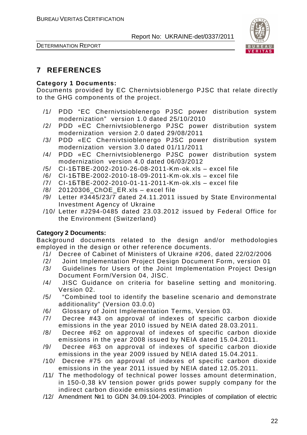



## **7 REFERENCES**

#### **Category 1 Documents:**

Documents provided by EC Chernivtsioblenergo PJSC that relate directly to the GHG components of the project.

- /1/ PDD "EC Chernivtsioblenergo PJSC power distribution system modernization" version 1.0 dated 25/10/2010
- /2/ PDD «EC Chernivtsioblenergo PJSC power distribution system modernization version 2.0 dated 29/08/2011
- /3/ PDD «EC Chernivtsioblenergo PJSC power distribution system modernization version 3.0 dated 01/11/2011
- /4/ PDD «EC Chernivtsioblenergo PJSC power distribution system modernization version 4.0 dated 06/03/2012
- /5/ CI-1БТВЕ-2002-2010-26-08-2011-Km-ok.xls excel file
- /6/ CI-1БТВЕ-2002-2010-18-09-2011-Km-ok.xls excel file
- /7/ CI-1БТВЕ-2002-2010-01-11-2011-Km-ok.xls excel file
- /8/ 20120306\_ChOE\_ER.xls excel file
- /9/ Letter #3445/23/7 dated 24.11.2011 issued by State Environmental Investment Agency of Ukraine
- /10/ Letter #J294-0485 dated 23.03.2012 issued by Federal Office for the Environment (Switzerland)

#### **Category 2 Documents:**

Background documents related to the design and/or methodologies employed in the design or other reference documents.

- /1/ Decree of Cabinet of Ministers of Ukraine #206, dated 22/02/2006
- /2/ Joint Implementation Project Design Document Form, version 01
- /3/ Guidelines for Users of the Joint Implementation Project Design Document Form/Version 04, JISC.
- /4/ JISC Guidance on criteria for baseline setting and monitoring. Version 02.
- /5/ "Combined tool to identify the baseline scenario and demonstrate additionality" (Version 03.0.0)
- /6/ Glossary of Joint Implementation Terms, Version 03.
- /7/ Decree #43 on approval of indexes of specific carbon dioxide emissions in the year 2010 issued by NEIA dated 28.03.2011.
- /8/ Decree #62 on approval of indexes of specific carbon dioxide emissions in the year 2008 issued by NEIA dated 15.04.2011.
- /9/ Decree #63 on approval of indexes of specific carbon dioxide emissions in the year 2009 issued by NEIA dated 15.04.2011.
- /10/ Decree #75 on approval of indexes of specific carbon dioxide emissions in the year 2011 issued by NEIA dated 12.05.2011.
- /11/ The methodology of technical power losses amount determination, in 150-0,38 kV tension power grids power supply company for the indirect carbon dioxide emissions estimation
- /12/ Amendment №1 to GDN 34.09.104-2003. Principles of compilation of electric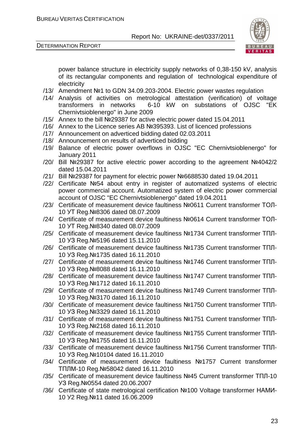



power balance structure in electricity supply networks of 0,38-150 kV, analysis of its rectangular components and regulation of technological expenditure of electricity

- /13/ Amendment №1 to GDN 34.09.203-2004. Electric power wastes regulation
- /14/ Analysis of activities on metrological attestation (verification) of voltage transformers in networks 6-10 kW on substations of OJSC "EK Chernivtsioblenergo" in June 2009
- /15/ Annex to the bill №29387 for active electric power dated 15.04.2011
- /16/ Annex to the Licence series AB №395393. List of licenced professions
- /17/ Announcement on adverticed bidding dated 02.03.2011
- /18/ Announcement on results of adverticed bidding
- /19/ Balance of electric power overflows in OJSC "EC Chernivtsioblenergo" for January 2011
- /20/ Bill №29387 for active electric power according to the agreement №4042/2 dated 15.04.2011
- /21/ Bill №29387 for payment for electric power №6688530 dated 19.04.2011
- /22/ Certificate №54 about entry in register of automatized systems of electric power commercial account. Automatized system of electric power commercial account of OJSC "EC Chernivtsioblenergo" dated 19.04.2011
- /23/ Certificate of measurement device faultiness №0611 Current transformer ТОЛ-10 УТ Reg.№8306 dated 08.07.2009
- /24/ Certificate of measurement device faultiness №0614 Current transformer ТОЛ-10 УТ Reg.№8340 dated 08.07.2009
- /25/ Certificate of measurement device faultiness №1734 Current transformer ТПЛ-10 УЗ Reg.№5196 dated 15.11.2010
- /26/ Certificate of measurement device faultiness №1735 Current transformer ТПЛ-10 УЗ Reg.№1735 dated 16.11.2010
- /27/ Certificate of measurement device faultiness №1746 Current transformer ТПЛ-10 УЗ Reg.№8088 dated 16.11.2010
- /28/ Certificate of measurement device faultiness №1747 Current transformer ТПЛ-10 УЗ Reg.№1712 dated 16.11.2010
- /29/ Certificate of measurement device faultiness №1749 Current transformer ТПЛ-10 УЗ Reg.№3170 dated 16.11.2010
- /30/ Certificate of measurement device faultiness №1750 Current transformer ТПЛ-10 УЗ Reg.№3329 dated 16.11.2010
- /31/ Certificate of measurement device faultiness №1751 Current transformer ТПЛ-10 УЗ Reg.№2168 dated 16.11.2010
- /32/ Certificate of measurement device faultiness №1755 Current transformer ТПЛ-10 УЗ Reg.№1755 dated 16.11.2010
- /33/ Certificate of measurement device faultiness №1756 Current transformer ТПЛ-10 УЗ Reg.№10104 dated 16.11.2010
- /34/ Certificate of measurement device faultiness №1757 Current transformer ТПЛМ-10 Reg.№58042 dated 16.11.2010
- /35/ Certificate of measurement device faultiness №45 Current transformer ТПЛ-10 УЗ Reg.№0554 dated 20.06.2007
- /36/ Certificate of state metrological certification №100 Voltage transformer НАМИ-10 У2 Reg.№11 dated 16.06.2009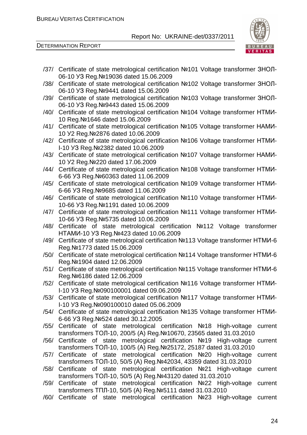

DETERMINATION REPORT

/37/ Certificate of state metrological certification №101 Voltage transformer ЗНОЛ-06-10 УЗ Reg.№19036 dated 15.06.2009 /38/ Certificate of state metrological certification №102 Voltage transformer ЗНОЛ-06-10 УЗ Reg.№9441 dated 15.06.2009 /39/ Certificate of state metrological certification №103 Voltage transformer ЗНОЛ-06-10 УЗ Reg.№9443 dated 15.06.2009 /40/ Certificate of state metrological certification №104 Voltage transformer НТМИ-10 Reg.№1646 dated 15.06.2009 /41/ Certificate of state metrological certification №105 Voltage transformer НАМИ-10 У2 Reg.№2876 dated 10.06.2009 /42/ Certificate of state metrological certification №106 Voltage transformer НТМИ-І-10 УЗ Reg.№2382 dated 10.06.2009 /43/ Certificate of state metrological certification №107 Voltage transformer НАМИ-10 У2 Reg.№220 dated 17.06.2009 /44/ Certificate of state metrological certification №108 Voltage transformer НТМИ-6-66 УЗ Reg.№60363 dated 11.06.2009 /45/ Certificate of state metrological certification №109 Voltage transformer НТМИ-6-66 УЗ Reg.№9685 dated 11.06.2009 /46/ Certificate of state metrological certification №110 Voltage transformer НТМИ-10-66 УЗ Reg.№1191 dated 10.06.2009 /47/ Certificate of state metrological certification №111 Voltage transformer НТМИ-10-66 УЗ Reg.№5735 dated 10.06.2009 /48/ Certificate of state metrological certification №112 Voltage transformer НТАМИ-10 УЗ Reg.№423 dated 10.06.2009 /49/ Certificate of state metrological certification №113 Voltage transformer НТМИ-6 Reg.№1773 dated 15.06.2009 /50/ Certificate of state metrological certification №114 Voltage transformer НТМИ-6 Reg.№1904 dated 12.06.2009 /51/ Certificate of state metrological certification №115 Voltage transformer НТМИ-6 Reg.№6186 dated 12.06.2009 /52/ Certificate of state metrological certification №116 Voltage transformer НТМИ-І-10 УЗ Reg.№090100001 dated 09.06.2009 /53/ Certificate of state metrological certification №117 Voltage transformer НТМИ-І-10 УЗ Reg.№090100010 dated 05.06.2009 /54/ Certificate of state metrological certification №135 Voltage transformer НТМИ-6-66 УЗ Reg.№524 dated 30.12.2005 /55/ Certificate of state metrological certification №18 High-voltage current transformers ТОЛ-10, 200/5 (А) Reg.№10670, 23565 dated 31.03.2010 /56/ Certificate of state metrological certification №19 High-voltage current transformers ТОЛ-10, 100/5 (А) Reg.№25172, 25187 dated 31.03.2010 /57/ Certificate of state metrological certification №20 High-voltage current transformers ТОЛ-10, 50/5 (А) Reg.№42034, 43359 dated 31.03.2010 /58/ Certificate of state metrological certification №21 High-voltage current transformers ТОЛ-10, 50/5 (А) Reg.№43120 dated 31.03.2010 /59/ Certificate of state metrological certification №22 High-voltage current transformers ТПЛ-10, 50/5 (А) Reg.№5111 dated 31.03.2010 /60/ Certificate of state metrological certification №23 High-voltage current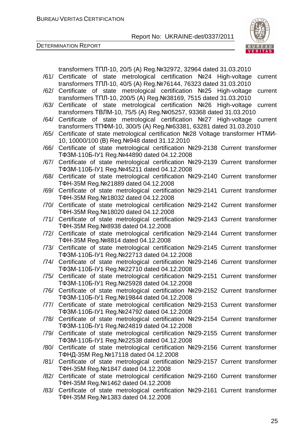

DETERMINATION REPORT

|      | transformers ТПЛ-10, 20/5 (A) Reg. № 32972, 32964 dated 31.03.2010                                                                |
|------|-----------------------------------------------------------------------------------------------------------------------------------|
| /61/ | Certificate of state metrological certification Nº24 High-voltage<br>current                                                      |
|      | transformers TΠЛ-10, 40/5 (A) Reg. Nº76144, 76323 dated 31.03.2010                                                                |
|      | /62/ Certificate of state metrological certification Nº25 High-voltage<br>current                                                 |
|      | transformers ТПЛ-10, 200/5 (A) Reg. №38169, 7515 dated 31.03.2010                                                                 |
| /63/ | Certificate of state metrological certification Nº26 High-voltage<br>current                                                      |
|      | transformers ТВЛМ-10, 75/5 (A) Reg. Nº05257, 93368 dated 31.03.2010                                                               |
| /64/ | Certificate of state metrological certification Nº27 High-voltage current                                                         |
|      | transformers TΠΦM-10, 300/5 (A) Reg. Nº63381, 63281 dated 31.03.2010                                                              |
| /65/ | Certificate of state metrological certification Nº28 Voltage transformer HTMM-                                                    |
|      | 10, 10000/100 (B) Reg. Nº948 dated 31.12.2010                                                                                     |
| /66/ | Certificate of state metrological certification Nº29-2138 Current transformer                                                     |
|      | TФЗМ-110Б-IУ1 Reg. Nº44890 dated 04.12.2008                                                                                       |
| /67/ | Certificate of state metrological certification Nº29-2139 Current transformer                                                     |
| /68/ | TФЗМ-110Б-IУ1 Reg. Nº45211 dated 04.12.2008                                                                                       |
|      | Certificate of state metrological certification Nº29-2140 Current transformer<br>TΦH-35M Reg. Nº21889 dated 04.12.2008            |
| /69/ | Certificate of state metrological certification Nº29-2141 Current transformer                                                     |
|      | TΦH-35M Reg. Nº18032 dated 04.12.2008                                                                                             |
| /70/ | Certificate of state metrological certification Nº29-2142 Current transformer                                                     |
|      | TΦH-35M Reg. Nº18020 dated 04.12.2008                                                                                             |
| /71/ | Certificate of state metrological certification Nº29-2143 Current transformer                                                     |
|      | TΦH-35M Reg. Nº8938 dated 04.12.2008                                                                                              |
| /72/ | Certificate of state metrological certification Nº29-2144 Current transformer                                                     |
|      | TΦH-35M Reg. Nº8814 dated 04.12.2008                                                                                              |
| /73/ | Certificate of state metrological certification Nº29-2145 Current transformer                                                     |
|      | TФЗМ-110Б-IУ1 Reg. Nº22713 dated 04.12.2008                                                                                       |
| /74/ | Certificate of state metrological certification Nº29-2146 Current transformer                                                     |
|      | TΦ3M-110Б-IУ1 Reg. Nº22710 dated 04.12.2008                                                                                       |
| /75/ | Certificate of state metrological certification Nº29-2151 Current transformer                                                     |
|      | TΦ3M-110Б-IУ1 Reg. №25928 dated 04.12.2008                                                                                        |
| /76/ | Certificate of state metrological certification Nº29-2152 Current transformer                                                     |
|      | ТФЗМ-110Б-IУ1 Reg.№19844 dated 04.12.2008                                                                                         |
|      | /77/ Certificate of state metrological certification Nº29-2153 Current transformer<br>TΦ3M-110Б-IУ1 Reg. Nº24792 dated 04.12.2008 |
| /78/ | Certificate of state metrological certification Nº29-2154 Current transformer                                                     |
|      | TΦ3M-110Б-IУ1 Reg. Nº24819 dated 04.12.2008                                                                                       |
| /79/ | Certificate of state metrological certification Nº29-2155 Current transformer                                                     |
|      | TФЗМ-110Б-IУ1 Reg. №22538 dated 04.12.2008                                                                                        |
| /80/ | Certificate of state metrological certification Nº29-2156 Current transformer                                                     |
|      | ТФНД-35М Reg. №17118 dated 04.12.2008                                                                                             |
| /81/ | Certificate of state metrological certification Nº29-2157 Current transformer                                                     |
|      | TΦH-35M Reg. Nº1847 dated 04.12.2008                                                                                              |
|      | /82/ Certificate of state metrological certification Nº29-2160 Current transformer                                                |
|      | TΦH-35M Reg. Nº1462 dated 04.12.2008                                                                                              |
| /83/ | Certificate of state metrological certification Nº29-2161 Current transformer                                                     |
|      | TΦH-35M Reg. Nº1383 dated 04.12.2008                                                                                              |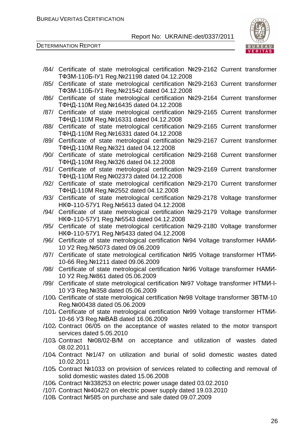

DETERMINATION REPORT

|      | /84/ Certificate of state metrological certification Nº29-2162 Current transformer<br>TΦ3M-110Б-IУ1 Reg. №21198 dated 04.12.2008 |
|------|----------------------------------------------------------------------------------------------------------------------------------|
| /85/ | Certificate of state metrological certification Nº29-2163 Current transformer                                                    |
| /86/ | TΦ3M-110Б-IУ1 Reg. Nº21542 dated 04.12.2008<br>Certificate of state metrological certification Nº29-2164 Current transformer     |
| /87/ | ТФНД-110M Reg. №16435 dated 04.12.2008<br>Certificate of state metrological certification Nº29-2165 Current transformer          |
| /88/ | ТФНД-110M Reg. №16331 dated 04.12.2008<br>Certificate of state metrological certification Nº29-2165 Current transformer          |
| /89/ | ТФНД-110M Reg. №16331 dated 04.12.2008<br>Certificate of state metrological certification<br>Nº29-2167 Current transformer       |
| /90/ | ТФНД-110M Reg. №321 dated 04.12.2008<br>Nº29-2168 Current transformer<br>Certificate of state metrological certification         |
| /91/ | ТФНД-110M Reg. №326 dated 04.12.2008<br>Certificate of state metrological certification<br>Nº29-2169 Current transformer         |
| /92/ | ТФНД-110M Reg. №02373 dated 04.12.2008<br>Certificate of state metrological certification<br>Nº29-2170 Current transformer       |
| /93/ | ТФНД-110M Reg. №2552 dated 04.12.2008<br>Certificate of state metrological certification Nº29-2178 Voltage transformer           |
| /94/ | HKΦ-110-57У1 Reg. № 5613 dated 04.12.2008<br>Certificate of state metrological certification Nº29-2179 Voltage transformer       |
| /95/ | HKΦ-110-57У1 Reg. Nº5543 dated 04.12.2008<br>Certificate of state metrological certification Nº29-2180 Voltage transformer       |
| /96/ | HKΦ-110-57У1 Reg. Nº5433 dated 04.12.2008<br>Certificate of state metrological certification Nº94 Voltage transformer HAMU-      |
| /97/ | 10 Y2 Reg. Nº 5073 dated 09.06.2009<br>Certificate of state metrological certification Nº95 Voltage transformer HTMU-            |
|      | 10-66 Reg. Nº1211 dated 09.06.2009                                                                                               |
| /98/ | Certificate of state metrological certification Nº96 Voltage transformer HAMI-<br>10 Y2 Reg. Nº861 dated 05.06.2009              |
| /99/ | Certificate of state metrological certification Nº97 Voltage transformer HTMU-I-<br>10 УЗ Reg. № 358 dated 05.06.2009            |
|      | /100, Certificate of state metrological certification Nº98 Voltage transformer 3BTM-10<br>Reg. Nº 00438 dated 05.06.2009         |
|      | /101, Certificate of state metrological certification Nº99 Voltage transformer HTMU-<br>10-66 УЗ Reg. № ВАВ dated 16.06.2009     |
|      | /102 Contract 06/05 on the acceptance of wastes related to the motor transport<br>services dated 5.05.2010                       |
|      | /103 Contract Nº08/02-B/M on acceptance and utilization of wastes dated<br>08.02.2011                                            |
|      | /104 Contract Nº1/47 on utilization and burial of solid domestic wastes dated<br>10.02.2011                                      |
|      | /105/ Contract №1033 on provision of services related to collecting and removal of<br>solid domestic wastes dated 15.06.2008     |
|      |                                                                                                                                  |
|      | /106 Contract №338253 on electric power usage dated 03.02.2010                                                                   |
|      | /107, Contract Nº4042/2 on electric power supply dated 19.03.2010                                                                |
|      | /108/ Contract Nº585 on purchase and sale dated 09.07.2009                                                                       |

26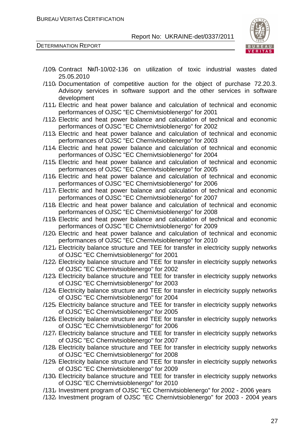

DETERMINATION REPORT

- /109/ Contract №Л-10/02-136 on utilization of toxic industrial wastes dated 25.05.2010
- /110/ Documentation of competitive auction for the object of purchase 72.20.3. Advisory services in software support and the other services in software development
- /111/ Electric and heat power balance and calculation of technical and economic performances of OJSC "EC Chernivtsioblenergo" for 2001
- /112/ Electric and heat power balance and calculation of technical and economic performances of OJSC "EC Chernivtsioblenergo" for 2002
- /113/ Electric and heat power balance and calculation of technical and economic performances of OJSC "EC Chernivtsioblenergo" for 2003
- /114/ Electric and heat power balance and calculation of technical and economic performances of OJSC "EC Chernivtsioblenergo" for 2004
- /115/ Electric and heat power balance and calculation of technical and economic performances of OJSC "EC Chernivtsioblenergo" for 2005
- /116/ Electric and heat power balance and calculation of technical and economic performances of OJSC "EC Chernivtsioblenergo" for 2006
- /117/ Electric and heat power balance and calculation of technical and economic performances of OJSC "EC Chernivtsioblenergo" for 2007
- /118/ Electric and heat power balance and calculation of technical and economic performances of OJSC "EC Chernivtsioblenergo" for 2008
- /119/ Electric and heat power balance and calculation of technical and economic performances of OJSC "EC Chernivtsioblenergo" for 2009
- /120/ Electric and heat power balance and calculation of technical and economic performances of OJSC "EC Chernivtsioblenergo" for 2010
- /121/ Electricity balance structure and TEE for transfer in electricity supply networks of OJSC "EC Chernivtsioblenergo" for 2001
- /122/ Electricity balance structure and TEE for transfer in electricity supply networks of OJSC "EC Chernivtsioblenergo" for 2002
- /123/ Electricity balance structure and TEE for transfer in electricity supply networks of OJSC "EC Chernivtsioblenergo" for 2003
- /124/ Electricity balance structure and TEE for transfer in electricity supply networks of OJSC "EC Chernivtsioblenergo" for 2004
- /125/ Electricity balance structure and TEE for transfer in electricity supply networks of OJSC "EC Chernivtsioblenergo" for 2005
- /126/ Electricity balance structure and TEE for transfer in electricity supply networks of OJSC "EC Chernivtsioblenergo" for 2006
- /127/ Electricity balance structure and TEE for transfer in electricity supply networks of OJSC "EC Chernivtsioblenergo" for 2007
- /128/ Electricity balance structure and TEE for transfer in electricity supply networks of OJSC "EC Chernivtsioblenergo" for 2008
- /129/ Electricity balance structure and TEE for transfer in electricity supply networks of OJSC "EC Chernivtsioblenergo" for 2009
- /130/ Electricity balance structure and TEE for transfer in electricity supply networks of OJSC "EC Chernivtsioblenergo" for 2010
- /131/ Investment program of OJSC "EC Chernivtsioblenergo" for 2002 2006 years
- /132/ Investment program of OJSC "EC Chernivtsioblenergo" for 2003 2004 years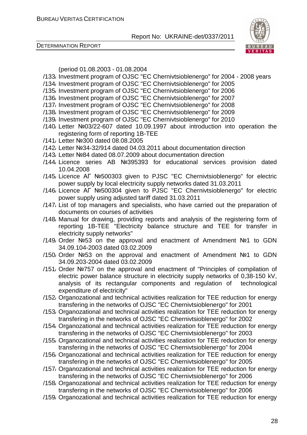DETERMINATION REPORT



(period 01.08.2003 - 01.08.2004

- /133/ Investment program of OJSC "EC Chernivtsioblenergo" for 2004 2008 years
- /134/ Investment program of OJSC "EC Chernivtsioblenergo" for 2005
- /135/ Investment program of OJSC "EC Chernivtsioblenergo" for 2006
- /136/ Investment program of OJSC "EC Chernivtsioblenergo" for 2007
- /137/ Investment program of OJSC "EC Chernivtsioblenergo" for 2008
- /138/ Investment program of OJSC "EC Chernivtsioblenergo" for 2009
- /139/ Investment program of OJSC "EC Chernivtsioblenergo" for 2010
- /140/ Letter №03/22-607 dated 10.09.1997 about introduction into operation the registering form of reporting 1B-TEE
- /141/ Letter №300 dated 08.08.2005
- /142/ Letter №34-32/914 dated 04.03.2011 about documentation direction
- /143/ Letter №84 dated 08.07.2009 about documentation direction
- /144/ Licence series AB №395393 for educational services provision dated 10.04.2008
- /145/ Licence АГ №500303 given to PJSC "EC Chernivtsioblenergo" for electric power supply by local electricity supply networks dated 31.03.2011
- /146/ Licence АГ №500304 given to PJSC "EC Chernivtsioblenergo" for electric power supply using adjusted tariff dated 31.03.2011
- /147/ List of top managers and specialists, who have carried out the preparation of documents on courses of activities
- /148/ Manual for drawing, providing reports and analysis of the registering form of reporting 1B-TEE "Electricity balance structure and TEE for transfer in electricity supply networks"
- /149/ Order №53 on the approval and enactment of Amendment №1 to GDN 34.09.104-2003 dated 03.02.2009
- /150/ Order №53 on the approval and enactment of Amendment №1 to GDN 34.09.203-2004 dated 03.02.2009
- /151/ Order №757 on the approval and enactment of "Principles of compilation of electric power balance structure in electricity supply networks of 0,38-150 kV, analysis of its rectangular components and regulation of technological expenditure of electricity"
- /152/ Organozational and technical activities realization for TEE reduction for energy transfering in the networks of OJSC "EC Chernivtsioblenergo" for 2001
- /153/ Organozational and technical activities realization for TEE reduction for energy transfering in the networks of OJSC "EC Chernivtsioblenergo" for 2002
- /154/ Organozational and technical activities realization for TEE reduction for energy transfering in the networks of OJSC "EC Chernivtsioblenergo" for 2003
- /155/ Organozational and technical activities realization for TEE reduction for energy transfering in the networks of OJSC "EC Chernivtsioblenergo" for 2004
- /156/ Organozational and technical activities realization for TEE reduction for energy transfering in the networks of OJSC "EC Chernivtsioblenergo" for 2005
- /157/ Organozational and technical activities realization for TEE reduction for energy transfering in the networks of OJSC "EC Chernivtsioblenergo" for 2006
- /158/ Organozational and technical activities realization for TEE reduction for energy transfering in the networks of OJSC "EC Chernivtsioblenergo" for 2006
- /159/ Organozational and technical activities realization for TEE reduction for energy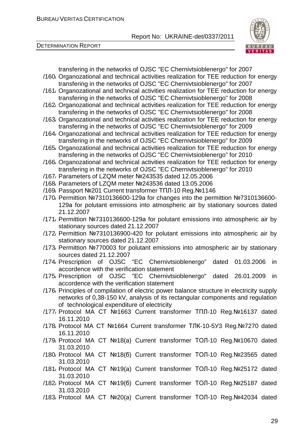



transfering in the networks of OJSC "EC Chernivtsioblenergo" for 2007 /160/ Organozational and technical activities realization for TEE reduction for energy transfering in the networks of OJSC "EC Chernivtsioblenergo" for 2007

- /161/ Organozational and technical activities realization for TEE reduction for energy transfering in the networks of OJSC "EC Chernivtsioblenergo" for 2008
- /162/ Organozational and technical activities realization for TEE reduction for energy transfering in the networks of OJSC "EC Chernivtsioblenergo" for 2008
- /163/ Organozational and technical activities realization for TEE reduction for energy transfering in the networks of OJSC "EC Chernivtsioblenergo" for 2009
- /164/ Organozational and technical activities realization for TEE reduction for energy transfering in the networks of OJSC "EC Chernivtsioblenergo" for 2009
- /165/ Organozational and technical activities realization for TEE reduction for energy transfering in the networks of OJSC "EC Chernivtsioblenergo" for 2010
- /166/ Organozational and technical activities realization for TEE reduction for energy transfering in the networks of OJSC "EC Chernivtsioblenergo" for 2010
- /167/ Parameters of LZQM meter №243535 dated 12.05.2006
- /168/ Parameters of LZQM meter №243536 dated 13.05.2006
- /169/ Passport №201 Current transformer ТПЛ-10 Reg.№1146
- /170/ Permittion №7310136600-129а for changes into the permittion №7310136600- 129а for polutant emissions into atmospheric air by stationary sources dated 21.12.2007
- /171/ Permittion №7310136600-129а for polutant emissions into atmospheric air by stationary sources dated 21.12.2007
- /172/ Permittion №7310136900-420 for polutant emissions into atmospheric air by stationary sources dated 21.12.2007
- /173/ Permittion №770003 for polutant emissions into atmospheric air by stationary sources dated 21.12.2007
- /174/ Prescription of OJSC "EC Chernivtsioblenergo" dated 01.03.2006 in accordence with the verification statement
- /175/ Prescription of OJSC "EC Chernivtsioblenergo" dated 26.01.2009 in accordence with the verification statement
- /176/ Principles of compilation of electric power balance structure in electricity supply networks of 0,38-150 kV, analysis of its rectangular components and regulation of technological expenditure of electricity
- /177/ Protocol MA CT №1663 Current transformer ТПЛ-10 Reg.№16137 dated 16.11.2010
- /178/ Protocol MA CT №1664 Current transformer ТЛК-10-5У3 Reg.№7270 dated 16.11.2010
- /179/ Protocol MA CT №18(а) Current transformer ТОЛ-10 Reg.№10670 dated 31.03.2010
- /180/ Protocol MA CT №18(б) Current transformer ТОЛ-10 Reg.№23565 dated 31.03.2010
- /181/ Protocol MA CT №19(а) Current transformer ТОЛ-10 Reg.№25172 dated 31.03.2010
- /182/ Protocol MA CT №19(б) Current transformer ТОЛ-10 Reg.№25187 dated 31.03.2010
- /183/ Protocol MA CT №20(а) Current transformer ТОЛ-10 Reg.№42034 dated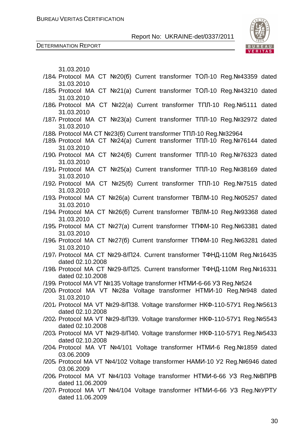DETERMINATION REPORT



| 31.03.2010                                                                                          |  |
|-----------------------------------------------------------------------------------------------------|--|
| /184/ Protocol MA CT №20(б) Current transformer ТОЛ-10 Reg.№43359 dated                             |  |
| 31.03.2010<br>/185/ Protocol MA CT Nº21(a) Current transformer TOJ-10 Reg. Nº43210 dated            |  |
| 31.03.2010                                                                                          |  |
| /186/ Protocol MA CT Nº22(a) Current transformer TΠЛ-10 Reg. Nº5111 dated                           |  |
| 31.03.2010<br>/187 <sub></sub> Protocol MA CT Nº23(a) Current transformer TΠЛ-10 Reg. Nº32972 dated |  |
| 31.03.2010                                                                                          |  |
| /188, Protocol MA CT №23(б) Current transformer ТПЛ-10 Reg.№32964                                   |  |
| /189, Protocol MA CT Nº24(a) Current transformer TΠЛ-10 Reg. Nº76144 dated                          |  |
| 31.03.2010                                                                                          |  |
| /190, Protocol MA CT Nº24(6) Current transformer TΠЛ-10 Reg. Nº76323 dated<br>31.03.2010            |  |
| /191, Protocol MA CT Nº25(a) Current transformer TΠЛ-10 Reg. Nº38169 dated                          |  |
| 31.03.2010                                                                                          |  |
| /192 Protocol MA CT Nº25(6) Current transformer TΠЛ-10 Reg.Nº7515 dated                             |  |
| 31.03.2010<br>/193, Protocol MA CT №26(a) Current transformer ТВЛМ-10 Reg. №05257 dated             |  |
| 31.03.2010                                                                                          |  |
| /194, Protocol MA CT №26(б) Current transformer ТВЛМ-10 Reg.№93368 dated                            |  |
| 31.03.2010                                                                                          |  |
| /195, Protocol MA CT Nº27(a) Current transformer TΠΦM-10 Reg.Nº63381 dated<br>31.03.2010            |  |
| /196, Protocol MA CT Nº27(6) Current transformer TΠΦM-10 Reg.Nº63281 dated                          |  |
| 31.03.2010                                                                                          |  |
| /197, Protocol MA CT №29-8/П24. Current transformer ТФНД-110М Reg.№16435<br>dated 02.10.2008        |  |
| /198, Protocol MA CT №29-8/П25. Current transformer ТФНД-110М Reg.№16331                            |  |
| dated 02.10.2008                                                                                    |  |
| /199, Protocol MA VT Nº135 Voltage transformer HTMI - 6-66 Y3 Reg. Nº524                            |  |
| /200 Protocol MA VT Nº28a Voltage transformer HTMU-10 Reg.Nº948 dated                               |  |
| 31.03.2010                                                                                          |  |
| /201, Protocol MA VT Nº29-8/Π38. Voltage transformer HKΦ-110-57У1 Reg.Nº5613                        |  |
| dated 02.10.2008                                                                                    |  |
| /202, Protocol MA VT Nº29-8/Π39. Voltage transformer HKΦ-110-57У1 Reg.Nº5543<br>dated 02.10.2008    |  |
| /203/ Protocol MA VT Nº29-8/Π40. Voltage transformer HKΦ-110-57У1 Reg.Nº5433                        |  |
| dated 02.10.2008                                                                                    |  |
| /204 Protocol MA VT Nº4/101 Voltage transformer HTMU-6 Reg. Nº1859 dated                            |  |
| 03.06.2009                                                                                          |  |
| /205, Protocol MA VT Nº4/102 Voltage transformer HAMИ-10 У2 Reg. №6946 dated                        |  |
| 03.06.2009                                                                                          |  |
| /206, Protocol MA VT Nº4/103 Voltage transformer HTMИ-6-66 УЗ Reg. NºBΠPB<br>dated 11.06.2009       |  |
| /207, Protocol MA VT Nº4/104 Voltage transformer HTMI 6-66 Y3 Reg. Nº YPTY                          |  |
| dated 11.06.2009                                                                                    |  |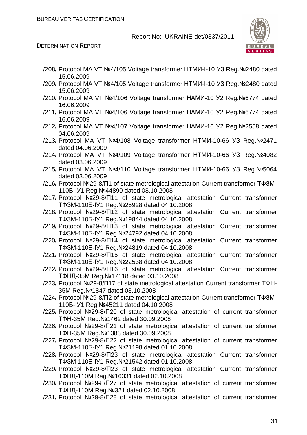

DETERMINATION REPORT

| /208/ Protocol MA VT Nº4/105 Voltage transformer HTMI -I-10 Y3 Reg. Nº2480 dated                                               |
|--------------------------------------------------------------------------------------------------------------------------------|
| 15.06.2009<br>/209, Protocol MA VT Nº4/105 Voltage transformer HTMI -I-10 Y3 Reg. Nº2480 dated                                 |
| 15.06.2009                                                                                                                     |
| /210, Protocol MA VT Nº4/106 Voltage transformer HAMI - 10 Y2 Reg. Nº6774 dated<br>16.06.2009                                  |
| /211, Protocol MA VT Nº4/106 Voltage transformer HAMI - 10 Y2 Reg. Nº6774 dated                                                |
| 16.06.2009                                                                                                                     |
| /212/ Protocol MA VT Nº4/107 Voltage transformer HAMI - 10 Y2 Reg. Nº2558 dated<br>04.06.2009                                  |
| /213, Protocol MA VT Nº4/108 Voltage transformer HTMI - 10-66 Y3 Reg. Nº2471                                                   |
| dated 04.06.2009                                                                                                               |
| /214, Protocol MA VT Nº4/109 Voltage transformer HTMI-10-66 Y3 Reg. Nº4082<br>dated 03.06.2009                                 |
| /215, Protocol MA VT Nº4/110 Voltage transformer HTMИ-10-66 УЗ Reg. №5064                                                      |
| dated 03.06.2009                                                                                                               |
| /216, Protocol Nº29-8/Π1 of state metrological attestation Current transformer TΦ3M-                                           |
| 1105-IY1 Reg. Nº44890 dated 08.10.2008                                                                                         |
| /217, Protocol Nº29-8/Π11 of state metrological attestation Current transformer                                                |
| TΦ3M-110Б-IУ1 Reg. №25928 dated 04.10.2008                                                                                     |
| /218 Protocol Nº29-8/Π12 of state metrological attestation Current transformer                                                 |
| TΦ3M-110Б-IУ1 Reg. №19844 dated 04.10.2008                                                                                     |
| /219, Protocol Nº29-8/Π13 of state metrological attestation Current transformer<br>TΦ3M-110Б-IУ1 Reg. Nº24792 dated 04.10.2008 |
| /220, Protocol Nº29-8/Π14 of state metrological attestation Current transformer                                                |
| TΦ3M-110Б-IУ1 Reg. Nº24819 dated 04.10.2008                                                                                    |
| /221, Protocol Nº29-8/Π15 of state metrological attestation Current transformer                                                |
| TΦ3M-110Б-IУ1 Reg. №22538 dated 04.10.2008                                                                                     |
| /222 Protocol Nº29-8/Π16 of state metrological attestation Current transformer                                                 |
| ТФНД-35M Reg. №17118 dated 03.10.2008                                                                                          |
| /223, Protocol Nº29-8/ 17 of state metrological attestation Current transformer TΦH-                                           |
| 35M Reg. №1847 dated 03.10.2008                                                                                                |
| /224, Protocol Nº29-8/Π2 of state metrological attestation Current transformer TΦ3M-                                           |
| 1105-IY1 Reg. Nº45211 dated 04.10.2008                                                                                         |
| /225, Protocol Nº29-8/Π20 of state metrological attestation of current transformer                                             |
| TΦH-35M Reg. Nº1462 dated 30.09.2008                                                                                           |
| /226, Protocol Nº29-8/Π21 of state metrological attestation of current transformer                                             |
| TΦH-35M Reg. Nº1383 dated 30.09.2008                                                                                           |
| /227, Protocol Nº29-8/Π22 of state metrological attestation of current transformer                                             |
| TΦ3M-110Б-IУ1 Reg. Nº21198 dated 01.10.2008                                                                                    |
| /228 Protocol Nº29-8/Π23 of state metrological attestation Current transformer<br>TΦ3M-110Б-IУ1 Reg. Nº21542 dated 01.10.2008  |
| /229, Protocol Nº29-8/Π23 of state metrological attestation Current transformer                                                |
| ТФНД-110M Reg. №16331 dated 02.10.2008                                                                                         |
| /230, Protocol Nº29-8/Π27 of state metrological attestation of current transformer                                             |
| ТФНД-110M Reg. №321 dated 02.10.2008                                                                                           |
| /231, Protocol Nº29-8/Π28 of state metrological attestation of current transformer                                             |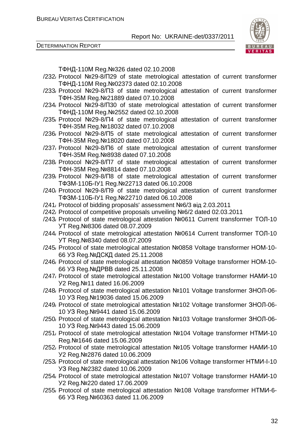DETERMINATION REPORT



ТФНД-110М Reg.№326 dated 02.10.2008

- /232/ Protocol №29-8/П29 of state metrological attestation of current transformer ТФНД-110М Reg.№02373 dated 02.10.2008
- /233/ Protocol №29-8/П3 of state metrological attestation of current transformer ТФН-35М Reg.№21889 dated 07.10.2008
- /234/ Protocol №29-8/П30 of state metrological attestation of current transformer ТФНД-110М Reg.№2552 dated 02.10.2008
- /235/ Protocol №29-8/П4 of state metrological attestation of current transformer ТФН-35М Reg.№18032 dated 07.10.2008
- /236/ Protocol №29-8/П5 of state metrological attestation of current transformer ТФН-35М Reg.№18020 dated 07.10.2008
- /237/ Protocol №29-8/П6 of state metrological attestation of current transformer ТФН-35М Reg.№8938 dated 07.10.2008
- /238/ Protocol №29-8/П7 of state metrological attestation of current transformer ТФН-35М Reg.№8814 dated 07.10.2008
- /239/ Protocol №29-8/П8 of state metrological attestation of current transformer ТФЗМ-110Б-ІУ1 Reg.№22713 dated 06.10.2008
- /240/ Protocol №29-8/П9 of state metrological attestation of current transformer ТФЗМ-110Б-ІУ1 Reg.№22710 dated 06.10.2008
- /241/ Protocol of bidding proposals' assessment №6/3 від 2.03.2011
- /242/ Protocol of competitive proposals unveiling №6/2 dated 02.03.2011
- /243/ Protocol of state metrological attestation №0611 Current transformer ТОЛ-10 УТ Reg.№8306 dated 08.07.2009
- /244/ Protocol of state metrological attestation №0614 Current transformer ТОЛ-10 УТ Reg.№8340 dated 08.07.2009
- /245/ Protocol of state metrological attestation №0858 Voltage transformer НОМ-10- 66 УЗ Reg.№ДСКД dated 25.11.2008
- /246/ Protocol of state metrological attestation №0859 Voltage transformer НОМ-10- 66 УЗ Reg.№ДРВВ dated 25.11.2008
- /247/ Protocol of state metrological attestation №100 Voltage transformer НАМИ-10 У2 Reg.№11 dated 16.06.2009
- /248/ Protocol of state metrological attestation №101 Voltage transformer ЗНОЛ-06- 10 УЗ Reg.№19036 dated 15.06.2009
- /249/ Protocol of state metrological attestation №102 Voltage transformer ЗНОЛ-06- 10 УЗ Reg.№9441 dated 15.06.2009
- /250/ Protocol of state metrological attestation №103 Voltage transformer ЗНОЛ-06- 10 УЗ Reg.№9443 dated 15.06.2009
- /251/ Protocol of state metrological attestation №104 Voltage transformer НТМИ-10 Reg.№1646 dated 15.06.2009
- /252/ Protocol of state metrological attestation №105 Voltage transformer НАМИ-10 У2 Reg.№2876 dated 10.06.2009
- /253/ Protocol of state metrological attestation №106 Voltage transformer НТМИ-І-10 УЗ Reg.№2382 dated 10.06.2009
- /254/ Protocol of state metrological attestation №107 Voltage transformer НАМИ-10 У2 Reg.№220 dated 17.06.2009
- /255/ Protocol of state metrological attestation №108 Voltage transformer НТМИ-6- 66 УЗ Reg.№60363 dated 11.06.2009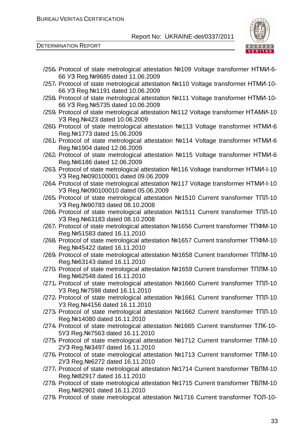

DETERMINATION REPORT

| /256, Protocol of state metrological attestation Nº109 Voltage transformer HTMM-6-                                         |
|----------------------------------------------------------------------------------------------------------------------------|
| 66 Y3 Reg. Nº9685 dated 11.06.2009<br>/257, Protocol of state metrological attestation Nº110 Voltage transformer HTMU-10-  |
| 66 Y3 Reg. Nº1191 dated 10.06.2009                                                                                         |
| /258, Protocol of state metrological attestation Nº111 Voltage transformer HTMU-10-                                        |
| 66 Y3 Reg. Nº 5735 dated 10.06.2009<br>/259, Protocol of state metrological attestation Nº112 Voltage transformer HTAMU-10 |
| УЗ Reg. №423 dated 10.06.2009                                                                                              |
| /260, Protocol of state metrological attestation Nº113 Voltage transformer HTMU-6<br>Reg. Nº1773 dated 15.06.2009          |
| /261, Protocol of state metrological attestation Nº114 Voltage transformer HTMU-6                                          |
| Reg. Nº1904 dated 12.06.2009                                                                                               |
| /262 Protocol of state metrological attestation Nº115 Voltage transformer HTMU-6                                           |
| Reg. Nº6186 dated 12.06.2009<br>/263/ Protocol of state metrological attestation Nº116 Voltage transformer HTMI-I-10       |
| УЗ Reg. №090100001 dated 09.06.2009                                                                                        |
| /264, Protocol of state metrological attestation Nº117 Voltage transformer HTMI-I-10                                       |
| УЗ Reg. №090100010 dated 05.06.2009                                                                                        |
| /265, Protocol of state metrological attestation Nº1510 Current transformer TΠЛ-10                                         |
| УЗ Reg. №90783 dated 08.10.2008<br>/266/ Protocol of state metrological attestation Nº1511 Current transformer TΠЛ-10      |
| УЗ Reg. №63183 dated 08.10.2008                                                                                            |
| /267, Protocol of state metrological attestation Nº1656 Current transformer TΠΦM-10                                        |
| Reg. Nº 51583 dated 16.11.2010                                                                                             |
| /268, Protocol of state metrological attestation №1657 Current transformer TПФМ-10                                         |
| Reg. Nº45422 dated 16.11.2010                                                                                              |
| /269, Protocol of state metrological attestation Nº1658 Current transformer TΠЛМ-10<br>Reg. Nº63143 dated 16.11.2010       |
| /270, Protocol of state metrological attestation Nº1659 Current transformer TΠЛМ-10                                        |
| Reg. Nº62548 dated 16.11.2010                                                                                              |
| /271, Protocol of state metrological attestation Nº1660 Current transformer TΠЛ-10                                         |
| Y3 Reg. Nº7598 dated 16.11.2010                                                                                            |
| /272/ Protocol of state metrological attestation Nº1661 Current transformer TΠЛ-10<br>УЗ Reg. №4156 dated 16.11.2010       |
| /273, Protocol of state metrological attestation Nº1662 Current transformer TΠЛ-10                                         |
| Reg. Nº14080 dated 16.11.2010                                                                                              |
| /274, Protocol of state metrological attestation Nº1665 Current transformer TJIK-10-                                       |
| 5Y3 Reg. Nº7563 dated 16.11.2010                                                                                           |
| /275/ Protocol of state metrological attestation Nº1712 Current transformer TJIM-10                                        |
| 2Y3 Reg. Nº3497 dated 16.11.2010<br>/276/ Protocol of state metrological attestation Nº1713 Current transformer TJIM-10    |
| 2Y3 Reg. Nº6272 dated 16.11.2010                                                                                           |
| /277, Protocol of state metrological attestation №1714 Current transformer TBJIM-10                                        |
| Reg. Nº82917 dated 16.11.2010                                                                                              |
| /278, Protocol of state metrological attestation №1715 Current transformer ТВЛМ-10                                         |
| Reg. Nº82901 dated 16.11.2010                                                                                              |
| /279, Protocol of state metrological attestation Nº1716 Current transformer TOJ-10-                                        |
|                                                                                                                            |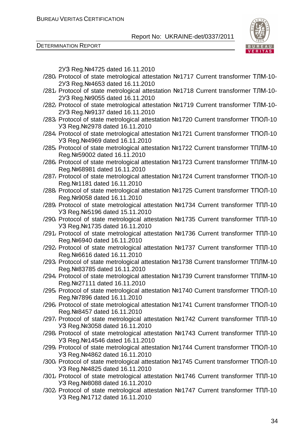DETERMINATION REPORT



2УЗ Reg.№4725 dated 16.11.2010

- /280/ Protocol of state metrological attestation №1717 Current transformer ТЛМ-10- 2УЗ Reg.№4653 dated 16.11.2010
- /281/ Protocol of state metrological attestation №1718 Current transformer ТЛМ-10- 2УЗ Reg.№9055 dated 16.11.2010
- /282/ Protocol of state metrological attestation №1719 Current transformer ТЛМ-10- 2УЗ Reg.№9137 dated 16.11.2010
- /283/ Protocol of state metrological attestation №1720 Current transformer ТПОЛ-10 УЗ Reg.№2978 dated 16.11.2010
- /284/ Protocol of state metrological attestation №1721 Current transformer ТПОЛ-10 УЗ Reg.№4969 dated 16.11.2010
- /285/ Protocol of state metrological attestation №1722 Current transformer ТПЛМ-10 Reg.№59002 dated 16.11.2010
- /286/ Protocol of state metrological attestation №1723 Current transformer ТПЛМ-10 Reg.№68981 dated 16.11.2010
- /287/ Protocol of state metrological attestation №1724 Current transformer ТПОЛ-10 Reg.№1181 dated 16.11.2010
- /288/ Protocol of state metrological attestation №1725 Current transformer ТПОЛ-10 Reg.№9058 dated 16.11.2010
- /289/ Protocol of state metrological attestation №1734 Current transformer ТПЛ-10 УЗ Reg.№5196 dated 15.11.2010
- /290/ Protocol of state metrological attestation №1735 Current transformer ТПЛ-10 УЗ Reg.№1735 dated 16.11.2010
- /291/ Protocol of state metrological attestation №1736 Current transformer ТПЛ-10 Reg.№6940 dated 16.11.2010
- /292/ Protocol of state metrological attestation №1737 Current transformer ТПЛ-10 Reg.№6616 dated 16.11.2010
- /293/ Protocol of state metrological attestation №1738 Current transformer ТПЛМ-10 Reg.№83785 dated 16.11.2010
- /294/ Protocol of state metrological attestation №1739 Current transformer ТПЛМ-10 Reg.№27111 dated 16.11.2010
- /295/ Protocol of state metrological attestation №1740 Current transformer ТПОЛ-10 Reg.№7896 dated 16.11.2010
- /296/ Protocol of state metrological attestation №1741 Current transformer ТПОЛ-10 Reg.№8457 dated 16.11.2010
- /297/ Protocol of state metrological attestation №1742 Current transformer ТПЛ-10 УЗ Reg.№3058 dated 16.11.2010
- /298/ Protocol of state metrological attestation №1743 Current transformer ТПЛ-10 УЗ Reg.№14546 dated 16.11.2010
- /299/ Protocol of state metrological attestation №1744 Current transformer ТПОЛ-10 УЗ Reg.№4862 dated 16.11.2010
- /300/ Protocol of state metrological attestation №1745 Current transformer ТПОЛ-10 УЗ Reg.№4825 dated 16.11.2010
- /301/ Protocol of state metrological attestation №1746 Current transformer ТПЛ-10 УЗ Reg.№8088 dated 16.11.2010
- /302/ Protocol of state metrological attestation №1747 Current transformer ТПЛ-10 УЗ Reg.№1712 dated 16.11.2010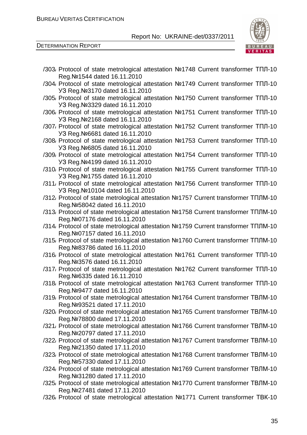

DETERMINATION REPORT

| Reg. Nº1544 dated 16.11.2010<br>/304/ Protocol of state metrological attestation Nº1749 Current transformer TΠЛ-10<br>УЗ Reg. №3170 dated 16.11.2010<br>/305/ Protocol of state metrological attestation Nº1750 Current transformer TΠЛ-10<br>Y3 Reg. Nº 3329 dated 16.11.2010<br>/306/ Protocol of state metrological attestation Nº1751 Current transformer TΠЛ-10<br>Y3 Reg. Nº 2168 dated 16.11.2010<br>/307, Protocol of state metrological attestation Nº1752 Current transformer TΠЛ-10<br>УЗ Reg. №6681 dated 16.11.2010<br>/308/ Protocol of state metrological attestation Nº1753 Current transformer TΠЛ-10<br>УЗ Reg. №6805 dated 16.11.2010<br>/309, Protocol of state metrological attestation Nº1754 Current transformer TΠЛ-10<br>Y3 Reg. Nº4199 dated 16.11.2010<br>/310, Protocol of state metrological attestation Nº1755 Current transformer TΠЛ-10<br>Y3 Reg. №1755 dated 16.11.2010<br>/311, Protocol of state metrological attestation Nº1756 Current transformer TΠЛ-10<br>УЗ Reg. №10104 dated 16.11.2010<br>/312/ Protocol of state metrological attestation Nº1757 Current transformer TΠЛМ-10<br>Reg. Nº 58042 dated 16.11.2010<br>/313, Protocol of state metrological attestation Nº1758 Current transformer TΠЛМ-10<br>Reg. Nº 07176 dated 16.11.2010<br>/314, Protocol of state metrological attestation Nº1759 Current transformer TΠЛМ-10<br>Reg. Nº 07157 dated 16.11.2010<br>/315/ Protocol of state metrological attestation Nº1760 Current transformer TΠЛМ-10<br>Reg. Nº83786 dated 16.11.2010<br>/316/ Protocol of state metrological attestation Nº1761 Current transformer TΠЛ-10<br>Reg. Nº 3576 dated 16.11.2010<br>/317, Protocol of state metrological attestation Nº1762 Current transformer TΠЛ-10<br>Reg. Nº6335 dated 16.11.2010<br>/318, Protocol of state metrological attestation Nº1763 Current transformer TΠЛ-10<br>Reg. Nº9477 dated 16.11.2010<br>/319, Protocol of state metrological attestation Nº1764 Current transformer TBЛM-10<br>Reg. Nº 93521 dated 17.11.2010<br>/320, Protocol of state metrological attestation Nº1765 Current transformer TBJIM-10<br>Reg. Nº78800 dated 17.11.2010<br>/321, Protocol of state metrological attestation №1766 Current transformer ТВЛМ-10<br>Reg. Nº20797 dated 17.11.2010<br>/322, Protocol of state metrological attestation №1767 Current transformer TBJIM-10<br>Reg. Nº21350 dated 17.11.2010<br>/323/ Protocol of state metrological attestation Nº1768 Current transformer TBJIM-10<br>Reg. Nº 57330 dated 17.11.2010<br>/324, Protocol of state metrological attestation Nº1769 Current transformer TBJIM-10<br>Reg. Nº 31280 dated 17.11.2010<br>/325/ Protocol of state metrological attestation Nº1770 Current transformer TBJIM-10<br>Reg. Nº27481 dated 17.11.2010<br>/326/ Protocol of state metrological attestation Nº1771 Current transformer TBK-10 | /303/ Protocol of state metrological attestation Nº1748 Current transformer TΠЛ-10 |
|------------------------------------------------------------------------------------------------------------------------------------------------------------------------------------------------------------------------------------------------------------------------------------------------------------------------------------------------------------------------------------------------------------------------------------------------------------------------------------------------------------------------------------------------------------------------------------------------------------------------------------------------------------------------------------------------------------------------------------------------------------------------------------------------------------------------------------------------------------------------------------------------------------------------------------------------------------------------------------------------------------------------------------------------------------------------------------------------------------------------------------------------------------------------------------------------------------------------------------------------------------------------------------------------------------------------------------------------------------------------------------------------------------------------------------------------------------------------------------------------------------------------------------------------------------------------------------------------------------------------------------------------------------------------------------------------------------------------------------------------------------------------------------------------------------------------------------------------------------------------------------------------------------------------------------------------------------------------------------------------------------------------------------------------------------------------------------------------------------------------------------------------------------------------------------------------------------------------------------------------------------------------------------------------------------------------------------------------------------------------------------------------------------------------------------------------------------------------------------------------------------------------------------------------------------------------------------------------------------------------------------------------------------------------------------------------------------------------------------------------------------------------------------------------------------------------------------------------------------------------------|------------------------------------------------------------------------------------|
|                                                                                                                                                                                                                                                                                                                                                                                                                                                                                                                                                                                                                                                                                                                                                                                                                                                                                                                                                                                                                                                                                                                                                                                                                                                                                                                                                                                                                                                                                                                                                                                                                                                                                                                                                                                                                                                                                                                                                                                                                                                                                                                                                                                                                                                                                                                                                                                                                                                                                                                                                                                                                                                                                                                                                                                                                                                                              |                                                                                    |
|                                                                                                                                                                                                                                                                                                                                                                                                                                                                                                                                                                                                                                                                                                                                                                                                                                                                                                                                                                                                                                                                                                                                                                                                                                                                                                                                                                                                                                                                                                                                                                                                                                                                                                                                                                                                                                                                                                                                                                                                                                                                                                                                                                                                                                                                                                                                                                                                                                                                                                                                                                                                                                                                                                                                                                                                                                                                              |                                                                                    |
|                                                                                                                                                                                                                                                                                                                                                                                                                                                                                                                                                                                                                                                                                                                                                                                                                                                                                                                                                                                                                                                                                                                                                                                                                                                                                                                                                                                                                                                                                                                                                                                                                                                                                                                                                                                                                                                                                                                                                                                                                                                                                                                                                                                                                                                                                                                                                                                                                                                                                                                                                                                                                                                                                                                                                                                                                                                                              |                                                                                    |
|                                                                                                                                                                                                                                                                                                                                                                                                                                                                                                                                                                                                                                                                                                                                                                                                                                                                                                                                                                                                                                                                                                                                                                                                                                                                                                                                                                                                                                                                                                                                                                                                                                                                                                                                                                                                                                                                                                                                                                                                                                                                                                                                                                                                                                                                                                                                                                                                                                                                                                                                                                                                                                                                                                                                                                                                                                                                              |                                                                                    |
|                                                                                                                                                                                                                                                                                                                                                                                                                                                                                                                                                                                                                                                                                                                                                                                                                                                                                                                                                                                                                                                                                                                                                                                                                                                                                                                                                                                                                                                                                                                                                                                                                                                                                                                                                                                                                                                                                                                                                                                                                                                                                                                                                                                                                                                                                                                                                                                                                                                                                                                                                                                                                                                                                                                                                                                                                                                                              |                                                                                    |
|                                                                                                                                                                                                                                                                                                                                                                                                                                                                                                                                                                                                                                                                                                                                                                                                                                                                                                                                                                                                                                                                                                                                                                                                                                                                                                                                                                                                                                                                                                                                                                                                                                                                                                                                                                                                                                                                                                                                                                                                                                                                                                                                                                                                                                                                                                                                                                                                                                                                                                                                                                                                                                                                                                                                                                                                                                                                              |                                                                                    |
|                                                                                                                                                                                                                                                                                                                                                                                                                                                                                                                                                                                                                                                                                                                                                                                                                                                                                                                                                                                                                                                                                                                                                                                                                                                                                                                                                                                                                                                                                                                                                                                                                                                                                                                                                                                                                                                                                                                                                                                                                                                                                                                                                                                                                                                                                                                                                                                                                                                                                                                                                                                                                                                                                                                                                                                                                                                                              |                                                                                    |
|                                                                                                                                                                                                                                                                                                                                                                                                                                                                                                                                                                                                                                                                                                                                                                                                                                                                                                                                                                                                                                                                                                                                                                                                                                                                                                                                                                                                                                                                                                                                                                                                                                                                                                                                                                                                                                                                                                                                                                                                                                                                                                                                                                                                                                                                                                                                                                                                                                                                                                                                                                                                                                                                                                                                                                                                                                                                              |                                                                                    |
|                                                                                                                                                                                                                                                                                                                                                                                                                                                                                                                                                                                                                                                                                                                                                                                                                                                                                                                                                                                                                                                                                                                                                                                                                                                                                                                                                                                                                                                                                                                                                                                                                                                                                                                                                                                                                                                                                                                                                                                                                                                                                                                                                                                                                                                                                                                                                                                                                                                                                                                                                                                                                                                                                                                                                                                                                                                                              |                                                                                    |
|                                                                                                                                                                                                                                                                                                                                                                                                                                                                                                                                                                                                                                                                                                                                                                                                                                                                                                                                                                                                                                                                                                                                                                                                                                                                                                                                                                                                                                                                                                                                                                                                                                                                                                                                                                                                                                                                                                                                                                                                                                                                                                                                                                                                                                                                                                                                                                                                                                                                                                                                                                                                                                                                                                                                                                                                                                                                              |                                                                                    |
|                                                                                                                                                                                                                                                                                                                                                                                                                                                                                                                                                                                                                                                                                                                                                                                                                                                                                                                                                                                                                                                                                                                                                                                                                                                                                                                                                                                                                                                                                                                                                                                                                                                                                                                                                                                                                                                                                                                                                                                                                                                                                                                                                                                                                                                                                                                                                                                                                                                                                                                                                                                                                                                                                                                                                                                                                                                                              |                                                                                    |
|                                                                                                                                                                                                                                                                                                                                                                                                                                                                                                                                                                                                                                                                                                                                                                                                                                                                                                                                                                                                                                                                                                                                                                                                                                                                                                                                                                                                                                                                                                                                                                                                                                                                                                                                                                                                                                                                                                                                                                                                                                                                                                                                                                                                                                                                                                                                                                                                                                                                                                                                                                                                                                                                                                                                                                                                                                                                              |                                                                                    |
|                                                                                                                                                                                                                                                                                                                                                                                                                                                                                                                                                                                                                                                                                                                                                                                                                                                                                                                                                                                                                                                                                                                                                                                                                                                                                                                                                                                                                                                                                                                                                                                                                                                                                                                                                                                                                                                                                                                                                                                                                                                                                                                                                                                                                                                                                                                                                                                                                                                                                                                                                                                                                                                                                                                                                                                                                                                                              |                                                                                    |
|                                                                                                                                                                                                                                                                                                                                                                                                                                                                                                                                                                                                                                                                                                                                                                                                                                                                                                                                                                                                                                                                                                                                                                                                                                                                                                                                                                                                                                                                                                                                                                                                                                                                                                                                                                                                                                                                                                                                                                                                                                                                                                                                                                                                                                                                                                                                                                                                                                                                                                                                                                                                                                                                                                                                                                                                                                                                              |                                                                                    |
|                                                                                                                                                                                                                                                                                                                                                                                                                                                                                                                                                                                                                                                                                                                                                                                                                                                                                                                                                                                                                                                                                                                                                                                                                                                                                                                                                                                                                                                                                                                                                                                                                                                                                                                                                                                                                                                                                                                                                                                                                                                                                                                                                                                                                                                                                                                                                                                                                                                                                                                                                                                                                                                                                                                                                                                                                                                                              |                                                                                    |
|                                                                                                                                                                                                                                                                                                                                                                                                                                                                                                                                                                                                                                                                                                                                                                                                                                                                                                                                                                                                                                                                                                                                                                                                                                                                                                                                                                                                                                                                                                                                                                                                                                                                                                                                                                                                                                                                                                                                                                                                                                                                                                                                                                                                                                                                                                                                                                                                                                                                                                                                                                                                                                                                                                                                                                                                                                                                              |                                                                                    |
|                                                                                                                                                                                                                                                                                                                                                                                                                                                                                                                                                                                                                                                                                                                                                                                                                                                                                                                                                                                                                                                                                                                                                                                                                                                                                                                                                                                                                                                                                                                                                                                                                                                                                                                                                                                                                                                                                                                                                                                                                                                                                                                                                                                                                                                                                                                                                                                                                                                                                                                                                                                                                                                                                                                                                                                                                                                                              |                                                                                    |
|                                                                                                                                                                                                                                                                                                                                                                                                                                                                                                                                                                                                                                                                                                                                                                                                                                                                                                                                                                                                                                                                                                                                                                                                                                                                                                                                                                                                                                                                                                                                                                                                                                                                                                                                                                                                                                                                                                                                                                                                                                                                                                                                                                                                                                                                                                                                                                                                                                                                                                                                                                                                                                                                                                                                                                                                                                                                              |                                                                                    |
|                                                                                                                                                                                                                                                                                                                                                                                                                                                                                                                                                                                                                                                                                                                                                                                                                                                                                                                                                                                                                                                                                                                                                                                                                                                                                                                                                                                                                                                                                                                                                                                                                                                                                                                                                                                                                                                                                                                                                                                                                                                                                                                                                                                                                                                                                                                                                                                                                                                                                                                                                                                                                                                                                                                                                                                                                                                                              |                                                                                    |
|                                                                                                                                                                                                                                                                                                                                                                                                                                                                                                                                                                                                                                                                                                                                                                                                                                                                                                                                                                                                                                                                                                                                                                                                                                                                                                                                                                                                                                                                                                                                                                                                                                                                                                                                                                                                                                                                                                                                                                                                                                                                                                                                                                                                                                                                                                                                                                                                                                                                                                                                                                                                                                                                                                                                                                                                                                                                              |                                                                                    |
|                                                                                                                                                                                                                                                                                                                                                                                                                                                                                                                                                                                                                                                                                                                                                                                                                                                                                                                                                                                                                                                                                                                                                                                                                                                                                                                                                                                                                                                                                                                                                                                                                                                                                                                                                                                                                                                                                                                                                                                                                                                                                                                                                                                                                                                                                                                                                                                                                                                                                                                                                                                                                                                                                                                                                                                                                                                                              |                                                                                    |
|                                                                                                                                                                                                                                                                                                                                                                                                                                                                                                                                                                                                                                                                                                                                                                                                                                                                                                                                                                                                                                                                                                                                                                                                                                                                                                                                                                                                                                                                                                                                                                                                                                                                                                                                                                                                                                                                                                                                                                                                                                                                                                                                                                                                                                                                                                                                                                                                                                                                                                                                                                                                                                                                                                                                                                                                                                                                              |                                                                                    |
|                                                                                                                                                                                                                                                                                                                                                                                                                                                                                                                                                                                                                                                                                                                                                                                                                                                                                                                                                                                                                                                                                                                                                                                                                                                                                                                                                                                                                                                                                                                                                                                                                                                                                                                                                                                                                                                                                                                                                                                                                                                                                                                                                                                                                                                                                                                                                                                                                                                                                                                                                                                                                                                                                                                                                                                                                                                                              |                                                                                    |
|                                                                                                                                                                                                                                                                                                                                                                                                                                                                                                                                                                                                                                                                                                                                                                                                                                                                                                                                                                                                                                                                                                                                                                                                                                                                                                                                                                                                                                                                                                                                                                                                                                                                                                                                                                                                                                                                                                                                                                                                                                                                                                                                                                                                                                                                                                                                                                                                                                                                                                                                                                                                                                                                                                                                                                                                                                                                              |                                                                                    |
|                                                                                                                                                                                                                                                                                                                                                                                                                                                                                                                                                                                                                                                                                                                                                                                                                                                                                                                                                                                                                                                                                                                                                                                                                                                                                                                                                                                                                                                                                                                                                                                                                                                                                                                                                                                                                                                                                                                                                                                                                                                                                                                                                                                                                                                                                                                                                                                                                                                                                                                                                                                                                                                                                                                                                                                                                                                                              |                                                                                    |
|                                                                                                                                                                                                                                                                                                                                                                                                                                                                                                                                                                                                                                                                                                                                                                                                                                                                                                                                                                                                                                                                                                                                                                                                                                                                                                                                                                                                                                                                                                                                                                                                                                                                                                                                                                                                                                                                                                                                                                                                                                                                                                                                                                                                                                                                                                                                                                                                                                                                                                                                                                                                                                                                                                                                                                                                                                                                              |                                                                                    |
|                                                                                                                                                                                                                                                                                                                                                                                                                                                                                                                                                                                                                                                                                                                                                                                                                                                                                                                                                                                                                                                                                                                                                                                                                                                                                                                                                                                                                                                                                                                                                                                                                                                                                                                                                                                                                                                                                                                                                                                                                                                                                                                                                                                                                                                                                                                                                                                                                                                                                                                                                                                                                                                                                                                                                                                                                                                                              |                                                                                    |
|                                                                                                                                                                                                                                                                                                                                                                                                                                                                                                                                                                                                                                                                                                                                                                                                                                                                                                                                                                                                                                                                                                                                                                                                                                                                                                                                                                                                                                                                                                                                                                                                                                                                                                                                                                                                                                                                                                                                                                                                                                                                                                                                                                                                                                                                                                                                                                                                                                                                                                                                                                                                                                                                                                                                                                                                                                                                              |                                                                                    |
|                                                                                                                                                                                                                                                                                                                                                                                                                                                                                                                                                                                                                                                                                                                                                                                                                                                                                                                                                                                                                                                                                                                                                                                                                                                                                                                                                                                                                                                                                                                                                                                                                                                                                                                                                                                                                                                                                                                                                                                                                                                                                                                                                                                                                                                                                                                                                                                                                                                                                                                                                                                                                                                                                                                                                                                                                                                                              |                                                                                    |
|                                                                                                                                                                                                                                                                                                                                                                                                                                                                                                                                                                                                                                                                                                                                                                                                                                                                                                                                                                                                                                                                                                                                                                                                                                                                                                                                                                                                                                                                                                                                                                                                                                                                                                                                                                                                                                                                                                                                                                                                                                                                                                                                                                                                                                                                                                                                                                                                                                                                                                                                                                                                                                                                                                                                                                                                                                                                              |                                                                                    |
|                                                                                                                                                                                                                                                                                                                                                                                                                                                                                                                                                                                                                                                                                                                                                                                                                                                                                                                                                                                                                                                                                                                                                                                                                                                                                                                                                                                                                                                                                                                                                                                                                                                                                                                                                                                                                                                                                                                                                                                                                                                                                                                                                                                                                                                                                                                                                                                                                                                                                                                                                                                                                                                                                                                                                                                                                                                                              |                                                                                    |
|                                                                                                                                                                                                                                                                                                                                                                                                                                                                                                                                                                                                                                                                                                                                                                                                                                                                                                                                                                                                                                                                                                                                                                                                                                                                                                                                                                                                                                                                                                                                                                                                                                                                                                                                                                                                                                                                                                                                                                                                                                                                                                                                                                                                                                                                                                                                                                                                                                                                                                                                                                                                                                                                                                                                                                                                                                                                              |                                                                                    |
|                                                                                                                                                                                                                                                                                                                                                                                                                                                                                                                                                                                                                                                                                                                                                                                                                                                                                                                                                                                                                                                                                                                                                                                                                                                                                                                                                                                                                                                                                                                                                                                                                                                                                                                                                                                                                                                                                                                                                                                                                                                                                                                                                                                                                                                                                                                                                                                                                                                                                                                                                                                                                                                                                                                                                                                                                                                                              |                                                                                    |
|                                                                                                                                                                                                                                                                                                                                                                                                                                                                                                                                                                                                                                                                                                                                                                                                                                                                                                                                                                                                                                                                                                                                                                                                                                                                                                                                                                                                                                                                                                                                                                                                                                                                                                                                                                                                                                                                                                                                                                                                                                                                                                                                                                                                                                                                                                                                                                                                                                                                                                                                                                                                                                                                                                                                                                                                                                                                              |                                                                                    |
|                                                                                                                                                                                                                                                                                                                                                                                                                                                                                                                                                                                                                                                                                                                                                                                                                                                                                                                                                                                                                                                                                                                                                                                                                                                                                                                                                                                                                                                                                                                                                                                                                                                                                                                                                                                                                                                                                                                                                                                                                                                                                                                                                                                                                                                                                                                                                                                                                                                                                                                                                                                                                                                                                                                                                                                                                                                                              |                                                                                    |
|                                                                                                                                                                                                                                                                                                                                                                                                                                                                                                                                                                                                                                                                                                                                                                                                                                                                                                                                                                                                                                                                                                                                                                                                                                                                                                                                                                                                                                                                                                                                                                                                                                                                                                                                                                                                                                                                                                                                                                                                                                                                                                                                                                                                                                                                                                                                                                                                                                                                                                                                                                                                                                                                                                                                                                                                                                                                              |                                                                                    |
|                                                                                                                                                                                                                                                                                                                                                                                                                                                                                                                                                                                                                                                                                                                                                                                                                                                                                                                                                                                                                                                                                                                                                                                                                                                                                                                                                                                                                                                                                                                                                                                                                                                                                                                                                                                                                                                                                                                                                                                                                                                                                                                                                                                                                                                                                                                                                                                                                                                                                                                                                                                                                                                                                                                                                                                                                                                                              |                                                                                    |
|                                                                                                                                                                                                                                                                                                                                                                                                                                                                                                                                                                                                                                                                                                                                                                                                                                                                                                                                                                                                                                                                                                                                                                                                                                                                                                                                                                                                                                                                                                                                                                                                                                                                                                                                                                                                                                                                                                                                                                                                                                                                                                                                                                                                                                                                                                                                                                                                                                                                                                                                                                                                                                                                                                                                                                                                                                                                              |                                                                                    |
|                                                                                                                                                                                                                                                                                                                                                                                                                                                                                                                                                                                                                                                                                                                                                                                                                                                                                                                                                                                                                                                                                                                                                                                                                                                                                                                                                                                                                                                                                                                                                                                                                                                                                                                                                                                                                                                                                                                                                                                                                                                                                                                                                                                                                                                                                                                                                                                                                                                                                                                                                                                                                                                                                                                                                                                                                                                                              |                                                                                    |
|                                                                                                                                                                                                                                                                                                                                                                                                                                                                                                                                                                                                                                                                                                                                                                                                                                                                                                                                                                                                                                                                                                                                                                                                                                                                                                                                                                                                                                                                                                                                                                                                                                                                                                                                                                                                                                                                                                                                                                                                                                                                                                                                                                                                                                                                                                                                                                                                                                                                                                                                                                                                                                                                                                                                                                                                                                                                              |                                                                                    |
|                                                                                                                                                                                                                                                                                                                                                                                                                                                                                                                                                                                                                                                                                                                                                                                                                                                                                                                                                                                                                                                                                                                                                                                                                                                                                                                                                                                                                                                                                                                                                                                                                                                                                                                                                                                                                                                                                                                                                                                                                                                                                                                                                                                                                                                                                                                                                                                                                                                                                                                                                                                                                                                                                                                                                                                                                                                                              |                                                                                    |
|                                                                                                                                                                                                                                                                                                                                                                                                                                                                                                                                                                                                                                                                                                                                                                                                                                                                                                                                                                                                                                                                                                                                                                                                                                                                                                                                                                                                                                                                                                                                                                                                                                                                                                                                                                                                                                                                                                                                                                                                                                                                                                                                                                                                                                                                                                                                                                                                                                                                                                                                                                                                                                                                                                                                                                                                                                                                              |                                                                                    |
|                                                                                                                                                                                                                                                                                                                                                                                                                                                                                                                                                                                                                                                                                                                                                                                                                                                                                                                                                                                                                                                                                                                                                                                                                                                                                                                                                                                                                                                                                                                                                                                                                                                                                                                                                                                                                                                                                                                                                                                                                                                                                                                                                                                                                                                                                                                                                                                                                                                                                                                                                                                                                                                                                                                                                                                                                                                                              |                                                                                    |
|                                                                                                                                                                                                                                                                                                                                                                                                                                                                                                                                                                                                                                                                                                                                                                                                                                                                                                                                                                                                                                                                                                                                                                                                                                                                                                                                                                                                                                                                                                                                                                                                                                                                                                                                                                                                                                                                                                                                                                                                                                                                                                                                                                                                                                                                                                                                                                                                                                                                                                                                                                                                                                                                                                                                                                                                                                                                              |                                                                                    |
|                                                                                                                                                                                                                                                                                                                                                                                                                                                                                                                                                                                                                                                                                                                                                                                                                                                                                                                                                                                                                                                                                                                                                                                                                                                                                                                                                                                                                                                                                                                                                                                                                                                                                                                                                                                                                                                                                                                                                                                                                                                                                                                                                                                                                                                                                                                                                                                                                                                                                                                                                                                                                                                                                                                                                                                                                                                                              |                                                                                    |
|                                                                                                                                                                                                                                                                                                                                                                                                                                                                                                                                                                                                                                                                                                                                                                                                                                                                                                                                                                                                                                                                                                                                                                                                                                                                                                                                                                                                                                                                                                                                                                                                                                                                                                                                                                                                                                                                                                                                                                                                                                                                                                                                                                                                                                                                                                                                                                                                                                                                                                                                                                                                                                                                                                                                                                                                                                                                              |                                                                                    |
|                                                                                                                                                                                                                                                                                                                                                                                                                                                                                                                                                                                                                                                                                                                                                                                                                                                                                                                                                                                                                                                                                                                                                                                                                                                                                                                                                                                                                                                                                                                                                                                                                                                                                                                                                                                                                                                                                                                                                                                                                                                                                                                                                                                                                                                                                                                                                                                                                                                                                                                                                                                                                                                                                                                                                                                                                                                                              |                                                                                    |
|                                                                                                                                                                                                                                                                                                                                                                                                                                                                                                                                                                                                                                                                                                                                                                                                                                                                                                                                                                                                                                                                                                                                                                                                                                                                                                                                                                                                                                                                                                                                                                                                                                                                                                                                                                                                                                                                                                                                                                                                                                                                                                                                                                                                                                                                                                                                                                                                                                                                                                                                                                                                                                                                                                                                                                                                                                                                              |                                                                                    |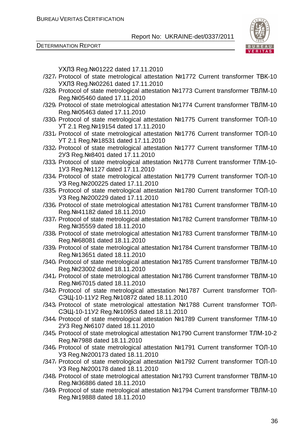DETERMINATION REPORT

УХЛЗ Reg.№01222 dated 17.11.2010

- /327/ Protocol of state metrological attestation №1772 Current transformer ТВК-10 УХЛЗ Reg.№02261 dated 17.11.2010
- /328/ Protocol of state metrological attestation №1773 Current transformer ТВЛМ-10 Reg.№05460 dated 17.11.2010
- /329/ Protocol of state metrological attestation №1774 Current transformer ТВЛМ-10 Reg.№05463 dated 17.11.2010
- /330/ Protocol of state metrological attestation №1775 Current transformer ТОЛ-10 УТ 2.1 Reg.№19154 dated 17.11.2010
- /331/ Protocol of state metrological attestation №1776 Current transformer ТОЛ-10 УТ 2.1 Reg.№18531 dated 17.11.2010
- /332/ Protocol of state metrological attestation №1777 Current transformer ТЛМ-10 2УЗ Reg.№8401 dated 17.11.2010
- /333/ Protocol of state metrological attestation №1778 Current transformer ТЛМ-10- 1У3 Reg.№1127 dated 17.11.2010
- /334/ Protocol of state metrological attestation №1779 Current transformer ТОЛ-10 УЗ Reg.№200225 dated 17.11.2010
- /335/ Protocol of state metrological attestation №1780 Current transformer ТОЛ-10 УЗ Reg.№200229 dated 17.11.2010
- /336/ Protocol of state metrological attestation №1781 Current transformer ТВЛМ-10 Reg.№41182 dated 18.11.2010
- /337/ Protocol of state metrological attestation №1782 Current transformer ТВЛМ-10 Reg.№35559 dated 18.11.2010
- /338/ Protocol of state metrological attestation №1783 Current transformer ТВЛМ-10 Reg.№68081 dated 18.11.2010
- /339/ Protocol of state metrological attestation №1784 Current transformer ТВЛМ-10 Reg.№13651 dated 18.11.2010
- /340/ Protocol of state metrological attestation №1785 Current transformer ТВЛМ-10 Reg.№23002 dated 18.11.2010
- /341/ Protocol of state metrological attestation №1786 Current transformer ТВЛМ-10 Reg.№67015 dated 18.11.2010
- /342/ Protocol of state metrological attestation №1787 Current transformer ТОЛ-СЭЩ-10-11У2 Reg.№10872 dated 18.11.2010
- /343/ Protocol of state metrological attestation №1788 Current transformer ТОЛ-СЭЩ-10-11У2 Reg.№10953 dated 18.11.2010
- /344/ Protocol of state metrological attestation №1789 Current transformer ТЛМ-10 2У3 Reg.№6107 dated 18.11.2010
- /345/ Protocol of state metrological attestation №1790 Current transformer ТЛМ-10-2 Reg.№7988 dated 18.11.2010
- /346/ Protocol of state metrological attestation №1791 Current transformer ТОЛ-10 УЗ Reg.№200173 dated 18.11.2010
- /347/ Protocol of state metrological attestation №1792 Current transformer ТОЛ-10 УЗ Reg.№200178 dated 18.11.2010
- /348/ Protocol of state metrological attestation №1793 Current transformer ТВЛМ-10 Reg.№36886 dated 18.11.2010
- /349/ Protocol of state metrological attestation №1794 Current transformer ТВЛМ-10 Reg.№19888 dated 18.11.2010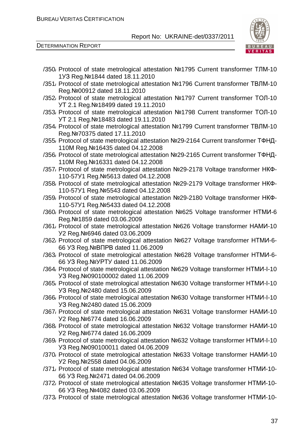

DETERMINATION REPORT

/350/ Protocol of state metrological attestation №1795 Current transformer ТЛМ-10 1УЗ Reg.№1844 dated 18.11.2010 /351/ Protocol of state metrological attestation №1796 Current transformer ТВЛМ-10 Reg.№00912 dated 18.11.2010 /352/ Protocol of state metrological attestation №1797 Current transformer ТОЛ-10 УТ 2.1 Reg.№18499 dated 19.11.2010 /353/ Protocol of state metrological attestation №1798 Current transformer ТОЛ-10 УТ 2.1 Reg.№18483 dated 19.11.2010 /354/ Protocol of state metrological attestation №1799 Current transformer ТВЛМ-10 Reg.№70375 dated 17.11.2010 /355/ Protocol of state metrological attestation №29-2164 Current transformer ТФНД-110М Reg.№16435 dated 04.12.2008 /356/ Protocol of state metrological attestation №29-2165 Current transformer ТФНД-110М Reg.№16331 dated 04.12.2008 /357/ Protocol of state metrological attestation №29-2178 Voltage transformer НКФ-110-57У1 Reg.№5613 dated 04.12.2008 /358/ Protocol of state metrological attestation №29-2179 Voltage transformer НКФ-110-57У1 Reg.№5543 dated 04.12.2008 /359/ Protocol of state metrological attestation №29-2180 Voltage transformer НКФ-110-57У1 Reg.№5433 dated 04.12.2008 /360/ Protocol of state metrological attestation №625 Voltage transformer НТМИ-6 Reg.№1859 dated 03.06.2009 /361/ Protocol of state metrological attestation №626 Voltage transformer НАМИ-10 У2 Reg.№6946 dated 03.06.2009 /362/ Protocol of state metrological attestation №627 Voltage transformer НТМИ-6- 66 УЗ Reg.№ВПРВ dated 11.06.2009 /363/ Protocol of state metrological attestation №628 Voltage transformer НТМИ-6- 66 УЗ Reg.№УРТУ dated 11.06.2009 /364/ Protocol of state metrological attestation №629 Voltage transformer НТМИ-І-10 УЗ Reg.№090100002 dated 11.06.2009 /365/ Protocol of state metrological attestation №630 Voltage transformer НТМИ-І-10 УЗ Reg.№2480 dated 15.06.2009 /366/ Protocol of state metrological attestation №630 Voltage transformer НТМИ-І-10 УЗ Reg.№2480 dated 15.06.2009 /367/ Protocol of state metrological attestation №631 Voltage transformer НАМИ-10 У2 Reg.№6774 dated 16.06.2009 /368/ Protocol of state metrological attestation №632 Voltage transformer НАМИ-10 У2 Reg.№6774 dated 16.06.2009 /369/ Protocol of state metrological attestation №632 Voltage transformer НТМИ-І-10 УЗ Reg.№090100011 dated 04.06.2009 /370/ Protocol of state metrological attestation №633 Voltage transformer НАМИ-10 У2 Reg.№2558 dated 04.06.2009 /371/ Protocol of state metrological attestation №634 Voltage transformer НТМИ-10- 66 УЗ Reg.№2471 dated 04.06.2009 /372/ Protocol of state metrological attestation №635 Voltage transformer НТМИ-10- 66 УЗ Reg.№4082 dated 03.06.2009 /373/ Protocol of state metrological attestation №636 Voltage transformer НТМИ-10-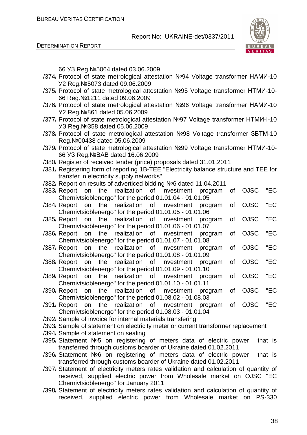DETERMINATION REPORT



66 УЗ Reg.№5064 dated 03.06.2009

- /374/ Protocol of state metrological attestation №94 Voltage transformer НАМИ-10 У2 Reg.№5073 dated 09.06.2009
- /375/ Protocol of state metrological attestation №95 Voltage transformer НТМИ-10- 66 Reg.№1211 dated 09.06.2009
- /376/ Protocol of state metrological attestation №96 Voltage transformer НАМИ-10 У2 Reg.№861 dated 05.06.2009
- /377/ Protocol of state metrological attestation №97 Voltage transformer НТМИ-І-10 УЗ Reg.№358 dated 05.06.2009
- /378/ Protocol of state metrological attestation №98 Voltage transformer ЗВТМ-10 Reg.№00438 dated 05.06.2009
- /379/ Protocol of state metrological attestation №99 Voltage transformer НТМИ-10- 66 УЗ Reg.№ВАВ dated 16.06.2009
- /380/ Register of received tender (price) proposals dated 31.01.2011
- /381/ Registering form of reporting 1B-TEE "Electricity balance structure and TEE for transfer in electricity supply networks"
- /382/ Report on results of adverticed bidding №6 dated 11.04.2011
- /383/ Report on the realization of investment program of OJSC "EC Chernivtsioblenergo" for the period 01.01.04 - 01.01.05
- /384/ Report on the realization of investment program of OJSC "EC Chernivtsioblenergo" for the period 01.01.05 - 01.01.06
- /385/ Report on the realization of investment program of OJSC "EC Chernivtsioblenergo" for the period 01.01.06 - 01.01.07
- /386/ Report on the realization of investment program of OJSC "EC Chernivtsioblenergo" for the period 01.01.07 - 01.01.08
- /387/ Report on the realization of investment program of OJSC "EC Chernivtsioblenergo" for the period 01.01.08 - 01.01.09
- /388/ Report on the realization of investment program of OJSC "EC Chernivtsioblenergo" for the period 01.01.09 - 01.01.10
- /389/ Report on the realization of investment program of OJSC "EC Chernivtsioblenergo" for the period 01.01.10 - 01.01.11
- /390/ Report on the realization of investment program of OJSC "EC Chernivtsioblenergo" for the period 01.08.02 - 01.08.03
- /391/ Report on the realization of investment program of OJSC "EC Chernivtsioblenergo" for the period 01.08.03 - 01.01.04
- /392/ Sample of invoice for internal materials transfering
- /393/ Sample of statement on electricity meter or current transformer replacement
- /394/ Sample of statement on sealing
- /395/ Statement №5 on registering of meters data of electric power that is transferred through customs boarder of Ukraine dated 01.02.2011
- /396/ Statement №6 on registering of meters data of electric power that is transferred through customs boarder of Ukraine dated 01.02.2011
- /397/ Statement of electricity meters rates validation and calculation of quantity of received, supplied electric power from Wholesale market on OJSC "EC Chernivtsioblenergo" for January 2011
- /398/ Statement of electricity meters rates validation and calculation of quantity of received, supplied electric power from Wholesale market on PS-330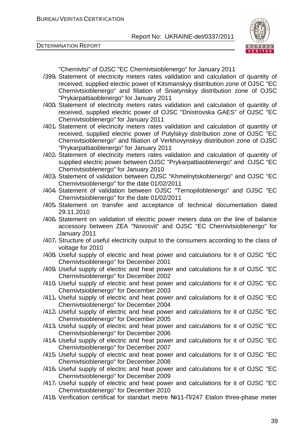DETERMINATION REPORT



"Chernivtsi" of OJSC "EC Chernivtsioblenergo" for January 2011

- /399/ Statement of electricity meters rates validation and calculation of quantity of received, supplied electric power of Kitsmanskyy distribution zone of OJSC "EC Chernivtsioblenergo" and filiation of Sniatynskyy distribution zone of OJSC "Prykarpattiaoblenergo" for January 2011
- /400/ Statement of electricity meters rates validation and calculation of quantity of received, supplied electric power of OJSC "Dnistrovska GAES" of OJSC "EC Chernivtsioblenergo" for January 2011
- /401/ Statement of electricity meters rates validation and calculation of quantity of received, supplied electric power of Putylskyy distribution zone of OJSC "EC Chernivtsioblenergo" and filiation of Verkhovynskyy distribution zone of OJSC "Prykarpattiaoblenergo" for January 2011
- /402/ Statement of electricity meters rates validation and calculation of quantity of supplied electric power between OJSC "Prykarpattiaoblenergo" and OJSC "EC Chernivtsioblenergo" for January 2010
- /403/ Statement of validation between OJSC "Khmelnytskoblenergo" and OJSC "EC Chernivtsioblenergo" for the date 01/02/2011
- /404/ Statement of validation between OJSC "Ternopiloblenergo" and OJSC "EC Chernivtsioblenergo" for the date 01/02/2011
- /405/ Statement on transfer and acceptance of technical documentation dated 29.11.2010
- /406/ Statement on validation of electric power meters data on the line of balance accessory between ZEA "Novosvit" and OJSC "EC Chernivtsioblenergo" for January 2011
- /407/ Structure of useful electricity output to the consumers according to the class of voltage for 2010
- /408/ Useful supply of electric and heat power and calculations for it of OJSC "EC Chernivtsioblenergo" for December 2001
- /409/ Useful supply of electric and heat power and calculations for it of OJSC "EC Chernivtsioblenergo" for December 2002
- /410/ Useful supply of electric and heat power and calculations for it of OJSC "EC Chernivtsioblenergo" for December 2003
- /411/ Useful supply of electric and heat power and calculations for it of OJSC "EC Chernivtsioblenergo" for December 2004
- /412/ Useful supply of electric and heat power and calculations for it of OJSC "EC Chernivtsioblenergo" for December 2005
- /413/ Useful supply of electric and heat power and calculations for it of OJSC "EC Chernivtsioblenergo" for December 2006
- /414/ Useful supply of electric and heat power and calculations for it of OJSC "EC Chernivtsioblenergo" for December 2007
- /415/ Useful supply of electric and heat power and calculations for it of OJSC "EC Chernivtsioblenergo" for December 2008
- /416/ Useful supply of electric and heat power and calculations for it of OJSC "EC Chernivtsioblenergo" for December 2009
- /417/ Useful supply of electric and heat power and calculations for it of OJSC "EC Chernivtsioblenergo" for December 2010
- /418/ Verification certificat for standart metre №11-П/247 Etalon three-phase meter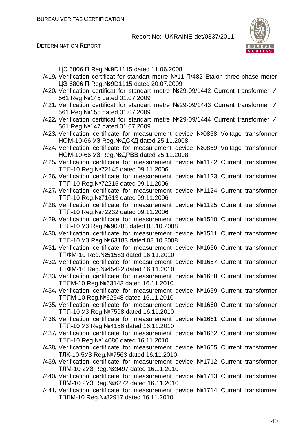

| ЦЭ 6806 П Reg. №9D1115 dated 11.06.2008                                                                                      |
|------------------------------------------------------------------------------------------------------------------------------|
| /419, Verification certificat for standart metre Nº11-Π/482 Etalon three-phase meter                                         |
| ЦЭ 6806 П Reg. №9D1115 dated 20.07.2009                                                                                      |
| /420, Verification certificat for standart metre Nº29-09/1442 Current transformer <i>V</i>                                   |
| 561 Reg. Nº145 dated 01.07.2009                                                                                              |
| /421, Verification certificat for standart metre Nº29-09/1443 Current transformer <i>V</i>                                   |
| 561 Reg. Nº155 dated 01.07.2009                                                                                              |
| /422, Verification certificat for standart metre №29-09/1444 Current transformer <i>V</i>                                    |
| 561 Reg. Nº147 dated 01.07.2009                                                                                              |
| /423 Verification certificate for measurement device Nº0858 Voltage transformer<br>НОМ-10-66 УЗ Reg. №ДСКД dated 25.11.2008  |
| /424/ Verification certificate for measurement device Nº0859 Voltage transformer                                             |
| HOM-10-66 УЗ Reg. №ДРВВ dated 25.11.2008                                                                                     |
| /425, Verification certificate for measurement device Nº1122 Current transformer                                             |
| ТПЛ-10 Reg. №72145 dated 09.11.2006                                                                                          |
| /426 Verification certificate for measurement device Nº1123 Current transformer                                              |
| ТПЛ-10 Reg. №72215 dated 09.11.2006                                                                                          |
| /427, Verification certificate for measurement device Nº1124 Current transformer                                             |
| ТПЛ-10 Reg. №71613 dated 09.11.2006                                                                                          |
| /428, Verification certificate for measurement device Nº1125 Current transformer                                             |
| ТПЛ-10 Reg. №72232 dated 09.11.2006                                                                                          |
| /429, Verification certificate for measurement device Nº1510 Current transformer                                             |
| TПЛ-10 УЗ Reg. №90783 dated 08.10.2008                                                                                       |
| /430, Verification certificate for measurement device Nº1511 Current transformer                                             |
| ТПЛ-10 УЗ Reg. №63183 dated 08.10.2008                                                                                       |
| /431, Verification certificate for measurement device Nº1656 Current transformer                                             |
| TΠΦM-10 Reg. Nº51583 dated 16.11.2010<br>/432 Verification certificate for measurement device Nº1657 Current transformer     |
| TΠΦM-10 Reg. Nº45422 dated 16.11.2010                                                                                        |
| /433, Verification certificate for measurement device Nº1658 Current transformer                                             |
| ТПЛМ-10 Reg. №63143 dated 16.11.2010                                                                                         |
| /434, Verification certificate for measurement device Nº1659 Current transformer                                             |
| ТПЛМ-10 Reg.№62548 dated 16.11.2010                                                                                          |
| /435/ Verification certificate for measurement device Nº1660 Current transformer                                             |
| TПЛ-10 УЗ Reg. №7598 dated 16.11.2010                                                                                        |
| /436/ Verification certificate for measurement device Nº1661 Current transformer                                             |
| TПЛ-10 УЗ Reg. №4156 dated 16.11.2010                                                                                        |
| /437, Verification certificate for measurement device Nº1662 Current transformer                                             |
| ТПЛ-10 Reg. №14080 dated 16.11.2010                                                                                          |
| /438, Verification certificate for measurement device Nº1665 Current transformer                                             |
| TJIK-10-5У3 Reg. №7563 dated 16.11.2010                                                                                      |
| /439, Verification certificate for measurement device Nº1712 Current transformer                                             |
| TJM-10 2Y3 Reg. Nº 3497 dated 16.11.2010<br>/440, Verification certificate for measurement device Nº1713 Current transformer |
| TJM-10 2Y3 Reg. Nº6272 dated 16.11.2010                                                                                      |
| /441, Verification certificate for measurement device Nº1714 Current transformer                                             |
| ТВЛМ-10 Reg. №82917 dated 16.11.2010                                                                                         |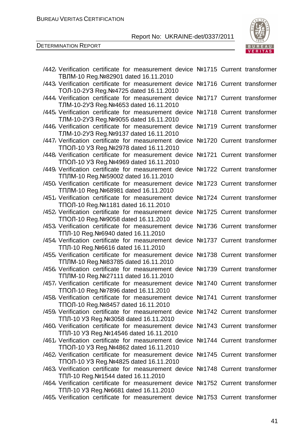

| /442, Verification certificate for measurement device Nº1715 Current transformer<br>ТВЛМ-10 Reg. №82901 dated 16.11.2010     |  |  |
|------------------------------------------------------------------------------------------------------------------------------|--|--|
| /443/ Verification certificate for measurement device Nº1716 Current transformer<br>ТОЛ-10-2УЗ Reg. №4725 dated 16.11.2010   |  |  |
| /444, Verification certificate for measurement device Nº1717 Current transformer<br>TJM-10-2Y3 Reg. Nº4653 dated 16.11.2010  |  |  |
| /445, Verification certificate for measurement device Nº1718 Current transformer<br>TJIM-10-2Y3 Reg. Nº9055 dated 16.11.2010 |  |  |
| /446, Verification certificate for measurement device Nº1719 Current transformer<br>TJM-10-2Y3 Reg. Nº9137 dated 16.11.2010  |  |  |
| /447, Verification certificate for measurement device Nº1720 Current transformer<br>TПОЛ-10 УЗ Reg. №2978 dated 16.11.2010   |  |  |
| /448/ Verification certificate for measurement device Nº1721 Current transformer<br>TNOJ-10 Y3 Reg. Nº4969 dated 16.11.2010  |  |  |
| /449, Verification certificate for measurement device Nº1722 Current transformer<br>ТПЛМ-10 Reg. №59002 dated 16.11.2010     |  |  |
| /450/ Verification certificate for measurement device Nº1723 Current transformer<br>ТПЛМ-10 Reg. №68981 dated 16.11.2010     |  |  |
| /451, Verification certificate for measurement device Nº1724 Current transformer<br>TПОЛ-10 Reg. №1181 dated 16.11.2010      |  |  |
| /452 Verification certificate for measurement device Nº1725 Current transformer<br>ТПОЛ-10 Reg. №9058 dated 16.11.2010       |  |  |
| /453/ Verification certificate for measurement device Nº1736 Current transformer<br>TПЛ-10 Reg. №6940 dated 16.11.2010       |  |  |
| /454, Verification certificate for measurement device Nº1737 Current transformer<br>ТПЛ-10 Reg. №6616 dated 16.11.2010       |  |  |
| /455, Verification certificate for measurement device Nº1738 Current transformer<br>ТПЛМ-10 Reg. №83785 dated 16.11.2010     |  |  |
| /456/ Verification certificate for measurement device Nº1739 Current transformer<br>ТПЛМ-10 Reg. №27111 dated 16.11.2010     |  |  |
| /457, Verification certificate for measurement device Nº1740 Current transformer<br>TПОЛ-10 Reg. №7896 dated 16.11.2010      |  |  |
| /458/ Verification certificate for measurement device Nº1741 Current transformer<br>TПОЛ-10 Reg. №8457 dated 16.11.2010      |  |  |
| /459, Verification certificate for measurement device Nº1742 Current transformer<br>TПЛ-10 УЗ Reg. № 3058 dated 16.11.2010   |  |  |
| /460/ Verification certificate for measurement device Nº1743 Current transformer<br>ТПЛ-10 УЗ Reg. №14546 dated 16.11.2010   |  |  |
| /461, Verification certificate for measurement device Nº1744 Current transformer<br>TNOJ-10 Y3 Reg. Nº4862 dated 16.11.2010  |  |  |
| /462 Verification certificate for measurement device Nº1745 Current transformer<br>TNOJ-10 Y3 Reg. Nº4825 dated 16.11.2010   |  |  |
| /463, Verification certificate for measurement device Nº1748 Current transformer<br>ТПЛ-10 Reg. №1544 dated 16.11.2010       |  |  |
| /464, Verification certificate for measurement device Nº1752 Current transformer<br>TПЛ-10 УЗ Reg. №6681 dated 16.11.2010    |  |  |
| /465/ Verification certificate for measurement device Nº1753 Current transformer                                             |  |  |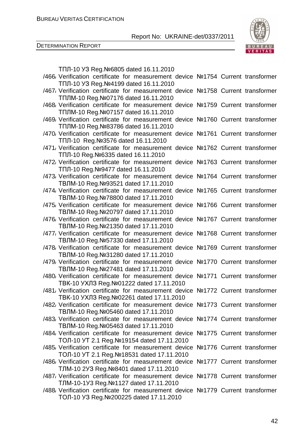

|  | TПЛ-10 УЗ Reg. №6805 dated 16.11.2010                                                                                          |  |  |
|--|--------------------------------------------------------------------------------------------------------------------------------|--|--|
|  | /466/ Verification certificate for measurement device Nº1754 Current transformer                                               |  |  |
|  | TNJ-10 УЗ Reg. №4199 dated 16.11.2010                                                                                          |  |  |
|  | /467/ Verification certificate for measurement device Nº1758 Current transformer                                               |  |  |
|  | ТПЛМ-10 Reg. №07176 dated 16.11.2010                                                                                           |  |  |
|  | /468 Verification certificate for measurement device Nº1759 Current transformer                                                |  |  |
|  | TПЛМ-10 Reg. №07157 dated 16.11.2010                                                                                           |  |  |
|  | /469, Verification certificate for measurement device Nº1760 Current transformer                                               |  |  |
|  | TПЛМ-10 Reg. №83786 dated 16.11.2010                                                                                           |  |  |
|  | /470, Verification certificate for measurement device Nº1761 Current transformer                                               |  |  |
|  | ТПЛ-10 Reg. № 3576 dated 16.11.2010                                                                                            |  |  |
|  | /471, Verification certificate for measurement device Nº1762 Current transformer                                               |  |  |
|  | TПЛ-10 Reg. №6335 dated 16.11.2010<br>/472 Verification certificate for measurement device Nº1763 Current transformer          |  |  |
|  | TПЛ-10 Reg. №9477 dated 16.11.2010                                                                                             |  |  |
|  | /473/ Verification certificate for measurement device Nº1764 Current transformer                                               |  |  |
|  | ТВЛМ-10 Reg. №93521 dated 17.11.2010                                                                                           |  |  |
|  | /474, Verification certificate for measurement device Nº1765 Current transformer                                               |  |  |
|  | ТВЛМ-10 Reg. №78800 dated 17.11.2010                                                                                           |  |  |
|  | /475/ Verification certificate for measurement device Nº1766 Current transformer                                               |  |  |
|  | ТВЛМ-10 Reg. №20797 dated 17.11.2010                                                                                           |  |  |
|  | /476/ Verification certificate for measurement device Nº1767 Current transformer                                               |  |  |
|  | ТВЛМ-10 Reg. №21350 dated 17.11.2010                                                                                           |  |  |
|  | /477, Verification certificate for measurement device Nº1768 Current transformer                                               |  |  |
|  | TBЛM-10 Reg. №57330 dated 17.11.2010                                                                                           |  |  |
|  | /478 Verification certificate for measurement device Nº1769 Current transformer                                                |  |  |
|  | ТВЛМ-10 Reg. №31280 dated 17.11.2010                                                                                           |  |  |
|  | /479, Verification certificate for measurement device Nº1770 Current transformer                                               |  |  |
|  | TBЛM-10 Reg. №27481 dated 17.11.2010                                                                                           |  |  |
|  | /480/ Verification certificate for measurement device Nº1771 Current transformer                                               |  |  |
|  | TBK-10 УХЛЗ Reg. №01222 dated 17.11.2010                                                                                       |  |  |
|  | /481, Verification certificate for measurement device Nº1772 Current transformer                                               |  |  |
|  | TBK-10 УХЛЗ Reg. №02261 dated 17.11.2010                                                                                       |  |  |
|  | /482 Verification certificate for measurement device Nº1773 Current transformer                                                |  |  |
|  | ТВЛМ-10 Reg. №05460 dated 17.11.2010                                                                                           |  |  |
|  | /483, Verification certificate for measurement device Nº1774 Current transformer                                               |  |  |
|  | ТВЛМ-10 Reg. №05463 dated 17.11.2010<br>/484, Verification certificate for measurement device Nº1775 Current transformer       |  |  |
|  |                                                                                                                                |  |  |
|  | ТОЛ-10 УТ 2.1 Reg. №19154 dated 17.11.2010<br>/485, Verification certificate for measurement device Nº1776 Current transformer |  |  |
|  | ТОЛ-10 УТ 2.1 Reg. №18531 dated 17.11.2010                                                                                     |  |  |
|  | /486, Verification certificate for measurement device Nº1777 Current transformer                                               |  |  |
|  | TJM-10 2Y3 Reg. Nº8401 dated 17.11.2010                                                                                        |  |  |
|  | /487, Verification certificate for measurement device Nº1778 Current transformer                                               |  |  |
|  | TJM-10-1Y3 Reg. Nº1127 dated 17.11.2010                                                                                        |  |  |
|  | /488, Verification certificate for measurement device Nº1779 Current transformer                                               |  |  |
|  | ТОЛ-10 УЗ Reg. №200225 dated 17.11.2010                                                                                        |  |  |
|  |                                                                                                                                |  |  |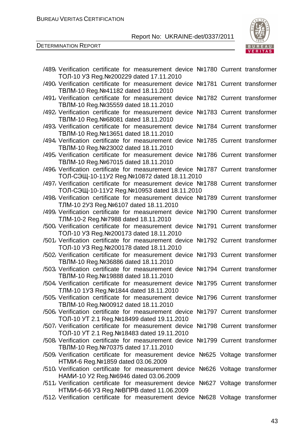DETERMINATION REPORT



| /489, Verification certificate for measurement device Nº1780 Current transformer<br>ТОЛ-10 УЗ Reg. №200229 dated 17.11.2010      |  |
|----------------------------------------------------------------------------------------------------------------------------------|--|
| /490, Verification certificate for measurement device Nº1781 Current transformer<br>TBЛM-10 Reg. №41182 dated 18.11.2010         |  |
| /491, Verification certificate for measurement device Nº1782 Current transformer<br>ТВЛМ-10 Reg. № 35559 dated 18.11.2010        |  |
| /492, Verification certificate for measurement device Nº1783 Current transformer<br>ТВЛМ-10 Reg. №68081 dated 18.11.2010         |  |
| /493, Verification certificate for measurement device Nº1784 Current transformer<br>TBЛM-10 Reg. №13651 dated 18.11.2010         |  |
| /494/ Verification certificate for measurement device Nº1785 Current transformer<br>ТВЛМ-10 Reg. №23002 dated 18.11.2010         |  |
| /495/ Verification certificate for measurement device Nº1786 Current transformer<br>ТВЛМ-10 Reg. №67015 dated 18.11.2010         |  |
| /496, Verification certificate for measurement device Nº1787 Current transformer<br>ТОЛ-СЭЩ-10-11У2 Reg. №10872 dated 18.11.2010 |  |
| /497, Verification certificate for measurement device Nº1788 Current transformer<br>ТОЛ-СЭЩ-10-11У2 Reg. №10953 dated 18.11.2010 |  |
| /498/ Verification certificate for measurement device Nº1789 Current transformer<br>TJM-10 2Y3 Reg. Nº6107 dated 18.11.2010      |  |
| /499, Verification certificate for measurement device Nº1790 Current transformer<br>TJM-10-2 Reg. Nº7988 dated 18.11.2010        |  |
| /500 Verification certificate for measurement device Nº1791 Current transformer<br>ТОЛ-10 УЗ Reg. №200173 dated 18.11.2010       |  |
| /501, Verification certificate for measurement device Nº1792 Current transformer<br>ТОЛ-10 УЗ Reg. №200178 dated 18.11.2010      |  |
| /502 Verification certificate for measurement device Nº1793 Current transformer<br>ТВЛМ-10 Reg. № 36886 dated 18.11.2010         |  |
| /503/ Verification certificate for measurement device Nº1794 Current transformer<br>ТВЛМ-10 Reg. №19888 dated 18.11.2010         |  |
| /504, Verification certificate for measurement device Nº1795 Current transformer<br>TJM-10 1Y3 Reg. Nº 1844 dated 18.11.2010     |  |
| /505/ Verification certificate for measurement device Nº1796 Current transformer<br>ТВЛМ-10 Reg. №00912 dated 18.11.2010         |  |
| /506/ Verification certificate for measurement device Nº1797 Current transformer<br>ТОЛ-10 УТ 2.1 Reg. №18499 dated 19.11.2010   |  |
| /507, Verification certificate for measurement device Nº1798 Current transformer<br>ТОЛ-10 УТ 2.1 Reg. №18483 dated 19.11.2010   |  |
| /508, Verification certificate for measurement device Nº1799 Current transformer<br>ТВЛМ-10 Reg. №70375 dated 17.11.2010         |  |
| /509 Verification certificate for measurement device Nº625 Voltage transformer<br>HTMU-6 Reg. Nº1859 dated 03.06.2009            |  |
| /510 Verification certificate for measurement device Nº626 Voltage transformer                                                   |  |
| HAMI - 10 Y2 Reg. Nº 6946 dated 03.06.2009<br>/511, Verification certificate for measurement device Nº627 Voltage transformer    |  |
| HTMU-6-66 УЗ Reg. № ВПРВ dated 11.06.2009<br>/512 Verification certificate for measurement device Nº628 Voltage transformer      |  |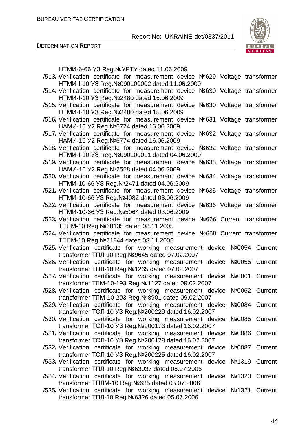

| HTMI-6-66 УЗ Reg. Nº УРТУ dated 11.06.2009                                         |         |
|------------------------------------------------------------------------------------|---------|
| /513, Verification certificate for measurement device Nº629 Voltage transformer    |         |
| HTMI - I-10 Y3 Reg. Nº090100002 dated 11.06.2009                                   |         |
| /514 Verification certificate for measurement device Nº630 Voltage transformer     |         |
| HTMU-I-10 УЗ Reg. №2480 dated 15.06.2009                                           |         |
| /515, Verification certificate for measurement device Nº630 Voltage transformer    |         |
| HTMU-I-10 Y3 Reg. Nº2480 dated 15.06.2009                                          |         |
| /516 Verification certificate for measurement device Nº631 Voltage transformer     |         |
| HAMИ-10 У2 Reg. №6774 dated 16.06.2009                                             |         |
| /517, Verification certificate for measurement device Nº632 Voltage transformer    |         |
| HAMИ-10 У2 Reg. Nº6774 dated 16.06.2009                                            |         |
| /518 Verification certificate for measurement device Nº632 Voltage transformer     |         |
| HTMU-I-10 Y3 Reg. Nº090100011 dated 04.06.2009                                     |         |
| /519, Verification certificate for measurement device Nº633 Voltage transformer    |         |
| HAMИ-10 У2 Reg. Nº2558 dated 04.06.2009                                            |         |
| /520 Verification certificate for measurement device Nº634 Voltage transformer     |         |
| HTMU-10-66 Y3 Reg. Nº2471 dated 04.06.2009                                         |         |
| /521, Verification certificate for measurement device<br>Nº635 Voltage transformer |         |
| HTMI-10-66 УЗ Reg. Nº4082 dated 03.06.2009                                         |         |
| /522, Verification certificate for measurement device<br>Nº636 Voltage transformer |         |
| HTMV-10-66 УЗ Reg. № 5064 dated 03.06.2009                                         |         |
| /523 Verification certificate for measurement device Nº666 Current transformer     |         |
| ТПЛМ-10 Reg. №68135 dated 08.11.2005                                               |         |
| /524 Verification certificate for measurement device Nº668 Current transformer     |         |
| TПЛМ-10 Reg. №71844 dated 08.11.2005                                               |         |
| /525 Verification certificate for working measurement device Nº0054 Current        |         |
| transformer TΠЛ-10 Reg. Nº9645 dated 07.02.2007                                    |         |
| /526 Verification certificate for working measurement device Nº0055 Current        |         |
| transformer TΠЛ-10 Reg. Nº1265 dated 07.02.2007                                    |         |
| /527 Verification certificate for working measurement device<br>Nº0061             | Current |
| transformer TJIM-10-193 Reg. №1127 dated 09.02.2007                                |         |
| /528 Verification certificate for working measurement device Nº0062 Current        |         |
| transformer TJIM-10-293 Reg. Nº8901 dated 09.02.2007                               |         |
| /529 Verification certificate for working measurement device<br>Nº0084 Current     |         |
| transformer ТОЛ-10 УЗ Reg. №200229 dated 16.02.2007                                |         |
| /530 Verification certificate for working measurement device<br>Nº0085 Current     |         |
| transformer ТОЛ-10 УЗ Reg. №200173 dated 16.02.2007                                |         |
| /531, Verification certificate for working measurement device<br>Nº0086 Current    |         |
| transformer ТОЛ-10 УЗ Reg. №200178 dated 16.02.2007                                |         |
| /532 Verification certificate for working measurement device<br>Nº0087 Current     |         |
| transformer ТОЛ-10 УЗ Reg. №200225 dated 16.02.2007                                |         |
| /533 Verification certificate for working measurement device Nº1319 Current        |         |
| transformer TΠЛ-10 Reg. №63037 dated 05.07.2006                                    |         |
| /534 Verification certificate for working measurement device Nº1320 Current        |         |
| transformer TNJIM-10 Reg. Nº635 dated 05.07.2006                                   |         |
| /535 Verification certificate for working measurement device Not 1321 Current      |         |
| transformer TΠЛ-10 Reg. Nº6326 dated 05.07.2006                                    |         |
|                                                                                    |         |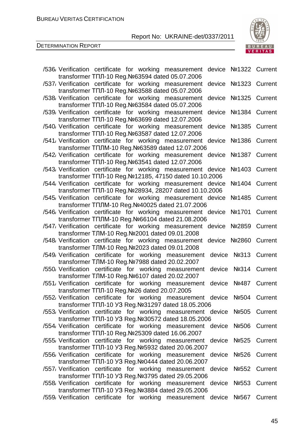

| /536 Verification certificate for working measurement device Nº1322 Current<br>transformer TΠЛ-10 Reg. №63594 dated 05.07.2006    |                       |
|-----------------------------------------------------------------------------------------------------------------------------------|-----------------------|
| /537, Verification certificate for working measurement<br>transformer TΠЛ-10 Reg. №63588 dated 05.07.2006                         | device Nº1323 Current |
| /538/ Verification certificate for working measurement<br>transformer TΠЛ-10 Reg. №63584 dated 05.07.2006                         | device Nº1325 Current |
| /539, Verification certificate for working measurement<br>transformer TNN-10 Reg. Nº63699 dated 12.07.2006                        | device Nº1384 Current |
| /540 Verification certificate for working measurement<br>transformer TΠЛ-10 Reg. Nº63587 dated 12.07.2006                         | device Nº1385 Current |
| /541, Verification certificate for working measurement device<br>transformer TΠЛМ-10 Reg. №63589 dated 12.07.2006                 | Nº1386 Current        |
| /542 Verification certificate for working measurement<br>transformer TΠЛ-10 Reg. №63541 dated 12.07.2006                          | device Nº1387 Current |
| /543 Verification certificate for working measurement device<br>transformer TΠЛ-10 Reg. №12185, 47150 dated 10.10.2006            | Nº1403 Current        |
| /544 Verification certificate for working measurement device<br>transformer TΠЛ-10 Reg. №28934, 28207 dated 10.10.2006            | Nº1404 Current        |
| /545/ Verification certificate for working measurement device<br>transformer TΠЛМ-10 Reg. №40025 dated 21.07.2006                 | Nº1485 Current        |
| /546 Verification certificate for working measurement device<br>transformer TNJIM-10 Reg.Nº66104 dated 21.08.2006                 | Nº1701 Current        |
| /547/ Verification certificate for working measurement device<br>transformer ТЛМ-10 Reg. №2001 dated 09.01.2008                   | Nº2859 Current        |
| /548 Verification certificate for working measurement<br>transformer TJIM-10 Reg. Nº2023 dated 09.01.2008                         | device Nº2860 Current |
| /549, Verification certificate for working measurement<br>transformer TJIM-10 Reg. №7988 dated 20.02.2007                         | device Nº313 Current  |
| /550 Verification certificate for working measurement<br>transformer TJIM-10 Reg. Nº6107 dated 20.02.2007                         | device Nº314 Current  |
| /551/ Verification certificate for working measurement<br>transformer TΠЛ-10 Reg. Nº26 dated 20.07.2005                           | device Nº487 Current  |
| /552 Verification certificate for working measurement device Nº504 Current<br>transformer TΠЛ-10 УЗ Reg. №31297 dated 18.05.2006  |                       |
| /553 Verification certificate for working measurement device Nº505 Current<br>transformer TΠЛ-10 УЗ Reg. № 30572 dated 18.05.2006 |                       |
| /554 Verification certificate for working measurement device Nº506 Current<br>transformer TΠЛ-10 Reg. №25309 dated 16.06.2007     |                       |
| /555/ Verification certificate for working measurement device Nº525<br>transformer TNN-10 Y3 Reg. Nº5932 dated 20.06.2007         | Current               |
| /556 Verification certificate for working measurement device<br>transformer TΠЛ-10 УЗ Reg. Nº0444 dated 20.06.2007                | Nº526<br>Current      |
| /557 Verification certificate for working measurement device Nº552 Current                                                        |                       |
| transformer TΠЛ-10 УЗ Reg. №3795 dated 29.05.2006<br>/558 Verification certificate for working measurement device Nº553 Current   |                       |
| transformer TΠЛ-10 УЗ Reg. №3884 dated 29.05.2006<br>/559 Verification certificate for working measurement device                 | Current<br>Nº567      |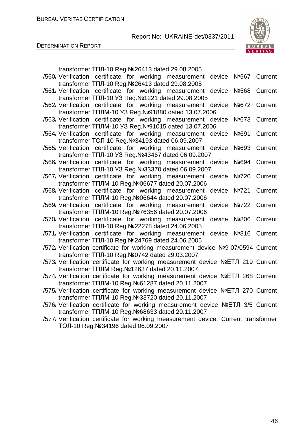

DETERMINATION REPORT

transformer ТПЛ-10 Reg.№26413 dated 29.08.2005

| /560 Verification certificate for working measurement device Nº567 Current<br>transformer TΠЛ-10 Reg. №26413 dated 29.08.2005      |         |
|------------------------------------------------------------------------------------------------------------------------------------|---------|
| /561/ Verification certificate for working measurement device<br>Nº568 Current                                                     |         |
| transformer TΠЛ-10 УЗ Reg. №1221 dated 29.08.2005<br>/562 Verification certificate for working measurement device<br>Nº672 Current |         |
| transformer TΠЛМ-10 УЗ Reg. №91880 dated 13.07.2006                                                                                |         |
| /563/ Verification certificate for working measurement device<br>Nº673                                                             | Current |
| transformer TΠЛМ-10 УЗ Reg. №91015 dated 13.07.2006                                                                                |         |
| /564 Verification certificate for working measurement device<br>No 691                                                             | Current |
| transformer TOЛ-10 Reg. №34193 dated 06.09.2007                                                                                    |         |
| /565/ Verification certificate for working measurement device<br>No693                                                             | Current |
| transformer TΠЛ-10 УЗ Reg. №43467 dated 06.09.2007                                                                                 |         |
| /566/ Verification certificate for working measurement device<br>No694                                                             | Current |
| transformer TΠЛ-10 УЗ Reg. №33370 dated 06.09.2007                                                                                 |         |
| /567 Verification certificate for working measurement device<br>Nº720                                                              | Current |
| transformer TNJIM-10 Reg.Nº06677 dated 20.07.2006<br>/568 Verification certificate for working measurement<br>device<br>Nº721      | Current |
| transformer TΠЛМ-10 Reg. Nº06644 dated 20.07.2006                                                                                  |         |
| /569 Verification certificate for working measurement device<br>Nº722 Current                                                      |         |
| transformer TΠЛМ-10 Reg. №76356 dated 20.07.2006                                                                                   |         |
| /570/ Verification certificate for working measurement device<br>Nº806                                                             | Current |
| transformer TΠЛ-10 Reg. №22278 dated 24.06.2005                                                                                    |         |
| /571, Verification certificate for working measurement device Nº816 Current                                                        |         |
| transformer TΠЛ-10 Reg. №24769 dated 24.06.2005                                                                                    |         |
| /572 Verification certificate for working measurement device Nº9-07/0594 Current                                                   |         |
| transformer TΠЛ-10 Reg. Nº0742 dated 29.03.2007                                                                                    |         |
| /573/ Verification certificate for working measurement device NºETJI 219 Current                                                   |         |
| transformer TΠЛМ Reg. Nº12637 dated 20.11.2007                                                                                     |         |
| /574/ Verification certificate for working measurement device NºETJI 268 Current                                                   |         |
| transformer TNJIM-10 Reg.Nº61287 dated 20.11.2007                                                                                  |         |
| /575, Verification certificate for working measurement device NºETJI 270 Current                                                   |         |
| transformer TΠЛМ-10 Reg. №33720 dated 20.11.2007                                                                                   |         |
| /576/ Verification certificate for working measurement device NºETJ 3/5 Current                                                    |         |
| transformer TNJIM-10 Reg.Nº68633 dated 20.11.2007                                                                                  |         |
| /577, Verification certificate for working measurement device. Current transformer<br>ТОЛ-10 Reg. №34196 dated 06.09.2007          |         |
|                                                                                                                                    |         |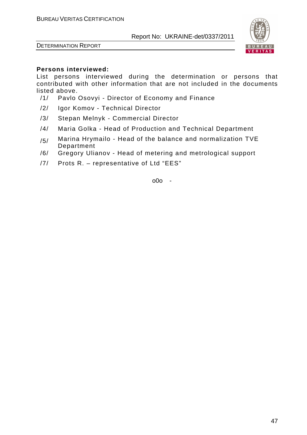



#### **Persons interviewed:**

List persons interviewed during the determination or persons that contributed with other information that are not included in the documents listed above.

- /1/ Pavlo Osovyi Director of Economy and Finance
- /2/ Igor Komov Technical Director
- /3/ Stepan Melnyk Commercial Director
- /4/ Maria Golka Head of Production and Technical Department
- $/5/$  Marina Hrymailo Head of the balance and normalization TVE Department
- /6/ Gregory Ulianov Head of metering and metrological support
- /7/ Prots R. representative of Ltd "EES"

o0o -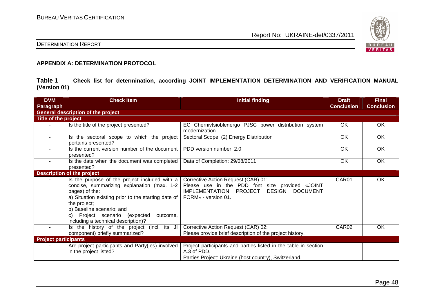

# DETERMINATION REPORT

#### **APPENDIX A: DETERMINATION PROTOCOL**

**Table 1 Check list for determination, according JOINT IMPLEMENTATION DETERMINATION AND VERIFICATION MANUAL (Version 01)** 

| <b>DVM</b>                  | <b>Check Item</b>                                                                                                                                                                                                                                                                                           | <b>Initial finding</b>                                                                                                                                        | <b>Draft</b>      | <b>Final</b>      |
|-----------------------------|-------------------------------------------------------------------------------------------------------------------------------------------------------------------------------------------------------------------------------------------------------------------------------------------------------------|---------------------------------------------------------------------------------------------------------------------------------------------------------------|-------------------|-------------------|
| Paragraph                   |                                                                                                                                                                                                                                                                                                             |                                                                                                                                                               | <b>Conclusion</b> | <b>Conclusion</b> |
|                             | <b>General description of the project</b>                                                                                                                                                                                                                                                                   |                                                                                                                                                               |                   |                   |
| <b>Title of the project</b> |                                                                                                                                                                                                                                                                                                             |                                                                                                                                                               |                   |                   |
|                             | Is the title of the project presented?                                                                                                                                                                                                                                                                      | EC Chernivtsioblenergo PJSC power distribution system<br>modernization                                                                                        | OK                | <b>OK</b>         |
| $\sim$                      | Is the sectoral scope to which the project<br>pertains presented?                                                                                                                                                                                                                                           | Sectoral Scope: (2) Energy Distribution                                                                                                                       | OK                | OK                |
|                             | Is the current version number of the document<br>presented?                                                                                                                                                                                                                                                 | PDD version number: 2.0                                                                                                                                       | OK                | OK                |
| $\sim$                      | Is the date when the document was completed<br>presented?                                                                                                                                                                                                                                                   | Data of Completion: 29/08/2011                                                                                                                                | OK                | OK                |
|                             | <b>Description of the project</b>                                                                                                                                                                                                                                                                           |                                                                                                                                                               |                   |                   |
|                             | Is the purpose of the project included with a<br>concise, summarizing explanation (max. 1-2<br>pages) of the:<br>a) Situation existing prior to the starting date of<br>the project;<br>b) Baseline scenario; and<br>Project scenario<br>(expected<br>outcome.<br>C)<br>including a technical description)? | Corrective Action Request (CAR) 01:<br>Please use in the PDD font size provided «JOINT<br>DESIGN DOCUMENT<br>IMPLEMENTATION<br>PROJECT<br>FORM» - version 01. | CAR01             | OK                |
| $\sim$                      | Is the history of the project (incl. its JI<br>component) briefly summarized?                                                                                                                                                                                                                               | Corrective Action Request (CAR) 02:<br>Please provide brief description of the project history.                                                               | CAR02             | OK                |
| <b>Project participants</b> |                                                                                                                                                                                                                                                                                                             |                                                                                                                                                               |                   |                   |
|                             | Are project participants and Party(ies) involved<br>in the project listed?                                                                                                                                                                                                                                  | Project participants and parties listed in the table in section<br>A.3 of PDD.<br>Parties Project: Ukraine (host country), Switzerland.                       |                   |                   |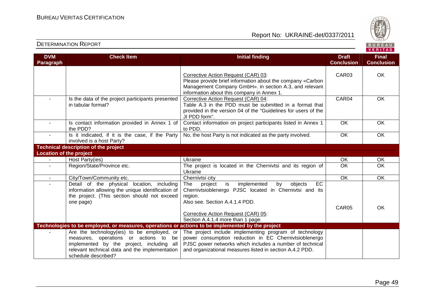



#### **VERITAS Check Item Initial finding Check Item Initial finding Check Item Initial finding Check Item Initial finding Check DVM Final Paragraph Conclusion Conclusion** CAR03 | OK Corrective Action Request (CAR) 03: Please provide brief information about the company «Carbon Management Company GmbH». in section A.3, and relevant information about this company in Annex 1. - Is the data of the project participants presented Corrective Action Request (CAR) 04: CAR04 OK in tabular format? Table A.3 in the PDD must be submitted in a format that provided in the version 04 of the "Guidelines for users of the JI PDD form". - Is contact information provided in Annex 1 of Contact information on project participants listed in Annex 1 OK OK the PDD? to PDD. - | Is it indicated, if it is the case, if the Party No, the host Party is not indicated as the party involved.  $\overline{)}$  OK | OK involved is a host Party? **Technical description of the project Location of the project** Host Party(ies) - Host Party(ies) Ukraine OK OK - Region/State/Province etc. The project is located in the Chernivtsi and its region of OK OK Ukraine City/Town/Community etc. Chernivtsi city Chernivtsi city Cherniversity Chernic Chernic Chernic Chernic Chernic Chernic Chernic Chernic Chernic Chernic Chernic Chernic Chernic Chernic Chernic Chernic Chernic Chernic Chernic Chernivtsi city Detail of the physical location, including The project is implemented by objects EC information allowing the unique identification of Chernivtsioblenergo PJSC located in Chernivtsi and its the project. (This section should not exceed region. one page) Also see. Section A.4.1.4 PDD. CAR05 OK Corrective Action Request (CAR) 05: Section A.4.1.4 more than 1 page. **Technologies to be employed, or measures, operations or actions to be implemented by the project**  The project include implementing program of technology Are the technology(ies) to be employed, or measures, operations or actions to be power consumption reduction in EC Chernivtsioblenergo implemented by the project, including all PJSC power networks which includes a number of technical relevant technical data and the implementation and organizational measures listed in section A.4.2 PDD. schedule described?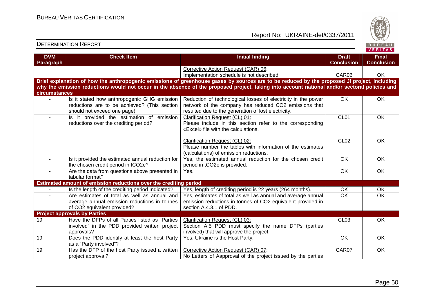

#### DETERMINATION REPORTBUREAU **VERITAS Check Item Initial finding Check Item Initial finding Check Item Initial finding Check Item Initial finding Check DVM Final Paragraph Conclusion Conclusion** Corrective Action Request (CAR) 06: Implementation schedule is not described. 
<br>
and the care of CAR06 (CAR06 CK **Brief explanation of how the anthropogenic emissions of greenhouse gases by sources are to be reduced by the proposed JI project, including why the emission reductions would not occur in the absence of the proposed project, taking into account national and/or sectoral policies and circumstances** - | Is it stated how anthropogenic GHG emission Reduction of technological losses of electricity in the power OK OK reductions are to be achieved? (This section network of the company has reduced CO2 emissions that should not exceed one page) resulted due to the generation of lost electricity.CL01 **OK** - **Is it provided the estimation of emission** Clarification Request (CL) 01:reductions over the crediting period? Please include in this section refer to the corresponding «Excel» file with the calculations. Clarification Request (CL) 02:CL02 **OK**  Please number the tables with information of the estimates (calculations) of emission reductions. - Is it provided the estimated annual reduction for Yes, the estimated annual reduction for the chosen credit OK OK period in tCO2e is provided. the chosen credit period in tCO2e? - | Are the data from questions above presented in Yes. OK OK tabular format? **Estimated amount of emission reductions over the crediting period** - | Is the length of the crediting period Indicated? | Yes, length of crediting period is 22 years (264 months). | OK | OK - Are estimates of total as well as annual and Yes, estimates of total as well as annual and average annual OK OK average annual emission reductions in tonnes emission reductions in tonnes of CO2 equivalent provided in section A.4.3.1 of PDD. of CO2 equivalent provided? **Project approvals by Parties**  19 Have the DFPs of all Parties listed as "Parties CL03 OK Clarification Request (CL) 03: involved" in the PDD provided written project Section A.5 PDD must specify the name DFPs (partiesapprovals? involved) that will approve the project. 19 **Does the PDD identify at least the host Party** Yes, Ukraine is the Host Party. The Context Context of Context Context OK OK as a "Party involved"? 19 | Has the DFP of the host Party issued a written Corrective Action Request (CAR) 07: CAR07 | OK project approval? No Letters of Aapproval of the project issued by the parties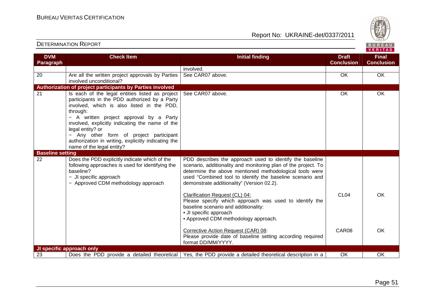

| <b>DVM</b>              | <b>Check Item</b>                                                                                                                                                                                                                                                                                                                                                                                                                     | <b>Initial finding</b>                                                                                                                                                                                                                                                                                                                                                                                                                                                                                                                                                                                                            | <b>Draft</b>              | <b>Final</b>      |
|-------------------------|---------------------------------------------------------------------------------------------------------------------------------------------------------------------------------------------------------------------------------------------------------------------------------------------------------------------------------------------------------------------------------------------------------------------------------------|-----------------------------------------------------------------------------------------------------------------------------------------------------------------------------------------------------------------------------------------------------------------------------------------------------------------------------------------------------------------------------------------------------------------------------------------------------------------------------------------------------------------------------------------------------------------------------------------------------------------------------------|---------------------------|-------------------|
| Paragraph               |                                                                                                                                                                                                                                                                                                                                                                                                                                       |                                                                                                                                                                                                                                                                                                                                                                                                                                                                                                                                                                                                                                   | <b>Conclusion</b>         | <b>Conclusion</b> |
|                         |                                                                                                                                                                                                                                                                                                                                                                                                                                       | involved.                                                                                                                                                                                                                                                                                                                                                                                                                                                                                                                                                                                                                         |                           |                   |
| 20                      | Are all the written project approvals by Parties<br>involved unconditional?                                                                                                                                                                                                                                                                                                                                                           | See CAR07 above.                                                                                                                                                                                                                                                                                                                                                                                                                                                                                                                                                                                                                  | OK                        | OK                |
|                         | Authorization of project participants by Parties involved                                                                                                                                                                                                                                                                                                                                                                             |                                                                                                                                                                                                                                                                                                                                                                                                                                                                                                                                                                                                                                   |                           |                   |
| $\overline{21}$         | Is each of the legal entities listed as project<br>participants in the PDD authorized by a Party<br>involved, which is also listed in the PDD,<br>through:<br>- A written project approval by a Party<br>involved, explicitly indicating the name of the<br>legal entity? or<br>Any other form of project participant<br>$\overline{\phantom{0}}$<br>authorization in writing, explicitly indicating the<br>name of the legal entity? | See CAR07 above.                                                                                                                                                                                                                                                                                                                                                                                                                                                                                                                                                                                                                  | OK                        | OK                |
| <b>Baseline setting</b> |                                                                                                                                                                                                                                                                                                                                                                                                                                       |                                                                                                                                                                                                                                                                                                                                                                                                                                                                                                                                                                                                                                   |                           |                   |
| 22                      | Does the PDD explicitly indicate which of the<br>following approaches is used for identifying the<br>baseline?<br>- JI specific approach<br>- Approved CDM methodology approach                                                                                                                                                                                                                                                       | PDD describes the approach used to identify the baseline<br>scenario, additionality and monitoring plan of the project. To<br>determine the above mentioned methodological tools were<br>used "Combined tool to identify the baseline scenario and<br>demonstrate additionality" (Version 02.2).<br>Clarification Request (CL) 04:<br>Please specify which approach was used to identify the<br>baseline scenario and additionality:<br>• JI specific approach<br>• Approved CDM methodology approach.<br>Corrective Action Request (CAR) 08:<br>Please provide date of baseline setting according required<br>format DD/MM/YYYY. | CL <sub>04</sub><br>CAR08 | <b>OK</b><br>OK   |
|                         | JI specific approach only                                                                                                                                                                                                                                                                                                                                                                                                             |                                                                                                                                                                                                                                                                                                                                                                                                                                                                                                                                                                                                                                   |                           |                   |
| 23                      |                                                                                                                                                                                                                                                                                                                                                                                                                                       | Does the PDD provide a detailed theoretical   Yes, the PDD provide a detailed theoretical description in a                                                                                                                                                                                                                                                                                                                                                                                                                                                                                                                        | <b>OK</b>                 | <b>OK</b>         |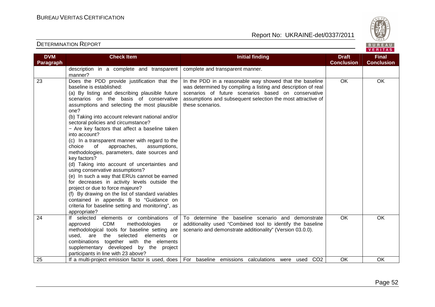

| <b>DVM</b><br>Paragraph | <b>Check Item</b>                                                                                                                                                                                                                                                                                                                                                                                                                                                                                                                                                                                                                                                                                                                                                                                                                                                                                                                                    | <b>Initial finding</b>                                                                                                                                                                                                                                             | <b>Draft</b><br><b>Conclusion</b> | <b>Final</b><br><b>Conclusion</b> |
|-------------------------|------------------------------------------------------------------------------------------------------------------------------------------------------------------------------------------------------------------------------------------------------------------------------------------------------------------------------------------------------------------------------------------------------------------------------------------------------------------------------------------------------------------------------------------------------------------------------------------------------------------------------------------------------------------------------------------------------------------------------------------------------------------------------------------------------------------------------------------------------------------------------------------------------------------------------------------------------|--------------------------------------------------------------------------------------------------------------------------------------------------------------------------------------------------------------------------------------------------------------------|-----------------------------------|-----------------------------------|
|                         | description in a complete and transparent<br>manner?                                                                                                                                                                                                                                                                                                                                                                                                                                                                                                                                                                                                                                                                                                                                                                                                                                                                                                 | complete and transparent manner.                                                                                                                                                                                                                                   |                                   |                                   |
| 23                      | Does the PDD provide justification that the<br>baseline is established:<br>(a) By listing and describing plausible future<br>scenarios on the basis of conservative<br>assumptions and selecting the most plausible<br>one?<br>(b) Taking into account relevant national and/or<br>sectoral policies and circumstance?<br>- Are key factors that affect a baseline taken<br>into account?<br>(c) In a transparent manner with regard to the<br>choice<br>approaches,<br>assumptions,<br>of<br>methodologies, parameters, date sources and<br>key factors?<br>(d) Taking into account of uncertainties and<br>using conservative assumptions?<br>(e) In such a way that ERUs cannot be earned<br>for decreases in activity levels outside the<br>project or due to force majeure?<br>(f) By drawing on the list of standard variables<br>contained in appendix B to "Guidance on<br>criteria for baseline setting and monitoring", as<br>appropriate? | In the PDD in a reasonable way showed that the baseline<br>was determined by compiling a listing and description of real<br>scenarios of future scenarios based on conservative<br>assumptions and subsequent selection the most attractive of<br>these scenarios. | $\overline{OK}$                   | <b>OK</b>                         |
| 24                      | If selected elements or combinations<br>of<br><b>CDM</b><br>methodologies<br>approved<br>or<br>methodological tools for baseline setting are<br>used,<br>are the selected<br>elements<br>or<br>combinations together with the elements<br>supplementary developed by the project<br>participants in line with 23 above?                                                                                                                                                                                                                                                                                                                                                                                                                                                                                                                                                                                                                              | To determine the baseline scenario and demonstrate<br>additionality used "Combined tool to identify the baseline<br>scenario and demonstrate additionality" (Version 03.0.0).                                                                                      | OK                                | OK                                |
| 25                      | If a multi-project emission factor is used, does                                                                                                                                                                                                                                                                                                                                                                                                                                                                                                                                                                                                                                                                                                                                                                                                                                                                                                     | CO <sub>2</sub><br>For baseline emissions calculations were used                                                                                                                                                                                                   | OK                                | <b>OK</b>                         |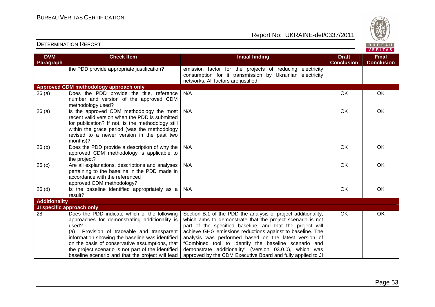

#### **VERITAS Check Item Initial finding Check Item Initial finding Check Item Initial finding Check Item Initial finding Check DVM Final Paragraph Conclusion Conclusion** the PDD provide appropriate justification?  $\parallel$  emission factor for the projects of reducing electricity consumption for it transmission by Ukrainian electricity networks. All factors are justified. **Approved CDM methodology approach only**  26 (a) Does the PDD provide the title, reference N/A OK OK OK number and version of the approved CDM methodology used? 26 (a)  $\vert$  Is the approved CDM methodology the most N/A OK OK OK recent valid version when the PDD is submitted for publication? If not, is the methodology still within the grace period (was the methodology revised to a newer version in the past two months)? 26 (b) Does the PDD provide a description of why the N/A OK OK OK approved CDM methodology is applicable to the project? 26 (c) Are all explanations, descriptions and analyses N/A OK OK pertaining to the baseline in the PDD made in accordance with the referenced approved CDM methodology?  $26$  (d)  $\qquad$  Is the baseline identified appropriately as a N/A OK OK OK result? **Additionality JI specific approach only** Section B.1 of the PDD the analysis of project additionality, OK OK 28 Does the PDD indicate which of the following approaches for demonstrating additionality is which aims to demonstrate that the project scenario is not used? part of the specified baseline, and that the project will (a) Provision of traceable and transparent achieve GHG emissions reductions against to baseline. The information showing the baseline was identified analysis was performed based on the latest version of on the basis of conservative assumptions, that "Combined tool to identify the baseline scenario and the project scenario is not part of the identified demonstrate additionality" (Version 03.0.0), which was baseline scenario and that the project will lead approved by the CDM Executive Board and fully applied to JI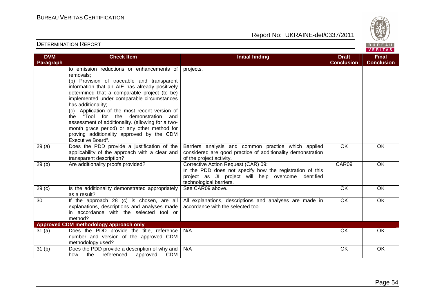

| <b>DVM</b><br>Paragraph | <b>Check Item</b>                                                                                                                                                                                                                                                                                                                                                                                                                                                                                                                        | <b>Initial finding</b>                                                                                                                                                            | <b>Draft</b><br><b>Conclusion</b> | <b>Final</b><br><b>Conclusion</b> |
|-------------------------|------------------------------------------------------------------------------------------------------------------------------------------------------------------------------------------------------------------------------------------------------------------------------------------------------------------------------------------------------------------------------------------------------------------------------------------------------------------------------------------------------------------------------------------|-----------------------------------------------------------------------------------------------------------------------------------------------------------------------------------|-----------------------------------|-----------------------------------|
|                         | to emission reductions or enhancements of<br>removals:<br>(b) Provision of traceable and transparent<br>information that an AIE has already positively<br>determined that a comparable project (to be)<br>implemented under comparable circumstances<br>has additionality;<br>(c) Application of the most recent version of<br>the "Tool for the demonstration and<br>assessment of additionality. (allowing for a two-<br>month grace period) or any other method for<br>proving additionality approved by the CDM<br>Executive Board". | projects.                                                                                                                                                                         |                                   |                                   |
| 29(a)                   | Does the PDD provide a justification of the<br>applicability of the approach with a clear and<br>transparent description?                                                                                                                                                                                                                                                                                                                                                                                                                | Barriers analysis and common practice which applied<br>considered are good practice of additionality demonstration<br>of the project activity.                                    | $\overline{OK}$                   | OK                                |
| 29(b)                   | Are additionality proofs provided?                                                                                                                                                                                                                                                                                                                                                                                                                                                                                                       | Corrective Action Request (CAR) 09:<br>In the PDD does not specify how the registration of this<br>project as JI project will help overcome identified<br>technological barriers. | CAR09                             | <b>OK</b>                         |
| 29 <sub>(c)</sub>       | Is the additionality demonstrated appropriately<br>as a result?                                                                                                                                                                                                                                                                                                                                                                                                                                                                          | See CAR09 above.                                                                                                                                                                  | OK                                | OK                                |
| 30                      | If the approach 28 (c) is chosen, are all<br>explanations, descriptions and analyses made<br>in accordance with the selected tool or<br>method?                                                                                                                                                                                                                                                                                                                                                                                          | All explanations, descriptions and analyses are made in<br>accordance with the selected tool.                                                                                     | $\overline{OK}$                   | <b>OK</b>                         |
|                         | Approved CDM methodology approach only                                                                                                                                                                                                                                                                                                                                                                                                                                                                                                   |                                                                                                                                                                                   |                                   |                                   |
| 31(a)                   | Does the PDD provide the title, reference<br>number and version of the approved CDM<br>methodology used?                                                                                                                                                                                                                                                                                                                                                                                                                                 | N/A                                                                                                                                                                               | OK                                | OK                                |
| 31(b)                   | Does the PDD provide a description of why and  <br>the<br>referenced<br>approved<br><b>CDM</b><br>how                                                                                                                                                                                                                                                                                                                                                                                                                                    | N/A                                                                                                                                                                               | OK                                | OK                                |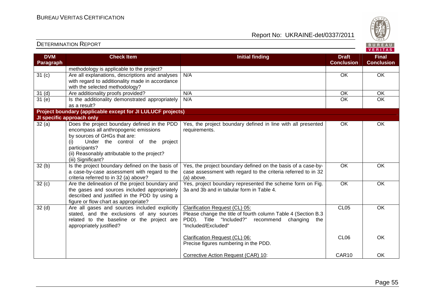DETERMINATION REPORT

Report No: UKRAINE-det/0337/2011



**VERITAS** 

#### **DVM Paragraph Check Item Initial finding Check Item Initial finding Check Item Initial finding Check Item Initial finding Check ConclusionFinal Conclusion** methodology is applicable to the project? 31 (c) Are all explanations, descriptions and analyses with regard to additionality made in accordance with the selected methodology? 31 (d) | Are additionality proofs provided? | N/A OK | OK N/A OK OK OK  $\overline{OK}$  $31$  (e) Is the additionality demonstrated appropriately as a result? **Project boundary (applicable except for JI LULUCF projects)** N/A OK OK OK **JI specific approach only**  32 (a) Does the project boundary defined in the PDDencompass all anthropogenic emissions by sources of GHGs that are: (i) Under the control of the project participants? (ii) Reasonably attributable to the project? (iii) Significant?  $32(b)$  Is the project boundary defined on the basis of Yes, the project boundary defined in line with all presented requirements. OK OK a case-by-case assessment with regard to the criteria referred to in 32 (a) above?  $32 (c)$  Are the delineation of the project boundary and Yes, the project boundary defined on the basis of a case-bycase assessment with regard to the criteria referred to in 32 (a) above. Yes, project boundary represented the scheme form on Fig. OK OK the gases and sources included appropriately described and justified in the PDD by using a figure or flow chart as appropriate? 32 (d) | Are all gases and sources included explicitly 3a and 3b and in tabular form in Table 4. OK OK stated, and the exclusions of any sources related to the baseline or the project are appropriately justified? Clarification Request (CL) 05: Please change the title of fourth column Table 4 (Section B.3 the PDD). Title "Included?" recommend changing "Included/Excluded" Clarification Request (CL) 06: Precise figures numbering in the PDD. Corrective Action Request (CAR) 10: CL05 CL06 CAR10 **OK** OK OK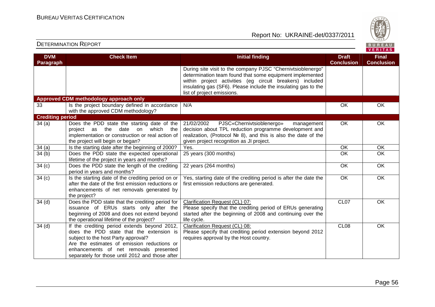DETERMINATION REPORT

Report No: UKRAINE-det/0337/2011



#### **VERITAS Check Item Initial finding Check Item Initial finding Check Item Initial finding Check Item Initial finding Check DVM Final Paragraph Conclusion Conclusion** During site visit to the company PJSC "Chernivtsioblenergo" determination team found that some equipment implemented within project activities (eg circuit breakers) included insulating gas (SF6). Please include the insulating gas to the list of project emissions. **Approved CDM methodology approach only** 33 **Is the project boundary defined in accordance** N/A OK OK OK with the approved CDM methodology? **Crediting period** 21/02/2002 PJSC«Chernivtsioblenergo» management OK OK  $34$  (a)  $\hbox{\textsf{Does}}$  the PDD state the starting date of the project as the date on which the decision about TPL reduction programme development and implementation or construction or real action of realization, (Protocol № 8), and this is also the date of the given project recognition as JI project. the project will begin or began? 34 (a) Is the starting date after the beginning of 2000? Tes. The starting of the starting of the OK OK OK OK 34 (b) Does the PDD state the expected operational 25 years (300 months) OK OK lifetime of the project in years and months? 34 (c) Does the PDD state the length of the crediting 22 years (264 months) OK OK period in years and months?  $34 (c)$  Is the starting date of the crediting period on or Yes, starting date of the crediting period is after the date the OK OK after the date of the first emission reductions or first emission reductions are generated. enhancements of net removals generated by the project? 34 (d) Does the PDD state that the crediting period for Clarification Request (CL) 07:CL07 OK issuance of ERUs starts only after the Please specify that the crediting period of ERUs generating beginning of 2008 and does not extend beyond started after the beginning of 2008 and continuing over the the operational lifetime of the project? life cycle. 34 (d) | If the crediting period extends beyond 2012, Clarification Request (CL) 08:CL08 OK does the PDD state that the extension is Please specify that crediting period extension beyond 2012 subject to the host Party approval? requires approval by the Host country. Are the estimates of emission reductions or enhancements of net removals presented separately for those until 2012 and those after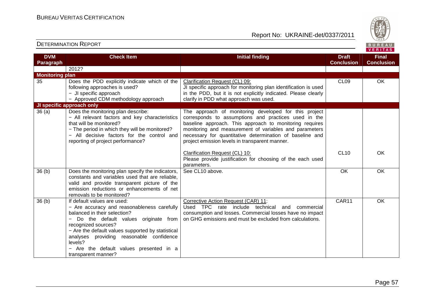

| <b>DVM</b>             | <b>Check Item</b>                                                                    | <b>Initial finding</b>                                                                                        | <b>Draft</b>      | <b>Final</b>      |
|------------------------|--------------------------------------------------------------------------------------|---------------------------------------------------------------------------------------------------------------|-------------------|-------------------|
| Paragraph              |                                                                                      |                                                                                                               | <b>Conclusion</b> | <b>Conclusion</b> |
|                        | 2012?                                                                                |                                                                                                               |                   |                   |
| <b>Monitoring plan</b> |                                                                                      |                                                                                                               |                   |                   |
| 35                     | Does the PDD explicitly indicate which of the                                        | Clarification Request (CL) 09:                                                                                | CL <sub>09</sub>  | OK                |
|                        | following approaches is used?                                                        | JI specific approach for monitoring plan identification is used                                               |                   |                   |
|                        | - JI specific approach                                                               | in the PDD, but it is not explicitly indicated. Please clearly<br>clarify in PDD what approach was used.      |                   |                   |
|                        | - Approved CDM methodology approach<br>JI specific approach only                     |                                                                                                               |                   |                   |
|                        |                                                                                      |                                                                                                               |                   |                   |
| 36(a)                  | Does the monitoring plan describe:<br>- All relevant factors and key characteristics | The approach of monitoring developed for this project<br>corresponds to assumptions and practices used in the |                   |                   |
|                        | that will be monitored?                                                              | baseline approach. This approach to monitoring requires                                                       |                   |                   |
|                        | - The period in which they will be monitored?                                        | monitoring and measurement of variables and parameters                                                        |                   |                   |
|                        | - All decisive factors for the control and                                           | necessary for quantitative determination of baseline and                                                      |                   |                   |
|                        | reporting of project performance?                                                    | project emission levels in transparent manner.                                                                |                   |                   |
|                        |                                                                                      |                                                                                                               |                   |                   |
|                        |                                                                                      | Clarification Request (CL) 10:                                                                                | <b>CL10</b>       | OK                |
|                        |                                                                                      | Please provide justification for choosing of the each used                                                    |                   |                   |
|                        |                                                                                      | parameters.                                                                                                   |                   |                   |
| 36(b)                  | Does the monitoring plan specify the indicators,                                     | See CL10 above.                                                                                               | OK                | OK                |
|                        | constants and variables used that are reliable,                                      |                                                                                                               |                   |                   |
|                        | valid and provide transparent picture of the                                         |                                                                                                               |                   |                   |
|                        | emission reductions or enhancements of net                                           |                                                                                                               |                   |                   |
| 36 <sub>(b)</sub>      | removals to be monitored?<br>If default values are used:                             | Corrective Action Request (CAR) 11:                                                                           | CAR11             | OK                |
|                        | - Are accuracy and reasonableness carefully                                          | Used TPC rate include technical<br>and<br>commercial                                                          |                   |                   |
|                        | balanced in their selection?                                                         | consumption and losses. Commercial losses have no impact                                                      |                   |                   |
|                        | Do the default values originate from                                                 | on GHG emissions and must be excluded from calculations.                                                      |                   |                   |
|                        | recognized sources?                                                                  |                                                                                                               |                   |                   |
|                        | - Are the default values supported by statistical                                    |                                                                                                               |                   |                   |
|                        | analyses providing reasonable confidence                                             |                                                                                                               |                   |                   |
|                        | levels?                                                                              |                                                                                                               |                   |                   |
|                        | - Are the default values presented in a                                              |                                                                                                               |                   |                   |
|                        | transparent manner?                                                                  |                                                                                                               |                   |                   |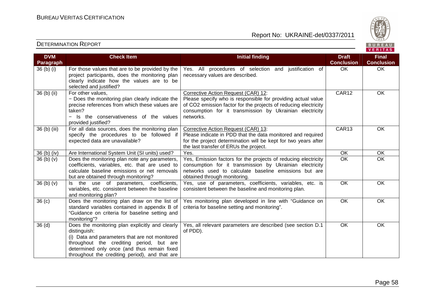

| <b>DVM</b>        | <b>Check Item</b>                                                                                                                                                                                                                                              | <b>Initial finding</b>                                                                                                                                                                                                                          | <b>Draft</b>      | <b>Final</b>      |
|-------------------|----------------------------------------------------------------------------------------------------------------------------------------------------------------------------------------------------------------------------------------------------------------|-------------------------------------------------------------------------------------------------------------------------------------------------------------------------------------------------------------------------------------------------|-------------------|-------------------|
| Paragraph         |                                                                                                                                                                                                                                                                |                                                                                                                                                                                                                                                 | <b>Conclusion</b> | <b>Conclusion</b> |
| 36 (b) (i)        | For those values that are to be provided by the<br>project participants, does the monitoring plan<br>clearly indicate how the values are to be<br>selected and justified?                                                                                      | Yes. All procedures of selection and justification of<br>necessary values are described.                                                                                                                                                        | OK                | OK                |
| 36 (b) (ii)       | For other values,<br>- Does the monitoring plan clearly indicate the<br>precise references from which these values are<br>taken?<br>- Is the conservativeness of the values<br>provided justified?                                                             | Corrective Action Request (CAR) 12:<br>Please specify who is responsible for providing actual value<br>of CO2 emission factor for the projects of reducing electricity<br>consumption for it transmission by Ukrainian electricity<br>networks. | CAR12             | OK                |
| 36 (b) (iii)      | For all data sources, does the monitoring plan<br>specify the procedures to be followed if<br>expected data are unavailable?                                                                                                                                   | Corrective Action Request (CAR) 13:<br>Please indicate in PDD that the data monitored and required<br>for the project determination will be kept for two years after<br>the last transfer of ERUs the project.                                  | CAR13             | OK                |
| 36 (b) (iv)       | Are International System Unit (SI units) used?                                                                                                                                                                                                                 | Yes.                                                                                                                                                                                                                                            | OK                | OK                |
| 36(b)(v)          | Does the monitoring plan note any parameters,<br>coefficients, variables, etc. that are used to<br>calculate baseline emissions or net removals<br>but are obtained through monitoring?                                                                        | Yes, Emission factors for the projects of reducing electricity<br>consumption for it transmission by Ukrainian electricity<br>networks used to calculate baseline emissions but are<br>obtained through monitoring.                             | <b>OK</b>         | OK                |
| 36(b)(v)          | Is the use of parameters, coefficients,<br>variables, etc. consistent between the baseline<br>and monitoring plan?                                                                                                                                             | Yes, use of parameters, coefficients, variables, etc. is<br>consistent between the baseline and monitoring plan.                                                                                                                                | OK                | OK                |
| 36 <sub>(c)</sub> | Does the monitoring plan draw on the list of<br>standard variables contained in appendix B of<br>"Guidance on criteria for baseline setting and<br>monitoring"?                                                                                                | Yes monitoring plan developed in line with "Guidance on<br>criteria for baseline setting and monitoring".                                                                                                                                       | $\overline{OK}$   | OK                |
| 36 <sub>(d)</sub> | Does the monitoring plan explicitly and clearly<br>distinguish:<br>(i) Data and parameters that are not monitored<br>throughout the crediting period, but are<br>determined only once (and thus remain fixed<br>throughout the crediting period), and that are | Yes, all relevant parameters are described (see section D.1<br>of PDD).                                                                                                                                                                         | <b>OK</b>         | OK                |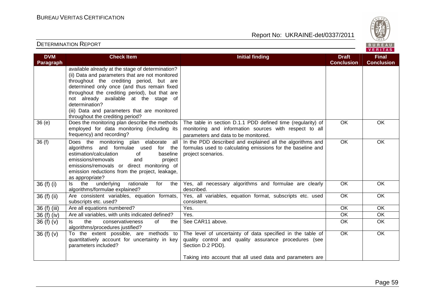

| <b>DVM</b><br><b>Paragraph</b> | <b>Check Item</b>                                                                                                                                                                                                                                                                                                                                                                               | <b>Initial finding</b>                                                                                                                                                                                | <b>Draft</b><br><b>Conclusion</b> | <b>Final</b><br><b>Conclusion</b> |
|--------------------------------|-------------------------------------------------------------------------------------------------------------------------------------------------------------------------------------------------------------------------------------------------------------------------------------------------------------------------------------------------------------------------------------------------|-------------------------------------------------------------------------------------------------------------------------------------------------------------------------------------------------------|-----------------------------------|-----------------------------------|
|                                | available already at the stage of determination?<br>(ii) Data and parameters that are not monitored<br>throughout the crediting period, but are<br>determined only once (and thus remain fixed<br>throughout the crediting period), but that are<br>not already available at the stage of<br>determination?<br>(iii) Data and parameters that are monitored<br>throughout the crediting period? |                                                                                                                                                                                                       |                                   |                                   |
| 36(e)                          | Does the monitoring plan describe the methods<br>employed for data monitoring (including its<br>frequency) and recording?                                                                                                                                                                                                                                                                       | The table in section D.1.1 PDD defined time (regularity) of<br>monitoring and information sources with respect to all<br>parameters and data to be monitored.                                         | $\overline{OK}$                   | OK                                |
| 36(f)                          | Does the monitoring plan elaborate all<br>algorithms and formulae used<br>for the<br>estimation/calculation<br>baseline<br>0f<br>emissions/removals<br>and<br>project<br>emissions/removals or direct monitoring of<br>emission reductions from the project, leakage,<br>as appropriate?                                                                                                        | In the PDD described and explained all the algorithms and<br>formulas used to calculating emissions for the baseline and<br>project scenarios.                                                        | $\overline{OK}$                   | $\overline{OK}$                   |
| 36 (f) (i)                     | underlying<br>the<br>rationale<br>for<br>the<br>ls.<br>algorithms/formulae explained?                                                                                                                                                                                                                                                                                                           | Yes, all necessary algorithms and formulae are clearly<br>described.                                                                                                                                  | $\overline{OK}$                   | OK                                |
| 36 (f) (ii)                    | Are consistent variables, equation formats,<br>subscripts etc. used?                                                                                                                                                                                                                                                                                                                            | Yes, all variables, equation format, subscripts etc. used<br>consistent.                                                                                                                              | OK                                | OK                                |
| 36 (f) (iii)                   | Are all equations numbered?                                                                                                                                                                                                                                                                                                                                                                     | Yes.                                                                                                                                                                                                  | $\overline{OK}$                   | <b>OK</b>                         |
| 36 (f) (iv)                    | Are all variables, with units indicated defined?                                                                                                                                                                                                                                                                                                                                                | Yes.                                                                                                                                                                                                  | $\overline{OK}$                   | $\overline{OK}$                   |
| 36 $(f)(v)$                    | the<br>conservativeness<br>of<br>ls.<br>the<br>algorithms/procedures justified?                                                                                                                                                                                                                                                                                                                 | See CAR11 above.                                                                                                                                                                                      | OK                                | OK                                |
| 36 $(f)(v)$                    | To the extent possible, are methods to<br>quantitatively account for uncertainty in key<br>parameters included?                                                                                                                                                                                                                                                                                 | The level of uncertainty of data specified in the table of<br>quality control and quality assurance procedures (see<br>Section D.2 PDD).<br>Taking into account that all used data and parameters are | $\overline{OK}$                   | OK                                |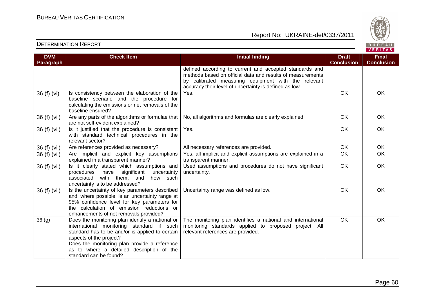standard can be found?



## Report No: UKRAINE-det/0337/2011

|                                |                                                                                                                                                                                                                                                                         |                                                                                                                                                                                                                                        |                                   | <b>VENIIAS</b>                    |
|--------------------------------|-------------------------------------------------------------------------------------------------------------------------------------------------------------------------------------------------------------------------------------------------------------------------|----------------------------------------------------------------------------------------------------------------------------------------------------------------------------------------------------------------------------------------|-----------------------------------|-----------------------------------|
| <b>DVM</b><br><b>Paragraph</b> | <b>Check Item</b>                                                                                                                                                                                                                                                       | <b>Initial finding</b>                                                                                                                                                                                                                 | <b>Draft</b><br><b>Conclusion</b> | <b>Final</b><br><b>Conclusion</b> |
|                                |                                                                                                                                                                                                                                                                         | defined according to current and accepted standards and<br>methods based on official data and results of measurements<br>by calibrated measuring equipment with the relevant<br>accuracy their level of uncertainty is defined as low. |                                   |                                   |
| 36 (f) (vi)                    | Is consistency between the elaboration of the<br>baseline scenario and the procedure for<br>calculating the emissions or net removals of the<br>baseline ensured?                                                                                                       | Yes.                                                                                                                                                                                                                                   | OK                                | OK                                |
| 36 (f) (vii)                   | Are any parts of the algorithms or formulae that<br>are not self-evident explained?                                                                                                                                                                                     | No, all algorithms and formulas are clearly explained                                                                                                                                                                                  | OK                                | OK                                |
| 36 (f) (vii)                   | Is it justified that the procedure is consistent<br>with standard technical procedures in the<br>relevant sector?                                                                                                                                                       | Yes.                                                                                                                                                                                                                                   | OK                                | OK                                |
| 36 (f) (vii)                   | Are references provided as necessary?                                                                                                                                                                                                                                   | All necessary references are provided.                                                                                                                                                                                                 | OK                                | OK                                |
| 36 (f) (vii)                   | Are implicit and explicit key assumptions<br>explained in a transparent manner?                                                                                                                                                                                         | Yes, all implicit and explicit assumptions are explained in a<br>transparent manner.                                                                                                                                                   | OK                                | OK                                |
| 36 (f) (vii)                   | Is it clearly stated which assumptions and<br>significant<br>procedures<br>have<br>uncertainty<br>associated<br>with them, and<br>how such<br>uncertainty is to be addressed?                                                                                           | Used assumptions and procedures do not have significant<br>uncertainty.                                                                                                                                                                | $\overline{OK}$                   | OK                                |
| 36 (f) (vii)                   | Is the uncertainty of key parameters described<br>and, where possible, is an uncertainty range at<br>95% confidence level for key parameters for<br>the calculation of emission reductions or<br>enhancements of net removals provided?                                 | Uncertainty range was defined as low.                                                                                                                                                                                                  | OK                                | OK                                |
| 36(9)                          | Does the monitoring plan identify a national or<br>international monitoring standard if such<br>standard has to be and/or is applied to certain<br>aspects of the project?<br>Does the monitoring plan provide a reference<br>as to where a detailed description of the | The monitoring plan identifies a national and international<br>monitoring standards applied to proposed project. All<br>relevant references are provided.                                                                              | OK                                | OK                                |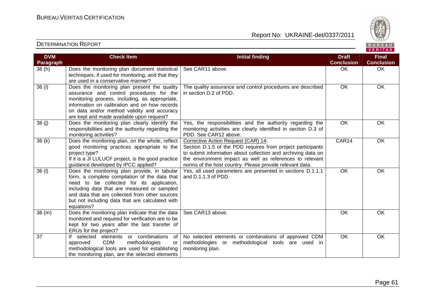

| <b>DVM</b><br>Paragraph | <b>Check Item</b>                                                                                                                                                                                                                                                                                            | <b>Initial finding</b>                                                                                                                                                                                                                                                                     | <b>Draft</b><br><b>Conclusion</b> | <b>Final</b><br><b>Conclusion</b> |
|-------------------------|--------------------------------------------------------------------------------------------------------------------------------------------------------------------------------------------------------------------------------------------------------------------------------------------------------------|--------------------------------------------------------------------------------------------------------------------------------------------------------------------------------------------------------------------------------------------------------------------------------------------|-----------------------------------|-----------------------------------|
| 36(h)                   | Does the monitoring plan document statistical<br>techniques, if used for monitoring, and that they<br>are used in a conservative manner?                                                                                                                                                                     | See CAR11 above.                                                                                                                                                                                                                                                                           | OK                                | OK                                |
| 36(i)                   | Does the monitoring plan present the quality<br>assurance and control procedures for the<br>monitoring process, including, as appropriate,<br>information on calibration and on how records<br>on data and/or method validity and accuracy<br>are kept and made available upon request?                      | The quality assurance and control procedures are described<br>in section D.2 of PDD.                                                                                                                                                                                                       | OK                                | <b>OK</b>                         |
| 36(j)                   | Does the monitoring plan clearly identify the<br>responsibilities and the authority regarding the<br>monitoring activities?                                                                                                                                                                                  | Yes, the responsibilities and the authority regarding the<br>monitoring activities are clearly identified in section D.3 of<br>PDD. See CAR12 above.                                                                                                                                       | OK                                | <b>OK</b>                         |
| 36(k)                   | Does the monitoring plan, on the whole, reflect<br>good monitoring practices appropriate to the<br>project type?<br>If it is a JI LULUCF project, is the good practice<br>guidance developed by IPCC applied?                                                                                                | Corrective Action Request (CAR) 14:<br>Section D.1.5 of the PDD requires from project participants<br>to submit information about collection and archiving data on<br>the environment impact as well as references to relevant<br>norms of the host country. Please provide relevant data. | CAR14                             | OK                                |
| $36$ (l)                | Does the monitoring plan provide, in tabular<br>form, a complete compilation of the data that<br>need to be collected for its application,<br>including data that are measured or sampled<br>and data that are collected from other sources<br>but not including data that are calculated with<br>equations? | Yes, all used parameters are presented in sections D.1.1.1<br>and D.1.1.3 of PDD.                                                                                                                                                                                                          | $\overline{OK}$                   | $\overline{OK}$                   |
| 36(m)                   | Does the monitoring plan indicate that the data<br>monitored and required for verification are to be<br>kept for two years after the last transfer of<br>ERUs for the project?                                                                                                                               | See CAR13 above.                                                                                                                                                                                                                                                                           | $\overline{OK}$                   | <b>OK</b>                         |
| 37                      | If selected elements or combinations<br>of<br><b>CDM</b><br>methodologies<br>approved<br><b>or</b><br>methodological tools are used for establishing<br>the monitoring plan, are the selected elements                                                                                                       | No selected elements or combinations of approved CDM<br>methodologies or methodological tools are used in<br>monitoring plan.                                                                                                                                                              | <b>OK</b>                         | <b>OK</b>                         |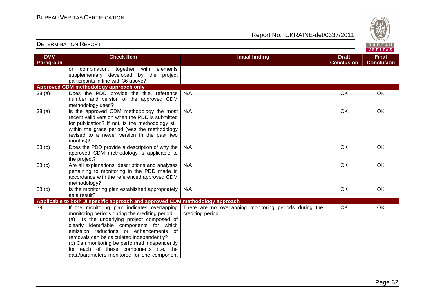DETERMINATION REPORT

Report No: UKRAINE-det/0337/2011



#### VERITAS **Check Item Initial finding Check Item Initial finding Check Item Initial finding Check Item Initial finding Check DVM Final Paragraph Conclusion Conclusion** or combination, together with elements supplementary developed by the project participants in line with 36 above? **Approved CDM methodology approach only**  38 (a) Does the PDD provide the title, reference N/A OK OK OK number and version of the approved CDM methodology used? 38 (a)  $\vert$  Is the approved CDM methodology the most N/A OK OK OK recent valid version when the PDD is submitted for publication? If not, is the methodology still within the grace period (was the methodology revised to a newer version in the past two months)? 38 (b) Does the PDD provide a description of why the N/A OK OK OK approved CDM methodology is applicable to the project? 38 (c) Are all explanations, descriptions and analyses N/A OK OK pertaining to monitoring in the PDD made in accordance with the referenced approved CDM methodology?  $38$  (d)  $\vert$  Is the monitoring plan established appropriately N/A OK OK OK as a result? **Applicable to both JI specific approach and approved CDM methodology approach** 39 If the monitoring plan indicates overlapping There are no overlapping monitoring periods during the OK OK monitoring periods during the crediting period: crediting period. (a) Is the underlying project composed of clearly identifiable components for which emission reductions or enhancements of removals can be calculated independently? (b) Can monitoring be performed independently for each of these components (i.e. the data/parameters monitored for one component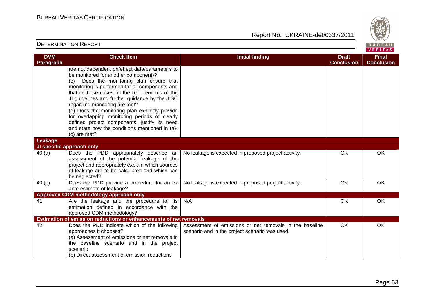

#### DETERMINATION REPORT**VERITAS Check Item Initial finding Check Item Initial finding Check Item Initial finding Check Item Initial finding Check DVM Final Paragraph Conclusion Conclusion** are not dependent on/effect data/parameters to be monitored for another component)? (c) Does the monitoring plan ensure that monitoring is performed for all components and that in these cases all the requirements of the JI guidelines and further guidance by the JISC regarding monitoring are met? (d) Does the monitoring plan explicitly provide for overlapping monitoring periods of clearly defined project components, justify its need and state how the conditions mentioned in (a)-(c) are met? **Leakage JI specific approach only**  40 (a) Does the PDD appropriately describe an No leakage is expected in proposed project activity. The SOK CONN CONN OK assessment of the potential leakage of the project and appropriately explain which sources of leakage are to be calculated and which can be neglected? No leakage is expected in proposed project activity. 6 OK OK OK 40 (b) Does the PDD provide a procedure for an ex ante estimate of leakage? **Approved CDM methodology approach only**  41 Are the leakage and the procedure for its N/A OK OK OK estimation defined in accordance with the approved CDM methodology? **Estimation of emission reductions or enhancements of net removals** 42 Does the PDD indicate which of the following Assessment of emissions or net removals in the baseline OK OK approaches it chooses? scenario and in the project scenario was used. (a) Assessment of emissions or net removals in the baseline scenario and in the project scenario (b) Direct assessment of emission reductions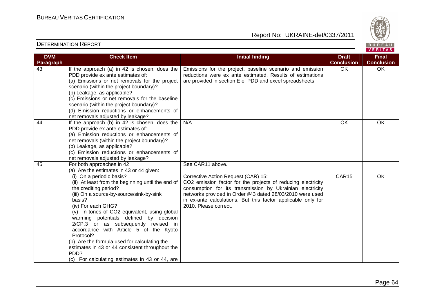

| <b>DVM</b> | <b>Check Item</b>                                 | <b>Initial finding</b>                                       | <b>Draft</b>      | <b>Final</b>      |
|------------|---------------------------------------------------|--------------------------------------------------------------|-------------------|-------------------|
| Paragraph  |                                                   |                                                              | <b>Conclusion</b> | <b>Conclusion</b> |
| 43         | If the approach (a) in 42 is chosen, does the     | Emissions for the project, baseline scenario and emission    | OK                | OK                |
|            | PDD provide ex ante estimates of:                 | reductions were ex ante estimated. Results of estimations    |                   |                   |
|            | (a) Emissions or net removals for the project     | are provided in section E of PDD and excel spreadsheets.     |                   |                   |
|            | scenario (within the project boundary)?           |                                                              |                   |                   |
|            | (b) Leakage, as applicable?                       |                                                              |                   |                   |
|            | (c) Emissions or net removals for the baseline    |                                                              |                   |                   |
|            | scenario (within the project boundary)?           |                                                              |                   |                   |
|            | (d) Emission reductions or enhancements of        |                                                              |                   |                   |
|            | net removals adjusted by leakage?                 |                                                              |                   |                   |
| 44         | If the approach (b) in 42 is chosen, does the     | N/A                                                          | OK                | OK                |
|            | PDD provide ex ante estimates of:                 |                                                              |                   |                   |
|            | (a) Emission reductions or enhancements of        |                                                              |                   |                   |
|            | net removals (within the project boundary)?       |                                                              |                   |                   |
|            | (b) Leakage, as applicable?                       |                                                              |                   |                   |
|            | (c) Emission reductions or enhancements of        |                                                              |                   |                   |
|            | net removals adjusted by leakage?                 |                                                              |                   |                   |
| 45         | For both approaches in 42                         | See CAR11 above.                                             |                   |                   |
|            | (a) Are the estimates in 43 or 44 given:          |                                                              |                   |                   |
|            | (i) On a periodic basis?                          | Corrective Action Request (CAR) 15:                          | CAR15             | OK                |
|            | (ii) At least from the beginning until the end of | CO2 emission factor for the projects of reducing electricity |                   |                   |
|            | the crediting period?                             | consumption for its transmission by Ukrainian electricity    |                   |                   |
|            | (iii) On a source-by-source/sink-by-sink          | networks provided in Order #43 dated 28/03/2010 were used    |                   |                   |
|            | basis?                                            | in ex-ante calculations. But this factor applicable only for |                   |                   |
|            | (iv) For each GHG?                                | 2010. Please correct.                                        |                   |                   |
|            | (v) In tones of CO2 equivalent, using global      |                                                              |                   |                   |
|            | warming potentials defined by decision            |                                                              |                   |                   |
|            | 2/CP.3 or as subsequently revised in              |                                                              |                   |                   |
|            | accordance with Article 5 of the Kyoto            |                                                              |                   |                   |
|            | Protocol?                                         |                                                              |                   |                   |
|            | (b) Are the formula used for calculating the      |                                                              |                   |                   |
|            | estimates in 43 or 44 consistent throughout the   |                                                              |                   |                   |
|            | PDD?                                              |                                                              |                   |                   |
|            | (c) For calculating estimates in 43 or 44, are    |                                                              |                   |                   |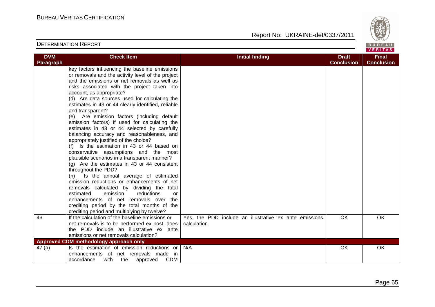Report No: UKRAINE-det/0337/2011



#### DETERMINATION REPORT

**DVM Paragraph** 

|                                                                                                                                                                                                                                                                                                                                                                                                              |                        |                                   | 1828/                             |  |
|--------------------------------------------------------------------------------------------------------------------------------------------------------------------------------------------------------------------------------------------------------------------------------------------------------------------------------------------------------------------------------------------------------------|------------------------|-----------------------------------|-----------------------------------|--|
| <b>TION REPORT</b><br>BUREAU                                                                                                                                                                                                                                                                                                                                                                                 |                        |                                   |                                   |  |
| <b>Check Item</b>                                                                                                                                                                                                                                                                                                                                                                                            | <b>Initial finding</b> | <b>Draft</b><br><b>Conclusion</b> | <b>Final</b><br><b>Conclusion</b> |  |
| key factors influencing the baseline emissions<br>or removals and the activity level of the project<br>and the emissions or net removals as well as<br>risks associated with the project taken into<br>account, as appropriate?<br>(d) Are data sources used for calculating the<br>estimates in 43 or 44 clearly identified, reliable<br>and transparent?<br>Are emission factors (including default<br>(e) |                        |                                   |                                   |  |

 emission factors) if used for calculating the estimates in 43 or 44 selected by carefully balancing accuracy and reasonableness, and appropriately justified of the choice? (f) Is the estimation in 43 or 44 based on conservative assumptions and the most plausible scenarios in a transparent manner?

| appropriately justified of the choice?                            |
|-------------------------------------------------------------------|
| (f) Is the estimation in 43 or 44 based on                        |
| conservative assumptions and the most                             |
| plausible scenarios in a transparent manner?                      |
| $(q)$ Are the estimates in 43 or 44 consistent                    |
| throughout the PDD?                                               |
| (h) Is the annual average of estimated                            |
| emission reductions or enhancements of net                        |
| removals calculated by dividing the total                         |
| estimated emission reductions<br>or                               |
| enhancements of net removals over the                             |
| المتحاف فالمستقر والمفتحف والمنادر والمتحامين والمتحاول والمتحاور |

|        | crediting period by the total months of the             |                                                        |    |     |
|--------|---------------------------------------------------------|--------------------------------------------------------|----|-----|
|        | crediting period and multiplying by twelve?             |                                                        |    |     |
| 46     | If the calculation of the baseline emissions or         | Yes, the PDD include an illustrative ex ante emissions | OK | OK. |
|        | net removals is to be performed ex post, does           | calculation.                                           |    |     |
|        | the PDD include an illustrative ex ante                 |                                                        |    |     |
|        | emissions or net removals calculation?                  |                                                        |    |     |
|        | Approved CDM methodology approach only                  |                                                        |    |     |
| 47 (a) | Is the estimation of emission reductions or $\vert$ N/A |                                                        | OK | OK. |
|        | enhancements of net removals made in                    |                                                        |    |     |
|        | <b>CDM</b><br>with the<br>accordance<br>approved        |                                                        |    |     |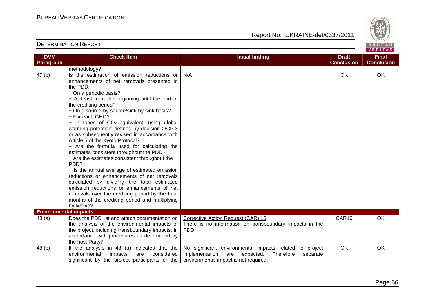

| <b>DVM</b><br>Paragraph      | <b>Check Item</b>                                                                                                                                                                                                                                                                                                                                                                                                                                                                                                                                                                                                                                                                                                                                                                                                                                                                                                                            | <b>Initial finding</b>                                                                                                                                          | <b>Draft</b><br><b>Conclusion</b> | <b>Final</b><br><b>Conclusion</b> |
|------------------------------|----------------------------------------------------------------------------------------------------------------------------------------------------------------------------------------------------------------------------------------------------------------------------------------------------------------------------------------------------------------------------------------------------------------------------------------------------------------------------------------------------------------------------------------------------------------------------------------------------------------------------------------------------------------------------------------------------------------------------------------------------------------------------------------------------------------------------------------------------------------------------------------------------------------------------------------------|-----------------------------------------------------------------------------------------------------------------------------------------------------------------|-----------------------------------|-----------------------------------|
|                              | methodology?                                                                                                                                                                                                                                                                                                                                                                                                                                                                                                                                                                                                                                                                                                                                                                                                                                                                                                                                 |                                                                                                                                                                 |                                   |                                   |
| 47 <sub>(b)</sub>            | Is the estimation of emission reductions or<br>enhancements of net removals presented in<br>the PDD:<br>- On a periodic basis?<br>- At least from the beginning until the end of<br>the crediting period?<br>- On a source-by-source/sink-by-sink basis?<br>- For each GHG?<br>- In tones of CO <sub>2</sub> equivalent, using global<br>warming potentials defined by decision 2/CP.3<br>or as subsequently revised in accordance with<br>Article 5 of the Kyoto Protocol?<br>- Are the formula used for calculating the<br>estimates consistent throughout the PDD?<br>- Are the estimates consistent throughout the<br>PDD?<br>- Is the annual average of estimated emission<br>reductions or enhancements of net removals<br>calculated by dividing the total estimated<br>emission reductions or enhancements of net<br>removals over the crediting period by the total<br>months of the crediting period and multiplying<br>by twelve? | N/A                                                                                                                                                             | OK                                | OK                                |
| <b>Environmental impacts</b> |                                                                                                                                                                                                                                                                                                                                                                                                                                                                                                                                                                                                                                                                                                                                                                                                                                                                                                                                              |                                                                                                                                                                 |                                   |                                   |
| 48 (a)                       | Does the PDD list and attach documentation on<br>the analysis of the environmental impacts of<br>the project, including transboundary impacts, in<br>accordance with procedures as determined by<br>the host Party?                                                                                                                                                                                                                                                                                                                                                                                                                                                                                                                                                                                                                                                                                                                          | Corrective Action Request (CAR) 16:<br>There is no information on transboundary impacts in the<br>PDD.                                                          | CAR16                             | <b>OK</b>                         |
| 48 (b)                       | If the analysis in 48 (a) indicates that the<br>environmental<br>impacts<br>considered<br>are<br>significant by the project participants or the                                                                                                                                                                                                                                                                                                                                                                                                                                                                                                                                                                                                                                                                                                                                                                                              | No significant environmental impacts related to project<br>implementation<br>are<br>expected.<br>Therefore<br>separate<br>environmental impact is not required. | $\overline{OK}$                   | $\overline{OK}$                   |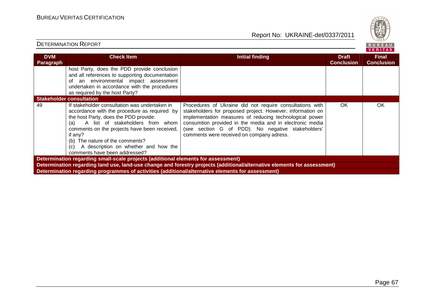DETERMINATION REPORT

Report No: UKRAINE-det/0337/2011



#### VERITAS **Check Item Initial finding Check Item Initial finding Check Item Initial finding Check Item Initial finding Check Item DVM Final Paragraph Conclusion Conclusion** host Party, does the PDD provide conclusion and all references to supporting documentation of an environmental impact assessment undertaken in accordance with the procedures as required by the host Party? **Stakeholder consultation**  49 If stakeholder consultation was undertaken in Procedures of Ukraine did not require consultations with OK OK accordance with the procedure as required by stakeholders for proposed project. However, information on the host Party, does the PDD provide: implementation measures of reducing technological power (a) A list of stakeholders from whom consumtion provided in the media and in electronic media comments on the projects have been received, (see section G of PDD). No negative stakeholders' comments were received on company adress. if any? (b) The nature of the comments? (c) A description on whether and how the comments have been addressed? **Determination regarding small-scale projects (additional elements for assessment) Determination regarding land use, land-use change and forestry projects (additional/alternative elements for assessment) Determination regarding programmes of activities (additional/alternative elements for assessment)**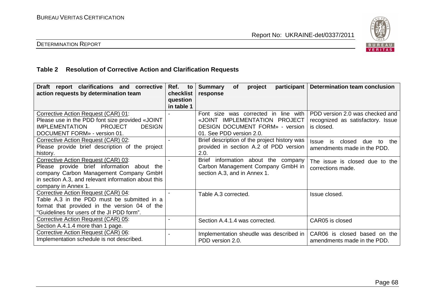

# DETERMINATION REPORT

# **Table 2 Resolution of Corrective Action and Clarification Requests**

| Draft report clarifications and corrective<br>action requests by determination team                                                                                                                       | Ref.<br>to<br>checklist<br>question<br>in table 1 | participant<br><b>Summary</b><br>project<br><b>of</b><br>response                                                                           | <b>Determination team conclusion</b>                                               |
|-----------------------------------------------------------------------------------------------------------------------------------------------------------------------------------------------------------|---------------------------------------------------|---------------------------------------------------------------------------------------------------------------------------------------------|------------------------------------------------------------------------------------|
| Corrective Action Request (CAR) 01:<br>Please use in the PDD font size provided «JOINT<br><b>PROJECT</b><br><b>IMPLEMENTATION</b><br><b>DESIGN</b><br>DOCUMENT FORM» - version 01.                        |                                                   | Font size was corrected in line with<br>«JOINT IMPLEMENTATION PROJECT<br><b>DESIGN DOCUMENT FORM» - version</b><br>01. See PDD version 2.0. | PDD version 2.0 was checked and<br>recognized as satisfactory. Issue<br>is closed. |
| Corrective Action Request (CAR) 02:<br>Please provide brief description of the project<br>history.                                                                                                        |                                                   | Brief description of the project history was<br>provided in section A.2 of PDD version<br>2.0.                                              | closed<br><b>Issue</b><br>is<br>due<br>the<br>to<br>amendments made in the PDD.    |
| Corrective Action Request (CAR) 03:<br>Please provide brief information about the<br>company Carbon Management Company GmbH<br>in section A.3, and relevant information about this<br>company in Annex 1. |                                                   | Brief<br>information about the<br>company<br>Carbon Management Company GmbH in<br>section A.3, and in Annex 1.                              | The issue is closed due to the<br>corrections made.                                |
| Corrective Action Request (CAR) 04:<br>Table A.3 in the PDD must be submitted in a<br>format that provided in the version 04 of the<br>"Guidelines for users of the JI PDD form".                         |                                                   | Table A.3 corrected.                                                                                                                        | Issue closed.                                                                      |
| Corrective Action Request (CAR) 05:<br>Section A.4.1.4 more than 1 page.                                                                                                                                  |                                                   | Section A.4.1.4 was corrected.                                                                                                              | CAR05 is closed                                                                    |
| Corrective Action Request (CAR) 06:<br>Implementation schedule is not described.                                                                                                                          |                                                   | Implementation sheudle was described in<br>PDD version 2.0.                                                                                 | CAR06 is closed based on the<br>amendments made in the PDD.                        |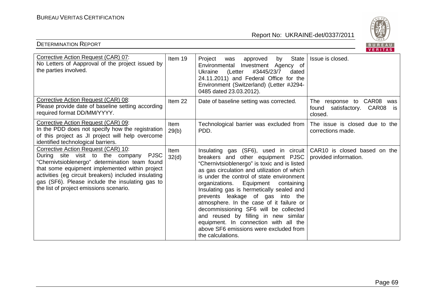DETERMINATION REPORT



| Corrective Action Request (CAR) 07:<br>No Letters of Aapproval of the project issued by<br>the parties involved.                                                                                                                                                                                                                                 | Item 19       | State<br>Project<br>approved<br>by<br>was<br>Environmental Investment Agency of<br>#3445/23/7<br>(Letter<br>dated<br>Ukraine<br>24.11.2011) and Federal Office for the<br>Environment (Switzerland) (Letter #J294-<br>0485 dated 23.03.2012).                                                                                                                                                                                                                                                                                                                                          | Issue is closed.                                                        |
|--------------------------------------------------------------------------------------------------------------------------------------------------------------------------------------------------------------------------------------------------------------------------------------------------------------------------------------------------|---------------|----------------------------------------------------------------------------------------------------------------------------------------------------------------------------------------------------------------------------------------------------------------------------------------------------------------------------------------------------------------------------------------------------------------------------------------------------------------------------------------------------------------------------------------------------------------------------------------|-------------------------------------------------------------------------|
| Corrective Action Request (CAR) 08:<br>Please provide date of baseline setting according<br>required format DD/MM/YYYY.                                                                                                                                                                                                                          | Item 22       | Date of baseline setting was corrected.                                                                                                                                                                                                                                                                                                                                                                                                                                                                                                                                                | The response to CAR08 was<br>found satisfactory. CAR08<br>is<br>closed. |
| Corrective Action Request (CAR) 09:<br>In the PDD does not specify how the registration<br>of this project as JI project will help overcome<br>identified technological barriers.                                                                                                                                                                | Item<br>29(b) | Technological barrier was excluded from<br>PDD.                                                                                                                                                                                                                                                                                                                                                                                                                                                                                                                                        | The issue is closed due to the<br>corrections made.                     |
| Corrective Action Request (CAR) 10:<br>During site visit to the company<br><b>PJSC</b><br>"Chernivtsioblenergo" determination team found<br>that some equipment implemented within project<br>activities (eg circuit breakers) included insulating<br>gas (SF6). Please include the insulating gas to<br>the list of project emissions scenario. | Item<br>32(d) | Insulating gas (SF6), used in circuit<br>breakers and other equipment PJSC<br>"Chernivtsioblenergo" is toxic and is listed<br>as gas circulation and utilization of which<br>is under the control of state environment<br>organizations. Equipment<br>containing<br>Insulating gas is hermetically sealed and<br>prevents leakage of gas into the<br>atmosphere. In the case of it failure or<br>decommissioning SF6 will be collected<br>and reused by filling in new similar<br>equipment. In connection with all the<br>above SF6 emissions were excluded from<br>the calculations. | CAR10 is closed based on the<br>provided information.                   |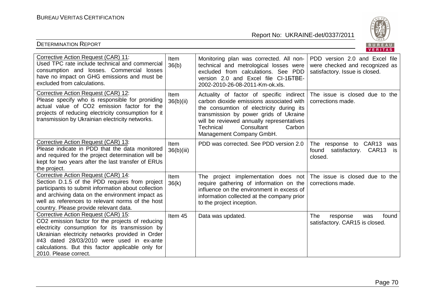DETERMINATION REPORT



|                                                                                                                                                                                                                                                                                                                           |                          |                                                                                                                                                                                                                                                                                          | VENIIAS.                                                                                           |
|---------------------------------------------------------------------------------------------------------------------------------------------------------------------------------------------------------------------------------------------------------------------------------------------------------------------------|--------------------------|------------------------------------------------------------------------------------------------------------------------------------------------------------------------------------------------------------------------------------------------------------------------------------------|----------------------------------------------------------------------------------------------------|
| Corrective Action Request (CAR) 11:<br>Used TPC rate include technical and commercial<br>consumption and losses. Commercial losses<br>have no impact on GHG emissions and must be<br>excluded from calculations.                                                                                                          | Item<br>36(b)            | Monitoring plan was corrected. All non-<br>technical and metrological losses were<br>excluded from calculations. See PDD<br>version 2.0 and Excel file CI-15TBE-<br>2002-2010-26-08-2011-Km-ok.xls.                                                                                      | PDD version 2.0 and Excel file<br>were checked and recognized as<br>satisfactory. Issue is closed. |
| Corrective Action Request (CAR) 12:<br>Please specify who is responsible for proniding<br>actual value of CO2 emission factor for the<br>projects of reducing electricity consumption for it<br>transmission by Ukrainian electricity networks.                                                                           | <b>Item</b><br>36(b)(ii) | Actuality of factor of specific indirect<br>carbon dioxide emissions associated with<br>the consumtion of electricity during its<br>transmission by power grids of Ukraine<br>will be reviewed annually representatives<br>Technical<br>Consultant<br>Carbon<br>Management Company GmbH. | The issue is closed due to the<br>corrections made.                                                |
| Corrective Action Request (CAR) 13:<br>Please indicate in PDD that the data monitored<br>and required for the project determination will be<br>kept for two years after the last transfer of ERUs<br>the project.                                                                                                         | Item<br>36(b)(iii)       | PDD was corrected. See PDD version 2.0                                                                                                                                                                                                                                                   | response to CAR13<br>The<br>was<br>satisfactory. CAR13<br>found<br>is.<br>closed.                  |
| Corrective Action Request (CAR) 14:<br>Section D.1.5 of the PDD requires from project<br>participants to submit information about collection<br>and archiving data on the environment impact as<br>well as references to relevant norms of the host<br>country. Please provide relevant data.                             | Item<br>36(k)            | The project implementation does not<br>require gathering of information on the<br>influence on the environment in excess of<br>information collected at the company prior<br>to the project inception.                                                                                   | The issue is closed due to the<br>corrections made.                                                |
| Corrective Action Request (CAR) 15:<br>CO2 emission factor for the projects of reducing<br>electricity consumption for its transmission by<br>Ukrainian electricity networks provided in Order<br>#43 dated 28/03/2010 were used in ex-ante<br>calculations. But this factor applicable only for<br>2010. Please correct. | Item 45                  | Data was updated.                                                                                                                                                                                                                                                                        | The<br>found<br>response<br>was<br>satisfactory. CAR15 is closed.                                  |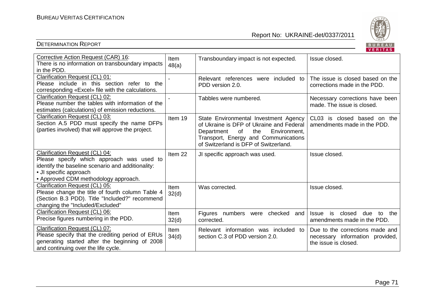

|                                                                                                                                                                                                    |                      |                                                                                                                                                                                                               | VERIIAS.                                                                                   |
|----------------------------------------------------------------------------------------------------------------------------------------------------------------------------------------------------|----------------------|---------------------------------------------------------------------------------------------------------------------------------------------------------------------------------------------------------------|--------------------------------------------------------------------------------------------|
| Corrective Action Request (CAR) 16:<br>There is no information on transboundary impacts<br>in the PDD.                                                                                             | Item<br>48(a)        | Transboundary impact is not expected.                                                                                                                                                                         | Issue closed.                                                                              |
| <b>Clarification Request (CL) 01:</b><br>Please include in this section refer to the<br>corresponding «Excel» file with the calculations.                                                          |                      | Relevant references were included to<br>PDD version 2.0.                                                                                                                                                      | The issue is closed based on the<br>corrections made in the PDD.                           |
| Clarification Request (CL) 02:<br>Please number the tables with information of the<br>estimates (calculations) of emission reductions.                                                             |                      | Tabbles were numbered.                                                                                                                                                                                        | Necessary corrections have been<br>made. The issue is closed.                              |
| Clarification Request (CL) 03:<br>Section A.5 PDD must specify the name DFPs<br>(parties involved) that will approve the project.                                                                  | Item 19              | State Environmental Investment Agency<br>of Ukraine is DFP of Ukraine and Federal<br>of<br>Department<br>the<br>Environment,<br>Transport, Energy and Communications<br>of Switzerland is DFP of Switzerland. | CL03 is closed based on the<br>amendments made in the PDD.                                 |
| Clarification Request (CL) 04:<br>Please specify which approach was used to<br>identify the baseline scenario and additionality:<br>• JI specific approach<br>• Approved CDM methodology approach. | Item 22              | JI specific approach was used.                                                                                                                                                                                | Issue closed.                                                                              |
| Clarification Request (CL) 05:<br>Please change the title of fourth column Table 4<br>(Section B.3 PDD). Title "Included?" recommend<br>changing the "Included/Excluded"                           | Item<br>32(d)        | Was corrected.                                                                                                                                                                                                | Issue closed.                                                                              |
| Clarification Request (CL) 06:<br>Precise figures numbering in the PDD.                                                                                                                            | Item<br>32(d)        | Figures numbers were<br>checked<br>and<br>corrected.                                                                                                                                                          | closed<br>due<br>the<br>is<br><b>Issue</b><br>to<br>amendments made in the PDD.            |
| Clarification Request (CL) 07:<br>Please specify that the crediting period of ERUs<br>generating started after the beginning of 2008<br>and continuing over the life cycle.                        | <b>Item</b><br>34(d) | Relevant information was included<br>to<br>section C.3 of PDD version 2.0.                                                                                                                                    | Due to the corrections made and<br>necessary information provided,<br>the issue is closed. |